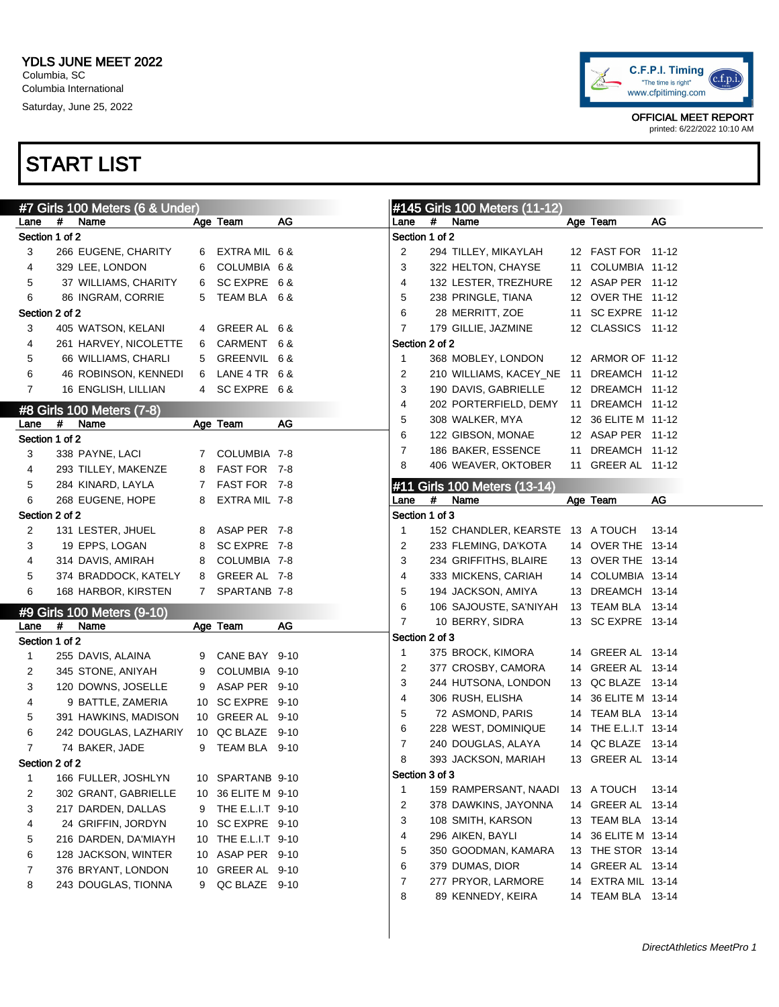

|                | #7 Girls 100 Meters (6 & Under)         |    |                     |    |                |   | #145 Girls 100 Meters (11-12)           |    |                      |       |
|----------------|-----------------------------------------|----|---------------------|----|----------------|---|-----------------------------------------|----|----------------------|-------|
| Lane           | #<br>Name                               |    | Age Team            | AG | Lane           | # | Name                                    |    | Age Team             | AG    |
| Section 1 of 2 |                                         |    |                     |    | Section 1 of 2 |   |                                         |    |                      |       |
| 3              | 266 EUGENE, CHARITY                     | 6  | EXTRA MIL 6 &       |    | 2              |   | 294 TILLEY, MIKAYLAH                    |    | 12 FAST FOR 11-12    |       |
| 4              | 329 LEE, LONDON                         | 6  | COLUMBIA 6 &        |    | 3              |   | 322 HELTON, CHAYSE                      |    | 11 COLUMBIA 11-12    |       |
| 5              | 37 WILLIAMS, CHARITY                    | 6  | SCEXPRE 6&          |    | 4              |   | 132 LESTER, TREZHURE                    |    | 12 ASAP PER 11-12    |       |
| 6              | 86 INGRAM, CORRIE                       | 5  | TEAM BLA 6 &        |    | 5              |   | 238 PRINGLE, TIANA                      |    | 12 OVER THE 11-12    |       |
| Section 2 of 2 |                                         |    |                     |    | 6              |   | 28 MERRITT, ZOE                         |    | 11 SC EXPRE 11-12    |       |
| 3              | 405 WATSON, KELANI                      |    | 4 GREER AL 6 &      |    | 7              |   | 179 GILLIE, JAZMINE                     |    | 12 CLASSICS 11-12    |       |
| 4              | 261 HARVEY, NICOLETTE                   | 6  | CARMENT 6 &         |    | Section 2 of 2 |   |                                         |    |                      |       |
| 5              | 66 WILLIAMS, CHARLI                     | 5  | GREENVIL 6 &        |    | $\mathbf{1}$   |   | 368 MOBLEY, LONDON                      |    | 12 ARMOR OF 11-12    |       |
| 6              | 46 ROBINSON, KENNEDI                    | 6  | LANE 4 TR 6 &       |    | 2              |   | 210 WILLIAMS, KACEY_NE 11 DREAMCH 11-12 |    |                      |       |
| $\overline{7}$ | 16 ENGLISH, LILLIAN                     |    | 4 SC EXPRE 6&       |    | 3              |   | 190 DAVIS, GABRIELLE                    |    | 12 DREAMCH 11-12     |       |
|                | #8 Girls 100 Meters (7-8)               |    |                     |    | 4              |   | 202 PORTERFIELD, DEMY                   |    | 11 DREAMCH 11-12     |       |
| Lane           | #<br>Name                               |    | Age Team            | AG | 5              |   | 308 WALKER, MYA                         |    | 12 36 ELITE M 11-12  |       |
| Section 1 of 2 |                                         |    |                     |    | 6              |   | 122 GIBSON, MONAE                       |    | 12 ASAP PER 11-12    |       |
| 3              | 338 PAYNE, LACI                         |    | 7 COLUMBIA 7-8      |    | 7              |   | 186 BAKER, ESSENCE                      |    | 11 DREAMCH 11-12     |       |
| 4              | 293 TILLEY, MAKENZE                     | 8  | FAST FOR 7-8        |    | 8              |   | 406 WEAVER, OKTOBER                     |    | 11 GREER AL 11-12    |       |
| 5              | 284 KINARD, LAYLA                       | 7  | FAST FOR 7-8        |    |                |   | #11 Girls 100 Meters (13-14)            |    |                      |       |
| 6              | 268 EUGENE, HOPE                        | 8  | EXTRA MIL 7-8       |    | Lane           | # | Name                                    |    | Age Team             | AG    |
| Section 2 of 2 |                                         |    |                     |    | Section 1 of 3 |   |                                         |    |                      |       |
| 2              | 131 LESTER, JHUEL                       | 8  | ASAP PER 7-8        |    | 1              |   | 152 CHANDLER, KEARSTE 13 A TOUCH        |    |                      | 13-14 |
| 3              | 19 EPPS, LOGAN                          | 8  | SC EXPRE 7-8        |    | 2              |   | 233 FLEMING, DA'KOTA                    |    | 14 OVER THE 13-14    |       |
| 4              | 314 DAVIS, AMIRAH                       | 8  | COLUMBIA 7-8        |    | 3              |   | 234 GRIFFITHS, BLAIRE                   |    | 13 OVER THE 13-14    |       |
| 5              | 374 BRADDOCK, KATELY                    | 8  | GREER AL 7-8        |    | 4              |   | 333 MICKENS, CARIAH                     |    | 14 COLUMBIA 13-14    |       |
| 6              | 168 HARBOR, KIRSTEN                     |    | 7 SPARTANB 7-8      |    | 5              |   | 194 JACKSON, AMIYA                      |    | 13 DREAMCH 13-14     |       |
|                |                                         |    |                     |    | 6              |   | 106 SAJOUSTE, SA'NIYAH                  |    | 13 TEAM BLA 13-14    |       |
| Lane           | #9 Girls 100 Meters (9-10)<br>#<br>Name |    | Age Team            | AG | $\overline{7}$ |   | 10 BERRY, SIDRA                         |    | 13 SC EXPRE 13-14    |       |
| Section 1 of 2 |                                         |    |                     |    | Section 2 of 3 |   |                                         |    |                      |       |
| 1              | 255 DAVIS, ALAINA                       | 9  | CANE BAY 9-10       |    | $\mathbf 1$    |   | 375 BROCK, KIMORA                       |    | 14 GREER AL 13-14    |       |
| 2              | 345 STONE, ANIYAH                       | 9  | COLUMBIA 9-10       |    | 2              |   | 377 CROSBY, CAMORA                      |    | 14 GREER AL 13-14    |       |
| 3              | 120 DOWNS, JOSELLE                      | 9  | ASAP PER 9-10       |    | 3              |   | 244 HUTSONA, LONDON                     |    | 13 QC BLAZE 13-14    |       |
| 4              | 9 BATTLE, ZAMERIA                       |    | 10 SC EXPRE 9-10    |    | 4              |   | 306 RUSH, ELISHA                        |    | 14 36 ELITE M 13-14  |       |
| 5              | 391 HAWKINS, MADISON                    |    | 10 GREER AL 9-10    |    | 5              |   | 72 ASMOND, PARIS                        |    | 14 TEAM BLA 13-14    |       |
| 6              | 242 DOUGLAS, LAZHARIY                   |    | 10 QC BLAZE 9-10    |    | 6              |   | 228 WEST, DOMINIQUE                     |    | 14 THE E.L.I.T 13-14 |       |
| $\overline{7}$ | 74 BAKER, JADE                          | 9  | TEAM BLA 9-10       |    | 7              |   | 240 DOUGLAS, ALAYA                      |    | 14 QC BLAZE 13-14    |       |
| Section 2 of 2 |                                         |    |                     |    | 8              |   | 393 JACKSON, MARIAH                     |    | 13 GREER AL 13-14    |       |
| 1              | 166 FULLER, JOSHLYN                     |    | 10 SPARTANB 9-10    |    | Section 3 of 3 |   |                                         |    |                      |       |
| 2              | 302 GRANT, GABRIELLE                    | 10 | 36 ELITE M 9-10     |    | 1              |   | 159 RAMPERSANT, NAADI                   |    | 13 A TOUCH           | 13-14 |
| 3              | 217 DARDEN, DALLAS                      | 9  | THE E.L.I.T 9-10    |    | 2              |   | 378 DAWKINS, JAYONNA                    |    | 14 GREER AL 13-14    |       |
| 4              | 24 GRIFFIN, JORDYN                      |    | 10 SC EXPRE 9-10    |    | 3              |   | 108 SMITH, KARSON                       |    | 13 TEAM BLA 13-14    |       |
| 5              | 216 DARDEN, DA'MIAYH                    |    | 10 THE E.L.I.T 9-10 |    | 4              |   | 296 AIKEN, BAYLI                        |    | 14 36 ELITE M 13-14  |       |
| 6              | 128 JACKSON, WINTER                     |    | 10 ASAP PER 9-10    |    | 5              |   | 350 GOODMAN, KAMARA                     |    | 13 THE STOR 13-14    |       |
| 7              | 376 BRYANT, LONDON                      |    | 10 GREER AL 9-10    |    | 6              |   | 379 DUMAS, DIOR                         |    | 14 GREER AL 13-14    |       |
| 8              | 243 DOUGLAS, TIONNA                     | 9  | QC BLAZE 9-10       |    | 7              |   | 277 PRYOR, LARMORE                      | 14 | EXTRA MIL 13-14      |       |
|                |                                         |    |                     |    | 8              |   | 89 KENNEDY, KEIRA                       |    | 14 TEAM BLA 13-14    |       |
|                |                                         |    |                     |    |                |   |                                         |    |                      |       |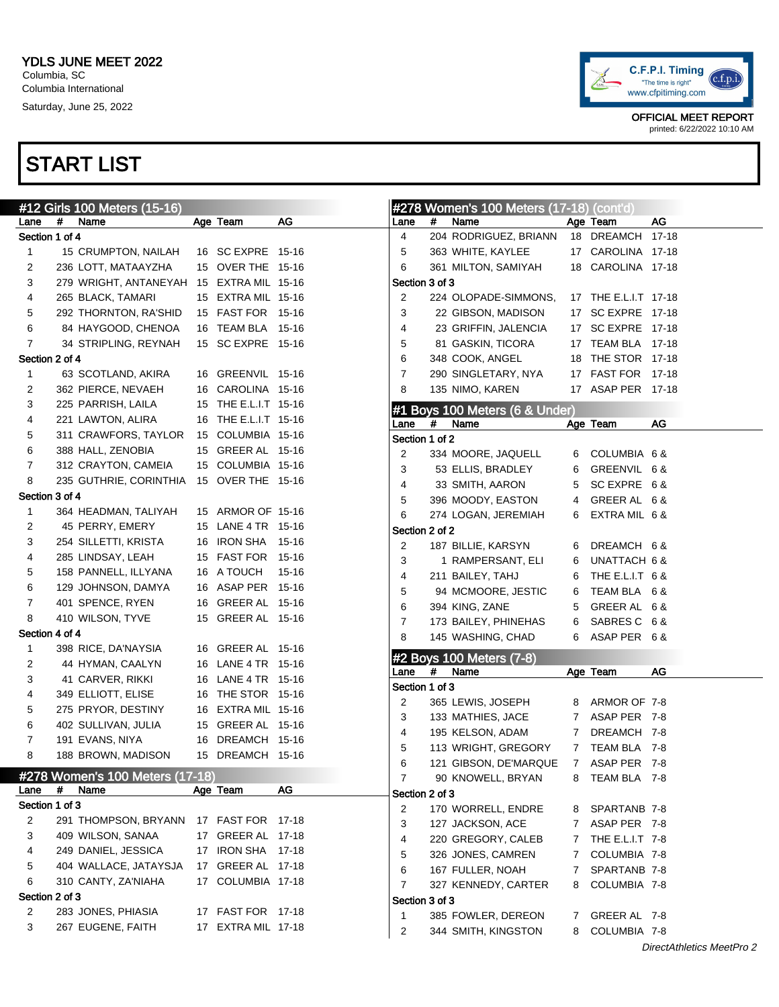

OFFICIAL MEET REPORT printed: 6/22/2022 10:10 AM

|                |   | #12 Girls 100 Meters (15-16)             |                      |       |                |   | #278 Women's 100 Meters (17-18) (cont'd)  |   |                              |                           |
|----------------|---|------------------------------------------|----------------------|-------|----------------|---|-------------------------------------------|---|------------------------------|---------------------------|
| Lane           | # | Name                                     | Age Team             | AG    | Lane           | # | Name                                      |   | Age Team                     | AG                        |
| Section 1 of 4 |   |                                          |                      |       | 4              |   | 204 RODRIGUEZ, BRIANN                     |   | 18 DREAMCH 17-18             |                           |
| $\mathbf{1}$   |   | 15 CRUMPTON, NAILAH                      | 16 SC EXPRE 15-16    |       | 5              |   | 363 WHITE, KAYLEE                         |   | 17 CAROLINA 17-18            |                           |
| 2              |   | 236 LOTT, MATAAYZHA                      | 15 OVER THE 15-16    |       | 6              |   | 361 MILTON, SAMIYAH                       |   | 18 CAROLINA 17-18            |                           |
| 3              |   | 279 WRIGHT, ANTANEYAH 15 EXTRA MIL 15-16 |                      |       | Section 3 of 3 |   |                                           |   |                              |                           |
| 4              |   | 265 BLACK, TAMARI                        | 15 EXTRA MIL 15-16   |       | 2              |   | 224 OLOPADE-SIMMONS,                      |   | 17 THE E.L.I.T 17-18         |                           |
| 5              |   | 292 THORNTON, RA'SHID                    | 15 FAST FOR 15-16    |       | 3              |   | 22 GIBSON, MADISON                        |   | 17 SC EXPRE 17-18            |                           |
| 6              |   | 84 HAYGOOD, CHENOA                       | 16 TEAM BLA 15-16    |       | 4              |   | 23 GRIFFIN, JALENCIA                      |   | 17 SC EXPRE 17-18            |                           |
| 7              |   | 34 STRIPLING, REYNAH                     | 15 SC EXPRE 15-16    |       | 5              |   | 81 GASKIN, TICORA                         |   | 17 TEAM BLA 17-18            |                           |
| Section 2 of 4 |   |                                          |                      |       | 6              |   | 348 COOK, ANGEL                           |   | 18 THE STOR 17-18            |                           |
| $\mathbf{1}$   |   | 63 SCOTLAND, AKIRA                       | 16 GREENVIL 15-16    |       | $\overline{7}$ |   | 290 SINGLETARY, NYA                       |   | 17 FAST FOR 17-18            |                           |
| 2              |   | 362 PIERCE, NEVAEH                       | 16 CAROLINA 15-16    |       | 8              |   | 135 NIMO, KAREN                           |   | 17 ASAP PER 17-18            |                           |
| 3              |   | 225 PARRISH, LAILA                       | 15 THE E.L.I.T 15-16 |       |                |   |                                           |   |                              |                           |
| 4              |   | 221 LAWTON, ALIRA                        | 16 THE E.L.I.T 15-16 |       | Lane           | # | #1 Boys 100 Meters (6 & Under)<br>Name    |   | Age Team                     | AG                        |
| 5              |   | 311 CRAWFORS, TAYLOR                     | 15 COLUMBIA 15-16    |       | Section 1 of 2 |   |                                           |   |                              |                           |
| 6              |   | 388 HALL, ZENOBIA                        | 15 GREER AL 15-16    |       | 2              |   | 334 MOORE, JAQUELL                        | 6 | COLUMBIA 6&                  |                           |
| 7              |   | 312 CRAYTON, CAMEIA                      | 15 COLUMBIA 15-16    |       | 3              |   | 53 ELLIS, BRADLEY                         |   | GREENVIL 6 &                 |                           |
| 8              |   | 235 GUTHRIE, CORINTHIA                   | 15 OVER THE 15-16    |       | 4              |   | 33 SMITH, AARON                           | 6 | SCEXPRE 6&                   |                           |
| Section 3 of 4 |   |                                          |                      |       |                |   |                                           | 5 |                              |                           |
| 1              |   | 364 HEADMAN, TALIYAH                     | 15 ARMOR OF 15-16    |       | 5              |   | 396 MOODY, EASTON                         | 4 | GREER AL 6&                  |                           |
| 2              |   | 45 PERRY, EMERY                          | 15 LANE 4 TR 15-16   |       | 6              |   | 274 LOGAN, JEREMIAH                       | 6 | EXTRA MIL 6&                 |                           |
| 3              |   | 254 SILLETTI, KRISTA                     | 16 IRON SHA          | 15-16 | Section 2 of 2 |   |                                           |   |                              |                           |
| 4              |   | 285 LINDSAY, LEAH                        | 15 FAST FOR          | 15-16 | 2              |   | 187 BILLIE, KARSYN                        | 6 | DREAMCH 6 &                  |                           |
| 5              |   | 158 PANNELL, ILLYANA                     | 16 A TOUCH           | 15-16 | 3              |   | 1 RAMPERSANT, ELI                         | 6 | UNATTACH 6 &                 |                           |
| 6              |   | 129 JOHNSON, DAMYA                       | 16 ASAP PER 15-16    |       | 4              |   | 211 BAILEY, TAHJ                          | 6 | THE E.L.I.T 6 &              |                           |
| 7              |   | 401 SPENCE, RYEN                         | 16 GREER AL 15-16    |       | 5              |   | 94 MCMOORE, JESTIC                        | 6 | TEAM BLA 6&                  |                           |
| 8              |   | 410 WILSON, TYVE                         | 15 GREER AL 15-16    |       | 6              |   | 394 KING, ZANE                            | 5 | GREER AL 6&                  |                           |
| Section 4 of 4 |   |                                          |                      |       | 7              |   | 173 BAILEY, PHINEHAS                      | 6 | SABRES C 6&                  |                           |
|                |   |                                          | 16 GREER AL 15-16    |       | 8              |   | 145 WASHING, CHAD                         |   | 6 ASAP PER 6&                |                           |
| 1              |   | 398 RICE, DA'NAYSIA                      |                      |       |                |   | #2 Boys 100 Meters (7-8)                  |   |                              |                           |
| 2              |   | 44 HYMAN, CAALYN                         | 16 LANE 4 TR 15-16   |       | Lane           | # | Name                                      |   | Age Team                     | AG                        |
| 3              |   | 41 CARVER, RIKKI                         | 16 LANE 4 TR 15-16   |       | Section 1 of 3 |   |                                           |   |                              |                           |
| 4              |   | 349 ELLIOTT, ELISE                       | 16 THE STOR 15-16    |       | 2              |   | 365 LEWIS, JOSEPH                         |   | 8 ARMOR OF 7-8               |                           |
| 5              |   | 275 PRYOR, DESTINY                       | 16 EXTRA MIL 15-16   |       | 3              |   | 133 MATHIES, JACE                         |   | 7 ASAP PER 7-8               |                           |
| 6              |   | 402 SULLIVAN, JULIA                      | 15 GREER AL 15-16    |       | 4              |   | 195 KELSON, ADAM                          |   | 7 DREAMCH 7-8                |                           |
| 7              |   | 191 EVANS, NIYA                          | 16 DREAMCH 15-16     |       | 5              |   | 113 WRIGHT, GREGORY                       |   | 7 TEAM BLA 7-8               |                           |
| 8              |   | 188 BROWN, MADISON                       | 15 DREAMCH 15-16     |       | 6              |   | 121 GIBSON, DE'MARQUE                     |   | 7 ASAP PER 7-8               |                           |
|                |   | #278 Women's 100 Meters (17-18)          |                      |       | 7              |   | 90 KNOWELL, BRYAN                         | 8 | TEAM BLA 7-8                 |                           |
| Lane           | # | Name                                     | Age Team             | AG    | Section 2 of 3 |   |                                           |   |                              |                           |
| Section 1 of 3 |   |                                          |                      |       | $\overline{2}$ |   | 170 WORRELL, ENDRE                        | 8 | SPARTANB 7-8                 |                           |
| 2              |   | 291 THOMPSON, BRYANN                     | 17 FAST FOR 17-18    |       | 3              |   | 127 JACKSON, ACE                          |   | 7 ASAP PER 7-8               |                           |
| 3              |   | 409 WILSON, SANAA                        | 17 GREER AL 17-18    |       | 4              |   | 220 GREGORY, CALEB                        | 7 | THE E.L.I.T 7-8              |                           |
| 4              |   | 249 DANIEL, JESSICA                      | 17 IRON SHA 17-18    |       | 5              |   | 326 JONES, CAMREN                         | 7 | COLUMBIA 7-8                 |                           |
| 5              |   | 404 WALLACE, JATAYSJA                    | 17 GREER AL 17-18    |       | 6              |   | 167 FULLER, NOAH                          | 7 | SPARTANB 7-8                 |                           |
| 6              |   | 310 CANTY, ZA'NIAHA                      | 17 COLUMBIA 17-18    |       | $\overline{7}$ |   | 327 KENNEDY, CARTER                       | 8 | COLUMBIA 7-8                 |                           |
| Section 2 of 3 |   |                                          |                      |       | Section 3 of 3 |   |                                           |   |                              |                           |
| 2              |   | 283 JONES, PHIASIA                       | 17 FAST FOR 17-18    |       | 1              |   |                                           |   |                              |                           |
| 3              |   | 267 EUGENE, FAITH                        | 17 EXTRA MIL 17-18   |       | 2              |   | 385 FOWLER, DEREON<br>344 SMITH, KINGSTON | 7 | GREER AL 7-8<br>COLUMBIA 7-8 |                           |
|                |   |                                          |                      |       |                |   |                                           | 8 |                              | DirectAthletics MeetPro 2 |
|                |   |                                          |                      |       |                |   |                                           |   |                              |                           |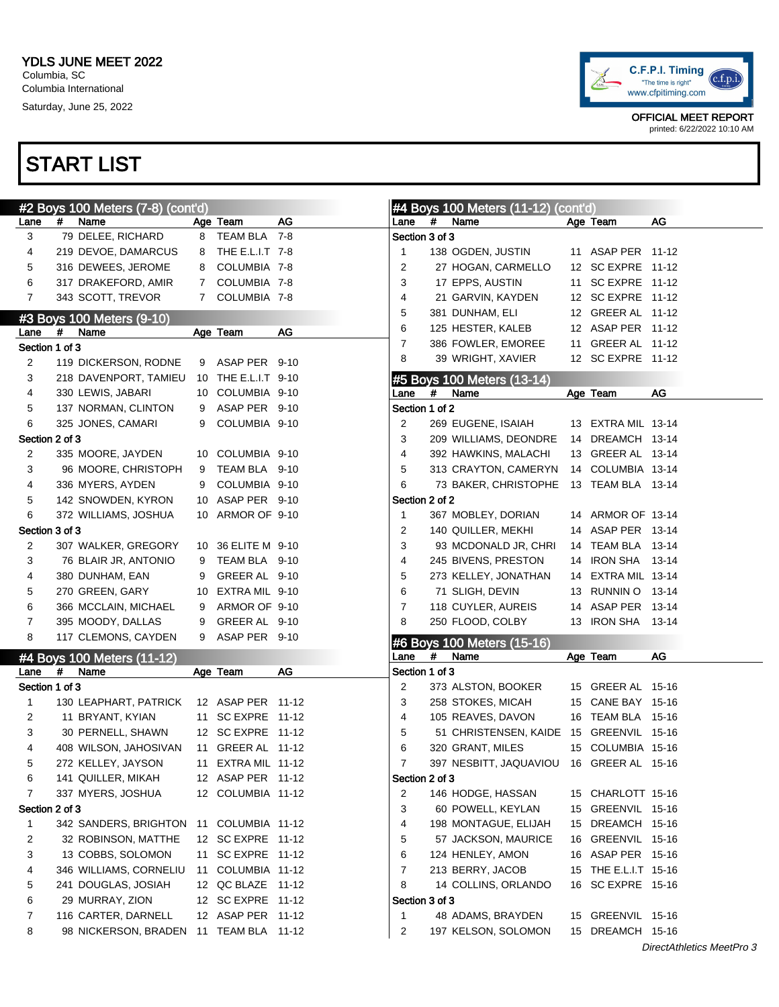

|                        |   | #2 Boys 100 Meters (7-8) (cont'd)        |   |                     |    |                         |      | #4 Boys 100 Meters (11-12) (cont'd)      |                      |                           |
|------------------------|---|------------------------------------------|---|---------------------|----|-------------------------|------|------------------------------------------|----------------------|---------------------------|
| Lane                   | # | Name                                     |   | Age Team            | AG | Lane                    | #    | Name                                     | Age Team             | AG                        |
| 3                      |   | 79 DELEE, RICHARD                        |   | 8 TEAM BLA 7-8      |    | Section 3 of 3          |      |                                          |                      |                           |
| 4                      |   | 219 DEVOE, DAMARCUS                      |   | 8 THE E.L.I.T 7-8   |    | 1                       |      | 138 OGDEN, JUSTIN                        | 11 ASAP PER 11-12    |                           |
| 5                      |   | 316 DEWEES, JEROME                       |   | 8 COLUMBIA 7-8      |    | 2                       |      | 27 HOGAN, CARMELLO                       | 12 SC EXPRE 11-12    |                           |
| 6                      |   | 317 DRAKEFORD, AMIR                      |   | 7 COLUMBIA 7-8      |    | 3                       |      | 17 EPPS, AUSTIN                          | 11 SC EXPRE 11-12    |                           |
| $\overline{7}$         |   | 343 SCOTT, TREVOR                        |   | 7 COLUMBIA 7-8      |    | 4                       |      | 21 GARVIN, KAYDEN                        | 12 SC EXPRE 11-12    |                           |
|                        |   |                                          |   |                     |    | 5                       |      | 381 DUNHAM, ELI                          | 12 GREER AL 11-12    |                           |
|                        | # | #3 Boys 100 Meters (9-10)<br>Name        |   | Age Team            | AG | 6                       |      | 125 HESTER, KALEB                        | 12 ASAP PER 11-12    |                           |
| Lane<br>Section 1 of 3 |   |                                          |   |                     |    | 7                       |      | 386 FOWLER, EMOREE                       | 11 GREER AL 11-12    |                           |
|                        |   |                                          |   | 9 ASAP PER 9-10     |    | 8                       |      | 39 WRIGHT, XAVIER                        | 12 SC EXPRE 11-12    |                           |
| 2                      |   | 119 DICKERSON, RODNE                     |   |                     |    |                         |      |                                          |                      |                           |
| 3                      |   | 218 DAVENPORT, TAMIEU                    |   | 10 THE E.L.I.T 9-10 |    |                         | #    | #5 Boys 100 Meters (13-14)               |                      |                           |
| 4                      |   | 330 LEWIS, JABARI                        |   | 10 COLUMBIA 9-10    |    | Lane                    |      | Name                                     | Age Team             | AG                        |
| 5                      |   | 137 NORMAN, CLINTON                      |   | 9 ASAP PER 9-10     |    | Section 1 of 2          |      |                                          |                      |                           |
| 6                      |   | 325 JONES, CAMARI                        |   | 9 COLUMBIA 9-10     |    | 2                       |      | 269 EUGENE, ISAIAH                       | 13 EXTRA MIL 13-14   |                           |
| Section 2 of 3         |   |                                          |   |                     |    | 3                       |      | 209 WILLIAMS, DEONDRE 14 DREAMCH 13-14   |                      |                           |
| 2                      |   | 335 MOORE, JAYDEN                        |   | 10 COLUMBIA 9-10    |    | 4                       |      | 392 HAWKINS, MALACHI                     | 13 GREER AL 13-14    |                           |
| 3                      |   | 96 MOORE, CHRISTOPH                      |   | 9 TEAM BLA 9-10     |    | 5                       |      | 313 CRAYTON, CAMERYN 14 COLUMBIA 13-14   |                      |                           |
| 4                      |   | 336 MYERS, AYDEN                         |   | 9 COLUMBIA 9-10     |    | 6                       |      | 73 BAKER, CHRISTOPHE 13 TEAM BLA 13-14   |                      |                           |
| 5                      |   | 142 SNOWDEN, KYRON                       |   | 10 ASAP PER 9-10    |    | Section 2 of 2          |      |                                          |                      |                           |
| 6                      |   | 372 WILLIAMS, JOSHUA                     |   | 10 ARMOR OF 9-10    |    | -1                      |      | 367 MOBLEY, DORIAN                       | 14 ARMOR OF 13-14    |                           |
| Section 3 of 3         |   |                                          |   |                     |    | 2                       |      | 140 QUILLER, MEKHI                       | 14 ASAP PER 13-14    |                           |
| 2                      |   | 307 WALKER, GREGORY                      |   | 10 36 ELITE M 9-10  |    | 3                       |      | 93 MCDONALD JR, CHRI                     | 14 TEAM BLA 13-14    |                           |
| 3                      |   | 76 BLAIR JR, ANTONIO                     |   | 9 TEAM BLA 9-10     |    | 4                       |      | 245 BIVENS, PRESTON                      | 14 IRON SHA 13-14    |                           |
| 4                      |   | 380 DUNHAM, EAN                          | 9 | GREER AL 9-10       |    | 5                       |      | 273 KELLEY, JONATHAN                     | 14 EXTRA MIL 13-14   |                           |
| 5                      |   | 270 GREEN, GARY                          |   | 10 EXTRA MIL 9-10   |    | 6                       |      | 71 SLIGH, DEVIN                          | 13 RUNNIN O 13-14    |                           |
| 6                      |   | 366 MCCLAIN, MICHAEL                     |   | 9 ARMOR OF 9-10     |    | 7                       |      | 118 CUYLER, AUREIS                       | 14 ASAP PER 13-14    |                           |
| $\overline{7}$         |   | 395 MOODY, DALLAS                        |   | 9 GREER AL 9-10     |    | 8                       |      | 250 FLOOD, COLBY                         | 13 IRON SHA 13-14    |                           |
| 8                      |   | 117 CLEMONS, CAYDEN                      |   | 9 ASAP PER 9-10     |    |                         |      | #6 Boys 100 Meters (15-16)               |                      |                           |
|                        |   | #4 Boys 100 Meters (11-12)               |   |                     |    | Lane                    | $\#$ | Name                                     | Age Team             | AG                        |
| Lane                   | # | Name                                     |   | Age Team            | AG | Section 1 of 3          |      |                                          |                      |                           |
| Section 1 of 3         |   |                                          |   |                     |    | 2                       |      | 373 ALSTON, BOOKER                       | 15 GREER AL 15-16    |                           |
| 1                      |   | 130 LEAPHART, PATRICK                    |   | 12 ASAP PER 11-12   |    | 3                       |      | 258 STOKES, MICAH                        | 15 CANE BAY 15-16    |                           |
| 2                      |   | 11 BRYANT, KYIAN                         |   | 11 SC EXPRE 11-12   |    | 4                       |      | 105 REAVES, DAVON                        | 16 TEAM BLA 15-16    |                           |
| 3                      |   | 30 PERNELL, SHAWN                        |   | 12 SC EXPRE 11-12   |    | 5                       |      | 51 CHRISTENSEN, KAIDE 15 GREENVIL 15-16  |                      |                           |
| 4                      |   |                                          |   | 11 GREER AL 11-12   |    | 6                       |      | 320 GRANT, MILES                         | 15 COLUMBIA 15-16    |                           |
| 5                      |   | 408 WILSON, JAHOSIVAN                    |   | 11 EXTRA MIL 11-12  |    | 7                       |      | 397 NESBITT, JAQUAVIOU 16 GREER AL 15-16 |                      |                           |
|                        |   | 272 KELLEY, JAYSON<br>141 QUILLER, MIKAH |   | 12 ASAP PER 11-12   |    | Section 2 of 3          |      |                                          |                      |                           |
| 6                      |   |                                          |   |                     |    |                         |      |                                          |                      |                           |
| 7                      |   | 337 MYERS, JOSHUA                        |   | 12 COLUMBIA 11-12   |    | 2                       |      | 146 HODGE, HASSAN                        | 15 CHARLOTT 15-16    |                           |
| Section 2 of 3         |   |                                          |   |                     |    | 3                       |      | 60 POWELL, KEYLAN                        | 15 GREENVIL 15-16    |                           |
| $\mathbf{1}$           |   | 342 SANDERS, BRIGHTON 11 COLUMBIA 11-12  |   |                     |    | 4                       |      | 198 MONTAGUE, ELIJAH                     | 15 DREAMCH 15-16     |                           |
| 2                      |   | 32 ROBINSON, MATTHE                      |   | 12 SC EXPRE 11-12   |    | 5                       |      | 57 JACKSON, MAURICE                      | 16 GREENVIL 15-16    |                           |
| 3                      |   | 13 COBBS, SOLOMON                        |   | 11 SC EXPRE 11-12   |    | 6                       |      | 124 HENLEY, AMON                         | 16 ASAP PER 15-16    |                           |
| 4                      |   | 346 WILLIAMS, CORNELIU                   |   | 11 COLUMBIA 11-12   |    | 7                       |      | 213 BERRY, JACOB                         | 15 THE E.L.I.T 15-16 |                           |
| 5                      |   | 241 DOUGLAS, JOSIAH                      |   | 12 QC BLAZE  11-12  |    | 8                       |      | 14 COLLINS, ORLANDO                      | 16 SC EXPRE 15-16    |                           |
| 6                      |   | 29 MURRAY, ZION                          |   | 12 SC EXPRE 11-12   |    | Section 3 of 3          |      |                                          |                      |                           |
| 7                      |   | 116 CARTER, DARNELL                      |   | 12 ASAP PER 11-12   |    | 1                       |      | 48 ADAMS, BRAYDEN                        | 15 GREENVIL 15-16    |                           |
| 8                      |   | 98 NICKERSON, BRADEN 11 TEAM BLA 11-12   |   |                     |    | $\overline{\mathbf{c}}$ |      | 197 KELSON, SOLOMON                      | 15 DREAMCH 15-16     |                           |
|                        |   |                                          |   |                     |    |                         |      |                                          |                      | DirectAthletics MeetPro 3 |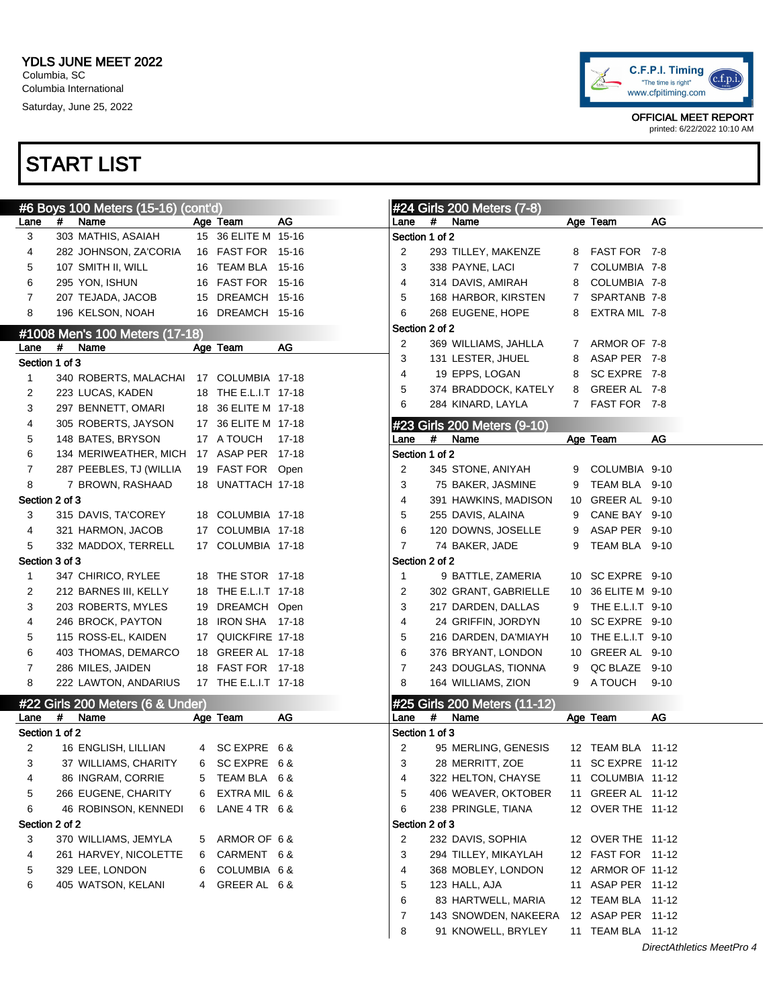

|                |   | #6 Boys 100 Meters (15-16) (cont'd) |   |                                 |       |                |   | #24 Girls 200 Meters (7-8)   |              |                     |                           |
|----------------|---|-------------------------------------|---|---------------------------------|-------|----------------|---|------------------------------|--------------|---------------------|---------------------------|
| Lane           | # | Name                                |   | Age Team                        | AG    | Lane           | # | Name                         |              | Age Team            | AG                        |
| 3              |   | 303 MATHIS, ASAIAH                  |   | 15 36 ELITE M 15-16             |       | Section 1 of 2 |   |                              |              |                     |                           |
| 4              |   | 282 JOHNSON, ZA'CORIA               |   | 16 FAST FOR 15-16               |       | 2              |   | 293 TILLEY, MAKENZE          |              | 8 FAST FOR 7-8      |                           |
| 5              |   | 107 SMITH II, WILL                  |   | 16 TEAM BLA 15-16               |       | 3              |   | 338 PAYNE, LACI              | $\mathbf{7}$ | COLUMBIA 7-8        |                           |
| 6              |   | 295 YON, ISHUN                      |   | 16 FAST FOR 15-16               |       | 4              |   | 314 DAVIS, AMIRAH            | 8            | COLUMBIA 7-8        |                           |
| 7              |   | 207 TEJADA, JACOB                   |   | 15 DREAMCH 15-16                |       | 5              |   | 168 HARBOR, KIRSTEN          | $7^{\circ}$  | SPARTANB 7-8        |                           |
| 8              |   | 196 KELSON, NOAH                    |   | 16 DREAMCH 15-16                |       | 6              |   | 268 EUGENE, HOPE             | 8            | EXTRA MIL 7-8       |                           |
|                |   | #1008 Men's 100 Meters (17-18)      |   |                                 |       | Section 2 of 2 |   |                              |              |                     |                           |
| Lane           | # | Name                                |   | Age Team                        | AG    | 2              |   | 369 WILLIAMS, JAHLLA         |              | 7 ARMOR OF 7-8      |                           |
| Section 1 of 3 |   |                                     |   |                                 |       | 3              |   | 131 LESTER, JHUEL            | 8            | ASAP PER 7-8        |                           |
| 1              |   | 340 ROBERTS, MALACHAI               |   | 17 COLUMBIA 17-18               |       | 4              |   | 19 EPPS, LOGAN               | 8            | SC EXPRE 7-8        |                           |
| 2              |   | 223 LUCAS, KADEN                    |   | 18 THE E.L.I.T 17-18            |       | 5              |   | 374 BRADDOCK, KATELY         | 8            | GREER AL 7-8        |                           |
| 3              |   |                                     |   |                                 |       | 6              |   | 284 KINARD, LAYLA            |              | 7 FAST FOR 7-8      |                           |
|                |   | 297 BENNETT, OMARI                  |   | 18 36 ELITE M 17-18             |       |                |   |                              |              |                     |                           |
| 4              |   | 305 ROBERTS, JAYSON                 |   | 17 36 ELITE M 17-18             |       |                |   | #23 Girls 200 Meters (9-10)  |              |                     |                           |
| 5              |   | 148 BATES, BRYSON                   |   | 17 A TOUCH<br>17 ASAP PER 17-18 | 17-18 | Lane           | # | Name                         |              | Age Team            | AG                        |
| 6              |   | 134 MERIWEATHER, MICH               |   |                                 |       | Section 1 of 2 |   |                              |              |                     |                           |
| 7              |   | 287 PEEBLES, TJ (WILLIA             |   | 19 FAST FOR Open                |       | 2              |   | 345 STONE, ANIYAH            | 9            | COLUMBIA 9-10       |                           |
| 8              |   | 7 BROWN, RASHAAD                    |   | 18 UNATTACH 17-18               |       | 3              |   | 75 BAKER, JASMINE            | 9            | TEAM BLA 9-10       |                           |
| Section 2 of 3 |   |                                     |   |                                 |       | 4              |   | 391 HAWKINS, MADISON         |              | 10 GREER AL 9-10    |                           |
| 3              |   | 315 DAVIS, TA'COREY                 |   | 18 COLUMBIA 17-18               |       | 5              |   | 255 DAVIS, ALAINA            | 9            | CANE BAY 9-10       |                           |
| 4              |   | 321 HARMON, JACOB                   |   | 17 COLUMBIA 17-18               |       | 6              |   | 120 DOWNS, JOSELLE           | 9            | ASAP PER 9-10       |                           |
| 5              |   | 332 MADDOX, TERRELL                 |   | 17 COLUMBIA 17-18               |       | $\overline{7}$ |   | 74 BAKER, JADE               | 9            | TEAM BLA 9-10       |                           |
| Section 3 of 3 |   |                                     |   |                                 |       | Section 2 of 2 |   |                              |              |                     |                           |
| 1              |   | 347 CHIRICO, RYLEE                  |   | 18 THE STOR 17-18               |       | $\mathbf{1}$   |   | 9 BATTLE, ZAMERIA            |              | 10 SC EXPRE 9-10    |                           |
| 2              |   | 212 BARNES III, KELLY               |   | 18 THE E.L.I.T 17-18            |       | 2              |   | 302 GRANT, GABRIELLE         |              | 10 36 ELITE M 9-10  |                           |
| 3              |   | 203 ROBERTS, MYLES                  |   | 19 DREAMCH Open                 |       | 3              |   | 217 DARDEN, DALLAS           | 9            | THE E.L.I.T 9-10    |                           |
| 4              |   | 246 BROCK, PAYTON                   |   | 18 IRON SHA 17-18               |       | 4              |   | 24 GRIFFIN, JORDYN           |              | 10 SC EXPRE 9-10    |                           |
| 5              |   | 115 ROSS-EL, KAIDEN                 |   | 17 QUICKFIRE 17-18              |       | 5              |   | 216 DARDEN, DA'MIAYH         |              | 10 THE E.L.I.T 9-10 |                           |
| 6              |   | 403 THOMAS, DEMARCO                 |   | 18 GREER AL 17-18               |       | 6              |   | 376 BRYANT, LONDON           |              | 10 GREER AL 9-10    |                           |
| 7              |   | 286 MILES, JAIDEN                   |   | 18 FAST FOR 17-18               |       | $\overline{7}$ |   | 243 DOUGLAS, TIONNA          | 9            | QC BLAZE 9-10       |                           |
| 8              |   | 222 LAWTON, ANDARIUS                |   | 17 THE E.L.I.T 17-18            |       | 8              |   | 164 WILLIAMS, ZION           |              | 9 A TOUCH           | $9 - 10$                  |
|                |   | #22 Girls 200 Meters (6 & Under)    |   |                                 |       |                |   | #25 Girls 200 Meters (11-12) |              |                     |                           |
| Lane           | # | Name                                |   | Age Team                        | AG    | Lane           | # | Name                         |              | Age Team            | AG                        |
| Section 1 of 2 |   |                                     |   |                                 |       | Section 1 of 3 |   |                              |              |                     |                           |
| 2              |   | 16 ENGLISH, LILLIAN                 |   | 4 SC EXPRE 6&                   |       | 2              |   | 95 MERLING, GENESIS          |              | 12 TEAM BLA 11-12   |                           |
| 3              |   | 37 WILLIAMS, CHARITY                |   | 6 SCEXPRE 6&                    |       | 3              |   | 28 MERRITT, ZOE              |              | 11 SC EXPRE 11-12   |                           |
| 4              |   | 86 INGRAM, CORRIE                   | 5 | TEAM BLA 6 &                    |       | 4              |   | 322 HELTON, CHAYSE           |              | 11 COLUMBIA 11-12   |                           |
| 5              |   | 266 EUGENE, CHARITY                 | 6 | EXTRA MIL 6 &                   |       | 5              |   | 406 WEAVER, OKTOBER          |              | 11 GREER AL 11-12   |                           |
| 6              |   | 46 ROBINSON, KENNEDI                | 6 | LANE $4$ TR $6$ &               |       | 6              |   | 238 PRINGLE, TIANA           |              | 12 OVER THE 11-12   |                           |
| Section 2 of 2 |   |                                     |   |                                 |       | Section 2 of 3 |   |                              |              |                     |                           |
| 3              |   | 370 WILLIAMS, JEMYLA                | 5 | ARMOR OF 6 &                    |       | 2              |   | 232 DAVIS, SOPHIA            |              | 12 OVER THE 11-12   |                           |
| 4              |   | 261 HARVEY, NICOLETTE               | 6 | CARMENT 6&                      |       | 3              |   | 294 TILLEY, MIKAYLAH         |              | 12 FAST FOR 11-12   |                           |
| 5              |   | 329 LEE, LONDON                     | 6 | COLUMBIA 6 &                    |       | 4              |   | 368 MOBLEY, LONDON           |              | 12 ARMOR OF 11-12   |                           |
| 6              |   | 405 WATSON, KELANI                  | 4 | GREER AL 6&                     |       | 5              |   | 123 HALL, AJA                |              | 11 ASAP PER 11-12   |                           |
|                |   |                                     |   |                                 |       | 6              |   | 83 HARTWELL, MARIA           |              | 12 TEAM BLA  11-12  |                           |
|                |   |                                     |   |                                 |       | 7              |   | 143 SNOWDEN, NAKEERA         |              | 12 ASAP PER 11-12   |                           |
|                |   |                                     |   |                                 |       | 8              |   | 91 KNOWELL, BRYLEY           |              | 11 TEAM BLA 11-12   |                           |
|                |   |                                     |   |                                 |       |                |   |                              |              |                     | DirectAthletics MeetPro 4 |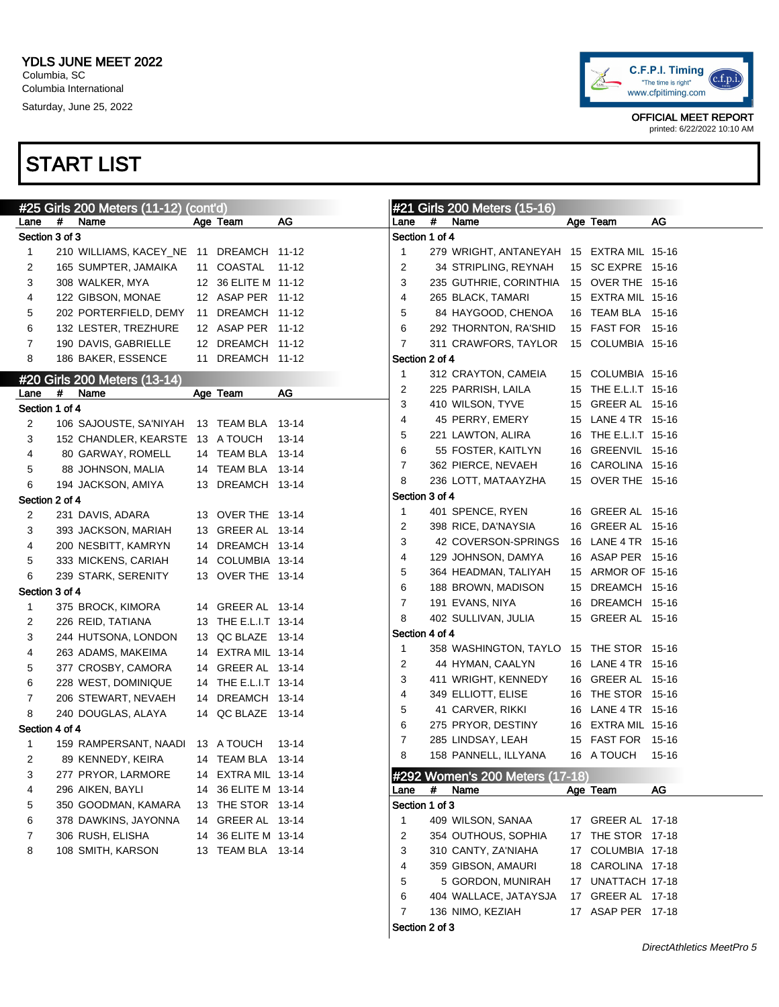#### START LIST

|                |   | #25 Girls 200 Meters (11-12)             | (cont'd) |                      |       |                |   | #21 Girls 200 Meters (15-16)             |                      |       |
|----------------|---|------------------------------------------|----------|----------------------|-------|----------------|---|------------------------------------------|----------------------|-------|
| Lane           | # | Name                                     |          | Age Team             | AG    | Lane           | # | Name                                     | Age Team             | AG    |
| Section 3 of 3 |   |                                          |          |                      |       | Section 1 of 4 |   |                                          |                      |       |
| 1              |   | 210 WILLIAMS, KACEY_NE 11 DREAMCH 11-12  |          |                      |       | -1             |   | 279 WRIGHT, ANTANEYAH 15 EXTRA MIL 15-16 |                      |       |
| 2              |   | 165 SUMPTER, JAMAIKA                     |          | 11 COASTAL 11-12     |       | 2              |   | 34 STRIPLING, REYNAH                     | 15 SC EXPRE 15-16    |       |
| 3              |   | 308 WALKER, MYA                          |          | 12 36 ELITE M 11-12  |       | 3              |   | 235 GUTHRIE, CORINTHIA                   | 15 OVER THE 15-16    |       |
| 4              |   | 122 GIBSON, MONAE                        |          | 12 ASAP PER 11-12    |       | 4              |   | 265 BLACK, TAMARI                        | 15 EXTRA MIL 15-16   |       |
| 5              |   | 202 PORTERFIELD, DEMY                    |          | 11 DREAMCH 11-12     |       | 5              |   | 84 HAYGOOD, CHENOA                       | 16 TEAM BLA 15-16    |       |
| 6              |   | 132 LESTER, TREZHURE                     |          | 12 ASAP PER 11-12    |       | 6              |   | 292 THORNTON, RA'SHID                    | 15 FAST FOR 15-16    |       |
| 7              |   | 190 DAVIS, GABRIELLE                     |          | 12 DREAMCH 11-12     |       | 7              |   | 311 CRAWFORS, TAYLOR                     | 15 COLUMBIA 15-16    |       |
| 8              |   | 186 BAKER, ESSENCE                       |          | 11 DREAMCH 11-12     |       | Section 2 of 4 |   |                                          |                      |       |
|                |   | #20 Girls 200 Meters (13-14)             |          |                      |       | -1             |   | 312 CRAYTON, CAMEIA                      | 15 COLUMBIA 15-16    |       |
| Lane           | # | Name                                     |          | Age Team             | AG    | 2              |   | 225 PARRISH, LAILA                       | 15 THE E.L.I.T 15-16 |       |
| Section 1 of 4 |   |                                          |          |                      |       | 3              |   | 410 WILSON, TYVE                         | 15 GREER AL 15-16    |       |
| 2              |   | 106 SAJOUSTE, SA'NIYAH 13 TEAM BLA 13-14 |          |                      |       | 4              |   | 45 PERRY, EMERY                          | 15 LANE 4 TR 15-16   |       |
| 3              |   | 152 CHANDLER, KEARSTE 13 A TOUCH         |          |                      | 13-14 | 5              |   | 221 LAWTON, ALIRA                        | 16 THE E.L.I.T 15-16 |       |
| 4              |   | 80 GARWAY, ROMELL                        |          | 14 TEAM BLA 13-14    |       | 6              |   | 55 FOSTER, KAITLYN                       | 16 GREENVIL 15-16    |       |
| 5              |   | 88 JOHNSON, MALIA                        |          | 14 TEAM BLA 13-14    |       | 7              |   | 362 PIERCE, NEVAEH                       | 16 CAROLINA 15-16    |       |
| 6              |   | 194 JACKSON, AMIYA                       |          | 13 DREAMCH 13-14     |       | 8              |   | 236 LOTT, MATAAYZHA                      | 15 OVER THE 15-16    |       |
| Section 2 of 4 |   |                                          |          |                      |       | Section 3 of 4 |   |                                          |                      |       |
| 2              |   | 231 DAVIS, ADARA                         |          | 13 OVER THE 13-14    |       | -1             |   | 401 SPENCE, RYEN                         | 16 GREER AL 15-16    |       |
| 3              |   | 393 JACKSON, MARIAH                      |          | 13 GREER AL 13-14    |       | 2              |   | 398 RICE, DA'NAYSIA                      | 16 GREER AL 15-16    |       |
|                |   |                                          |          | 14 DREAMCH 13-14     |       | 3              |   | 42 COVERSON-SPRINGS                      | 16 LANE 4 TR 15-16   |       |
| 4<br>5         |   | 200 NESBITT, KAMRYN                      |          | 14 COLUMBIA 13-14    |       | 4              |   | 129 JOHNSON, DAMYA                       | 16 ASAP PER 15-16    |       |
|                |   | 333 MICKENS, CARIAH                      |          | 13 OVER THE 13-14    |       | 5              |   | 364 HEADMAN, TALIYAH                     | 15 ARMOR OF 15-16    |       |
| 6              |   | 239 STARK, SERENITY                      |          |                      |       | 6              |   | 188 BROWN, MADISON                       | 15 DREAMCH 15-16     |       |
| Section 3 of 4 |   |                                          |          | 14 GREER AL 13-14    |       | 7              |   | 191 EVANS, NIYA                          | 16 DREAMCH 15-16     |       |
| 1              |   | 375 BROCK, KIMORA                        |          |                      |       | 8              |   | 402 SULLIVAN, JULIA                      | 15 GREER AL 15-16    |       |
| 2              |   | 226 REID, TATIANA                        |          | 13 THE E.L.I.T 13-14 |       | Section 4 of 4 |   |                                          |                      |       |
| 3              |   | 244 HUTSONA, LONDON                      |          | 13 QC BLAZE 13-14    |       | $\mathbf{1}$   |   | 358 WASHINGTON, TAYLO                    | 15 THE STOR 15-16    |       |
| 4              |   | 263 ADAMS, MAKEIMA                       |          | 14 EXTRA MIL 13-14   |       | 2              |   | 44 HYMAN, CAALYN                         | 16 LANE 4 TR 15-16   |       |
| 5              |   | 377 CROSBY, CAMORA                       |          | 14 GREER AL 13-14    |       | 3              |   | 411 WRIGHT, KENNEDY                      | 16 GREER AL 15-16    |       |
| 6              |   | 228 WEST, DOMINIQUE                      |          | 14 THE E.L.I.T 13-14 |       | 4              |   | 349 ELLIOTT, ELISE                       | 16 THE STOR 15-16    |       |
| 7              |   | 206 STEWART, NEVAEH                      |          | 14 DREAMCH 13-14     |       | 5              |   | 41 CARVER, RIKKI                         | 16 LANE 4 TR 15-16   |       |
| 8              |   | 240 DOUGLAS, ALAYA                       |          | 14 QC BLAZE 13-14    |       | 6              |   | 275 PRYOR, DESTINY                       | 16 EXTRA MIL 15-16   |       |
| Section 4 of 4 |   |                                          |          |                      |       | 7              |   | 285 LINDSAY, LEAH                        | 15 FAST FOR 15-16    |       |
| 1              |   | 159 RAMPERSANT, NAADI                    |          | 13 A TOUCH           | 13-14 | 8              |   | 158 PANNELL, ILLYANA                     | 16 A TOUCH           | 15-16 |
| 2              |   | 89 KENNEDY, KEIRA                        |          | 14 TEAM BLA 13-14    |       |                |   |                                          |                      |       |
| 3              |   | 277 PRYOR, LARMORE                       |          | 14 EXTRA MIL 13-14   |       |                |   | #292 Women's 200 Meters (17-18)          |                      |       |
| 4              |   | 296 AIKEN, BAYLI                         | 14       | 36 ELITE M 13-14     |       | Lane           | # | Name                                     | Age Team             | AG    |
| 5              |   | 350 GOODMAN, KAMARA                      |          | 13 THE STOR 13-14    |       | Section 1 of 3 |   |                                          |                      |       |
| 6              |   | 378 DAWKINS, JAYONNA                     | 14       | GREER AL 13-14       |       | -1             |   | 409 WILSON, SANAA                        | 17 GREER AL 17-18    |       |
| 7              |   | 306 RUSH, ELISHA                         | 14       | 36 ELITE M 13-14     |       | 2              |   | 354 OUTHOUS, SOPHIA                      | 17 THE STOR 17-18    |       |
| 8              |   | 108 SMITH, KARSON                        |          | 13 TEAM BLA 13-14    |       | 3              |   | 310 CANTY, ZA'NIAHA                      | 17 COLUMBIA 17-18    |       |
|                |   |                                          |          |                      |       | 4              |   | 359 GIBSON, AMAURI                       | 18 CAROLINA 17-18    |       |
|                |   |                                          |          |                      |       | 5              |   | 5 GORDON, MUNIRAH                        | 17 UNATTACH 17-18    |       |
|                |   |                                          |          |                      |       | 6              |   | 404 WALLACE, JATAYSJA                    | 17 GREER AL 17-18    |       |
|                |   |                                          |          |                      |       | 7              |   | 136 NIMO, KEZIAH                         | 17 ASAP PER 17-18    |       |
|                |   |                                          |          |                      |       |                |   |                                          |                      |       |

Section 2 of 3

OFFICIAL MEET REPORT printed: 6/22/2022 10:10 AM

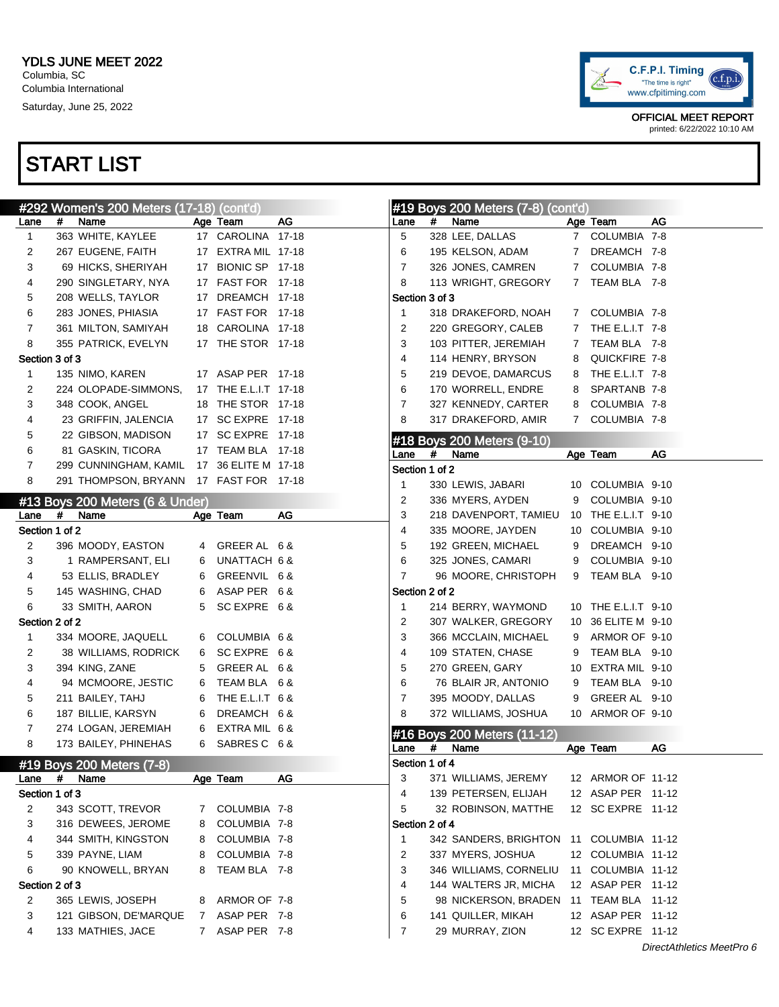

|                |   | #292 Women's 200 Meters (17-18) (cont'd) |                |                      |    |                        |   | #19 Boys 200 Meters (7-8) (cont'd)      |             |                     |    |
|----------------|---|------------------------------------------|----------------|----------------------|----|------------------------|---|-----------------------------------------|-------------|---------------------|----|
| Lane           | # | Name                                     |                | Age Team             | AG | Lane                   | # | Name                                    |             | Age Team            | AG |
| 1              |   | 363 WHITE, KAYLEE                        |                | 17 CAROLINA 17-18    |    | 5                      |   | 328 LEE, DALLAS                         |             | 7 COLUMBIA 7-8      |    |
| 2              |   | 267 EUGENE, FAITH                        |                | 17 EXTRA MIL 17-18   |    | 6                      |   | 195 KELSON, ADAM                        |             | 7 DREAMCH 7-8       |    |
| 3              |   | 69 HICKS, SHERIYAH                       |                | 17 BIONIC SP 17-18   |    | 7                      |   | 326 JONES, CAMREN                       |             | 7 COLUMBIA 7-8      |    |
| 4              |   | 290 SINGLETARY, NYA                      |                | 17 FAST FOR 17-18    |    | 8                      |   | 113 WRIGHT, GREGORY                     |             | 7 TEAM BLA 7-8      |    |
| 5              |   | 208 WELLS, TAYLOR                        |                | 17 DREAMCH 17-18     |    | Section 3 of 3         |   |                                         |             |                     |    |
| 6              |   | 283 JONES, PHIASIA                       |                | 17 FAST FOR 17-18    |    | $\mathbf{1}$           |   | 318 DRAKEFORD, NOAH                     |             | 7 COLUMBIA 7-8      |    |
| 7              |   | 361 MILTON, SAMIYAH                      |                | 18 CAROLINA 17-18    |    | 2                      |   | 220 GREGORY, CALEB                      |             | 7 THE E.L.I.T 7-8   |    |
| 8              |   | 355 PATRICK, EVELYN                      |                | 17 THE STOR 17-18    |    | 3                      |   | 103 PITTER, JEREMIAH                    | $7^{\circ}$ | TEAM BLA 7-8        |    |
| Section 3 of 3 |   |                                          |                |                      |    | 4                      |   | 114 HENRY, BRYSON                       | 8           | QUICKFIRE 7-8       |    |
| 1              |   | 135 NIMO, KAREN                          |                | 17 ASAP PER 17-18    |    | 5                      |   | 219 DEVOE, DAMARCUS                     |             | 8 THE E.L.I.T 7-8   |    |
| 2              |   | 224 OLOPADE-SIMMONS,                     |                | 17 THE E.L.I.T 17-18 |    | 6                      |   | 170 WORRELL, ENDRE                      | 8           | SPARTANB 7-8        |    |
| 3              |   | 348 COOK, ANGEL                          |                | 18 THE STOR 17-18    |    | 7                      |   | 327 KENNEDY, CARTER                     | 8           | COLUMBIA 7-8        |    |
| 4              |   | 23 GRIFFIN, JALENCIA                     |                | 17 SC EXPRE 17-18    |    | 8                      |   | 317 DRAKEFORD, AMIR                     |             | 7 COLUMBIA 7-8      |    |
| 5              |   | 22 GIBSON, MADISON                       |                | 17 SC EXPRE 17-18    |    |                        |   |                                         |             |                     |    |
| 6              |   | 81 GASKIN, TICORA                        |                | 17 TEAM BLA 17-18    |    |                        | # | #18 Boys 200 Meters (9-10)<br>Name      |             |                     | AG |
| 7              |   | 299 CUNNINGHAM, KAMIL                    |                | 17 36 ELITE M 17-18  |    | Lane<br>Section 1 of 2 |   |                                         |             | Age Team            |    |
| 8              |   | 291 THOMPSON, BRYANN                     |                | 17 FAST FOR 17-18    |    |                        |   |                                         |             |                     |    |
|                |   |                                          |                |                      |    | 1                      |   | 330 LEWIS, JABARI                       |             | 10 COLUMBIA 9-10    |    |
|                |   | #13 Boys 200 Meters (6 & Under)          |                |                      |    | 2                      |   | 336 MYERS, AYDEN                        | 9           | COLUMBIA 9-10       |    |
| Lane           | # | Name                                     |                | Age Team             | AG | 3                      |   | 218 DAVENPORT, TAMIEU                   |             | 10 THE E.L.I.T 9-10 |    |
| Section 1 of 2 |   |                                          |                |                      |    | 4                      |   | 335 MOORE, JAYDEN                       |             | 10 COLUMBIA 9-10    |    |
| 2              |   | 396 MOODY, EASTON                        |                | 4 GREER AL 6 &       |    | 5                      |   | 192 GREEN, MICHAEL                      | 9           | DREAMCH 9-10        |    |
| 3              |   | 1 RAMPERSANT, ELI                        | 6              | UNATTACH 6 &         |    | 6                      |   | 325 JONES, CAMARI                       | 9           | COLUMBIA 9-10       |    |
| 4              |   | 53 ELLIS, BRADLEY                        | 6              | GREENVIL 6 &         |    | 7                      |   | 96 MOORE, CHRISTOPH                     | 9           | TEAM BLA 9-10       |    |
| 5              |   | 145 WASHING, CHAD                        | 6              | ASAP PER 6&          |    | Section 2 of 2         |   |                                         |             |                     |    |
| 6              |   | 33 SMITH, AARON                          | 5              | SC EXPRE 6 &         |    | -1                     |   | 214 BERRY, WAYMOND                      |             | 10 THE E.L.I.T 9-10 |    |
| Section 2 of 2 |   |                                          |                |                      |    | 2                      |   | 307 WALKER, GREGORY                     |             | 10 36 ELITE M 9-10  |    |
| 1              |   | 334 MOORE, JAQUELL                       |                | 6 COLUMBIA 6 &       |    | 3                      |   | 366 MCCLAIN, MICHAEL                    | 9           | ARMOR OF 9-10       |    |
| 2              |   | 38 WILLIAMS, RODRICK                     | 6              | SC EXPRE 6 &         |    | 4                      |   | 109 STATEN, CHASE                       | 9           | TEAM BLA 9-10       |    |
| 3              |   | 394 KING, ZANE                           | 5              | GREER AL 6 &         |    | 5                      |   | 270 GREEN, GARY                         |             | 10 EXTRA MIL 9-10   |    |
| 4              |   | 94 MCMOORE, JESTIC                       | 6              | TEAM BLA 6 &         |    | 6                      |   | 76 BLAIR JR, ANTONIO                    | 9           | TEAM BLA 9-10       |    |
| 5              |   | 211 BAILEY, TAHJ                         | 6              | THE E.L.I.T 6 &      |    | 7                      |   | 395 MOODY, DALLAS                       | 9           | GREER AL 9-10       |    |
| 6              |   | 187 BILLIE, KARSYN                       | 6              | DREAMCH 6 &          |    | 8                      |   | 372 WILLIAMS, JOSHUA                    |             | 10 ARMOR OF 9-10    |    |
| 7              |   | 274 LOGAN, JEREMIAH                      | 6              | EXTRA MIL 6 &        |    |                        |   | #16 Boys 200 Meters (11-12)             |             |                     |    |
| 8              |   | 173 BAILEY, PHINEHAS                     | 6              | SABRES C 6 &         |    | Lane                   | # | Name                                    |             | Age Team            | AG |
|                |   | #19 Boys 200 Meters (7-8)                |                |                      |    | Section 1 of 4         |   |                                         |             |                     |    |
| Lane           | # | Name                                     |                | Age Team             | AG | 3                      |   | 371 WILLIAMS, JEREMY                    |             | 12 ARMOR OF 11-12   |    |
| Section 1 of 3 |   |                                          |                |                      |    | 4                      |   | 139 PETERSEN, ELIJAH                    |             | 12 ASAP PER 11-12   |    |
| 2              |   | 343 SCOTT, TREVOR                        | 7 <sup>7</sup> | COLUMBIA 7-8         |    | 5                      |   | 32 ROBINSON, MATTHE                     |             | 12 SC EXPRE 11-12   |    |
| 3              |   | 316 DEWEES, JEROME                       | 8              | COLUMBIA 7-8         |    | Section 2 of 4         |   |                                         |             |                     |    |
| 4              |   | 344 SMITH, KINGSTON                      | 8              | COLUMBIA 7-8         |    | $\mathbf{1}$           |   | 342 SANDERS, BRIGHTON 11 COLUMBIA 11-12 |             |                     |    |
| 5              |   | 339 PAYNE, LIAM                          | 8              | COLUMBIA 7-8         |    | 2                      |   | 337 MYERS, JOSHUA                       |             | 12 COLUMBIA 11-12   |    |
| 6              |   | 90 KNOWELL, BRYAN                        | 8              | TEAM BLA 7-8         |    | 3                      |   | 346 WILLIAMS, CORNELIU                  |             | 11 COLUMBIA 11-12   |    |
| Section 2 of 3 |   |                                          |                |                      |    | 4                      |   | 144 WALTERS JR, MICHA                   |             | 12 ASAP PER 11-12   |    |
| 2              |   | 365 LEWIS, JOSEPH                        | 8              | ARMOR OF 7-8         |    | 5                      |   | 98 NICKERSON, BRADEN 11 TEAM BLA 11-12  |             |                     |    |
| 3              |   | 121 GIBSON, DE'MARQUE                    | 7 <sup>7</sup> | ASAP PER 7-8         |    | 6                      |   | 141 QUILLER, MIKAH                      |             | 12 ASAP PER 11-12   |    |
| 4              |   | 133 MATHIES, JACE                        |                | 7 ASAP PER 7-8       |    | 7                      |   | 29 MURRAY, ZION                         |             | 12 SC EXPRE 11-12   |    |
|                |   |                                          |                |                      |    |                        |   |                                         |             |                     |    |

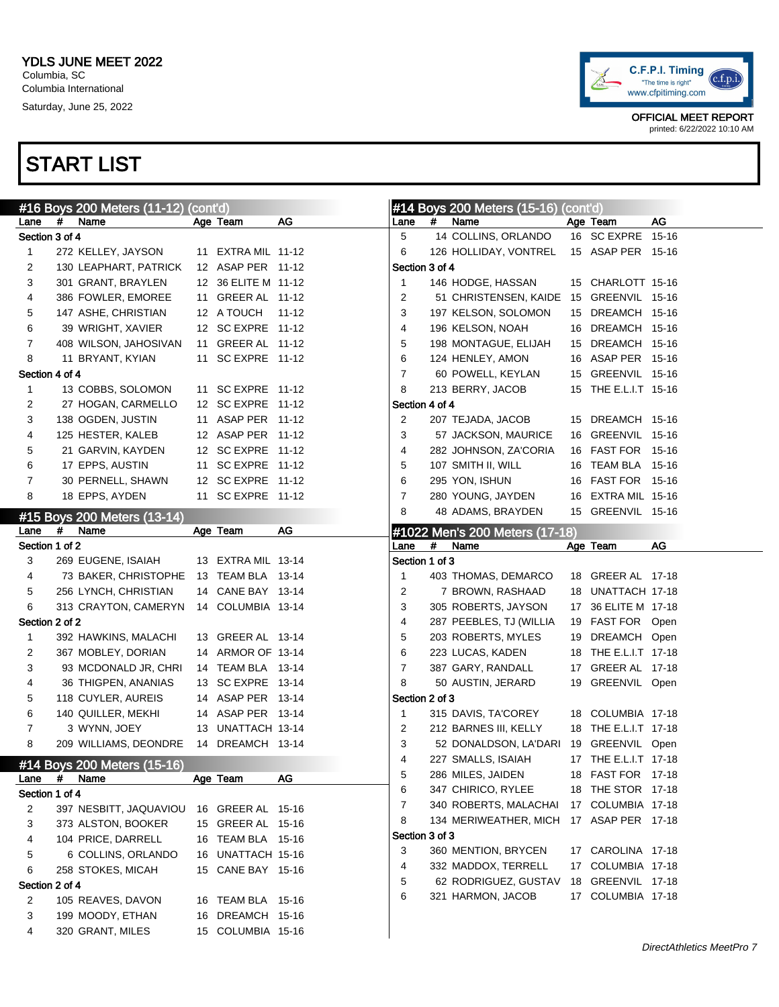

|                |   | #16 Boys 200 Meters (11-12) (cont'd) |                     |    |                |   | #14 Boys 200 Meters (15-16) (cont'd)    |                      |    |
|----------------|---|--------------------------------------|---------------------|----|----------------|---|-----------------------------------------|----------------------|----|
| Lane           | # | Name                                 | Age Team            | AG | Lane           | # | Name                                    | Age Team             | AG |
| Section 3 of 4 |   |                                      |                     |    | 5              |   | 14 COLLINS, ORLANDO                     | 16 SC EXPRE 15-16    |    |
| 1              |   | 272 KELLEY, JAYSON                   | 11 EXTRA MIL 11-12  |    | 6              |   | 126 HOLLIDAY, VONTREL                   | 15 ASAP PER 15-16    |    |
| 2              |   | 130 LEAPHART, PATRICK                | 12 ASAP PER 11-12   |    | Section 3 of 4 |   |                                         |                      |    |
| 3              |   | 301 GRANT, BRAYLEN                   | 12 36 ELITE M 11-12 |    | $\mathbf{1}$   |   | 146 HODGE, HASSAN                       | 15 CHARLOTT 15-16    |    |
| 4              |   | 386 FOWLER, EMOREE                   | 11 GREER AL 11-12   |    | 2              |   | 51 CHRISTENSEN, KAIDE 15 GREENVIL 15-16 |                      |    |
| 5              |   | 147 ASHE, CHRISTIAN                  | 12 A TOUCH 11-12    |    | 3              |   | 197 KELSON, SOLOMON                     | 15 DREAMCH 15-16     |    |
| 6              |   | 39 WRIGHT, XAVIER                    | 12 SC EXPRE 11-12   |    | 4              |   | 196 KELSON, NOAH                        | 16 DREAMCH 15-16     |    |
| 7              |   | 408 WILSON, JAHOSIVAN                | 11 GREER AL 11-12   |    | 5              |   | 198 MONTAGUE, ELIJAH                    | 15 DREAMCH 15-16     |    |
| 8              |   | 11 BRYANT, KYIAN                     | 11 SC EXPRE 11-12   |    | 6              |   | 124 HENLEY, AMON                        | 16 ASAP PER 15-16    |    |
| Section 4 of 4 |   |                                      |                     |    | $\overline{7}$ |   | 60 POWELL, KEYLAN                       | 15 GREENVIL 15-16    |    |
| 1              |   | 13 COBBS, SOLOMON                    | 11 SC EXPRE 11-12   |    | 8              |   | 213 BERRY, JACOB                        | 15 THE E.L.I.T 15-16 |    |
| 2              |   | 27 HOGAN, CARMELLO                   | 12 SC EXPRE 11-12   |    | Section 4 of 4 |   |                                         |                      |    |
| 3              |   | 138 OGDEN, JUSTIN                    | 11 ASAP PER 11-12   |    | 2              |   | 207 TEJADA, JACOB                       | 15 DREAMCH 15-16     |    |
| 4              |   | 125 HESTER, KALEB                    | 12 ASAP PER 11-12   |    | 3              |   | 57 JACKSON, MAURICE                     | 16 GREENVIL 15-16    |    |
| 5              |   | 21 GARVIN, KAYDEN                    | 12 SC EXPRE 11-12   |    | 4              |   | 282 JOHNSON, ZA'CORIA                   | 16 FAST FOR 15-16    |    |
| 6              |   | 17 EPPS, AUSTIN                      | 11 SC EXPRE 11-12   |    | 5              |   | 107 SMITH II, WILL                      | 16 TEAM BLA 15-16    |    |
| 7              |   | 30 PERNELL, SHAWN                    | 12 SC EXPRE 11-12   |    | 6              |   | 295 YON, ISHUN                          | 16 FAST FOR 15-16    |    |
| 8              |   | 18 EPPS, AYDEN                       | 11 SC EXPRE 11-12   |    | $\overline{7}$ |   | 280 YOUNG, JAYDEN                       | 16 EXTRA MIL 15-16   |    |
|                |   | #15 Boys 200 Meters (13-14)          |                     |    | 8              |   | 48 ADAMS, BRAYDEN                       | 15 GREENVIL 15-16    |    |
| Lane           | # | Name                                 | Age Team            | AG |                |   | #1022 Men's 200 Meters (17-18)          |                      |    |
| Section 1 of 2 |   |                                      |                     |    | Lane           | # | Name                                    | Age Team             | AG |
| 3              |   | 269 EUGENE, ISAIAH                   | 13 EXTRA MIL 13-14  |    | Section 1 of 3 |   |                                         |                      |    |
| 4              |   | 73 BAKER, CHRISTOPHE                 | 13 TEAM BLA 13-14   |    | 1              |   | 403 THOMAS, DEMARCO                     | 18 GREER AL 17-18    |    |
| 5              |   | 256 LYNCH, CHRISTIAN                 | 14 CANE BAY 13-14   |    | 2              |   | 7 BROWN, RASHAAD                        | 18 UNATTACH 17-18    |    |
| 6              |   | 313 CRAYTON, CAMERYN                 | 14 COLUMBIA 13-14   |    | 3              |   | 305 ROBERTS, JAYSON                     | 17 36 ELITE M 17-18  |    |
| Section 2 of 2 |   |                                      |                     |    | 4              |   | 287 PEEBLES, TJ (WILLIA                 | 19 FAST FOR Open     |    |
| $\mathbf{1}$   |   | 392 HAWKINS, MALACHI                 | 13 GREER AL 13-14   |    | 5              |   | 203 ROBERTS, MYLES                      | 19 DREAMCH Open      |    |
| 2              |   | 367 MOBLEY, DORIAN                   | 14 ARMOR OF 13-14   |    | 6              |   | 223 LUCAS, KADEN                        | 18 THE E.L.I.T 17-18 |    |
| 3              |   | 93 MCDONALD JR, CHRI                 | 14 TEAM BLA 13-14   |    | $\overline{7}$ |   | 387 GARY, RANDALL                       | 17 GREER AL 17-18    |    |
| 4              |   | 36 THIGPEN, ANANIAS                  | 13 SC EXPRE 13-14   |    | 8              |   | 50 AUSTIN, JERARD                       | 19 GREENVIL Open     |    |
| 5              |   | 118 CUYLER, AUREIS                   | 14 ASAP PER 13-14   |    | Section 2 of 3 |   |                                         |                      |    |
| 6              |   | 140 QUILLER, MEKHI                   | 14 ASAP PER 13-14   |    | 1              |   | 315 DAVIS, TA'COREY                     | 18 COLUMBIA 17-18    |    |
| 7              |   | 3 WYNN, JOEY                         | 13 UNATTACH 13-14   |    | 2              |   | 212 BARNES III, KELLY                   | 18 THE E.L.I.T 17-18 |    |
| 8              |   | 209 WILLIAMS, DEONDRE                | 14 DREAMCH 13-14    |    | 3              |   | 52 DONALDSON, LA'DARI 19 GREENVIL Open  |                      |    |
|                |   | #14 Boys 200 Meters (15-16)          |                     |    | 4              |   | 227 SMALLS, ISAIAH                      | 17 THE E.L.I.T 17-18 |    |
| Lane           | # | Name                                 | Age Team            | AG | 5              |   | 286 MILES, JAIDEN                       | 18 FAST FOR 17-18    |    |
| Section 1 of 4 |   |                                      |                     |    | 6              |   | 347 CHIRICO, RYLEE                      | 18 THE STOR 17-18    |    |
| 2              |   | 397 NESBITT, JAQUAVIOU               | 16 GREER AL 15-16   |    | 7              |   | 340 ROBERTS, MALACHAI                   | 17 COLUMBIA 17-18    |    |
| 3              |   | 373 ALSTON, BOOKER                   | 15 GREER AL 15-16   |    | 8              |   | 134 MERIWEATHER, MICH                   | 17 ASAP PER 17-18    |    |
| 4              |   | 104 PRICE, DARRELL                   | 16 TEAM BLA 15-16   |    | Section 3 of 3 |   |                                         |                      |    |
| 5              |   | 6 COLLINS, ORLANDO                   | 16 UNATTACH 15-16   |    | 3              |   | 360 MENTION, BRYCEN                     | 17 CAROLINA 17-18    |    |
| 6              |   | 258 STOKES, MICAH                    | 15 CANE BAY 15-16   |    | 4              |   | 332 MADDOX, TERRELL                     | 17 COLUMBIA 17-18    |    |
| Section 2 of 4 |   |                                      |                     |    | 5              |   | 62 RODRIGUEZ, GUSTAV                    | 18 GREENVIL 17-18    |    |
| 2              |   | 105 REAVES, DAVON                    | 16 TEAM BLA 15-16   |    | 6              |   | 321 HARMON, JACOB                       | 17 COLUMBIA 17-18    |    |
| 3              |   | 199 MOODY, ETHAN                     | 16 DREAMCH 15-16    |    |                |   |                                         |                      |    |
| 4              |   | 320 GRANT, MILES                     | 15 COLUMBIA 15-16   |    |                |   |                                         |                      |    |
|                |   |                                      |                     |    |                |   |                                         |                      |    |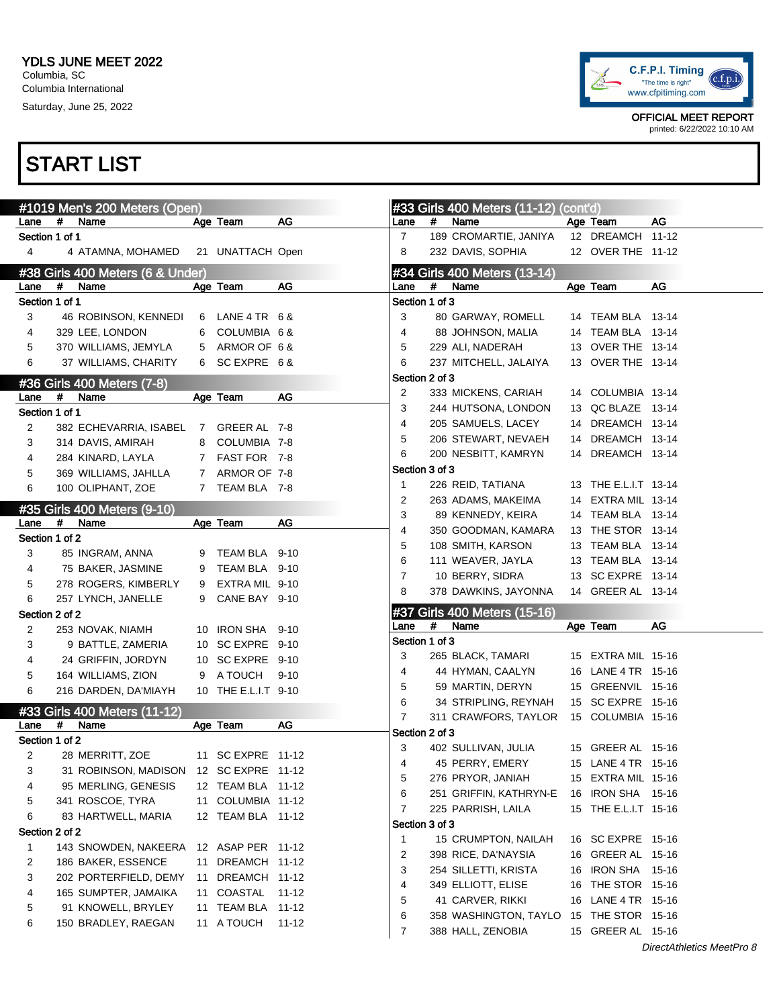

OFFICIAL MEET REPORT printed: 6/22/2022 10:10 AM

|                        |      | #1019 Men's 200 Meters (Open)          |   |                     |          |                     |      | #33 Girls 400 Meters (11-12) (cont'd) |                      |                           |
|------------------------|------|----------------------------------------|---|---------------------|----------|---------------------|------|---------------------------------------|----------------------|---------------------------|
| Lane                   | #    | Name                                   |   | Age Team            | AG       | Lane                | $\#$ | Name                                  | Age Team             | AG                        |
| Section 1 of 1         |      |                                        |   |                     |          | $\overline{7}$      |      | 189 CROMARTIE, JANIYA                 | 12 DREAMCH 11-12     |                           |
| 4                      |      | 4 ATAMNA, MOHAMED                      |   | 21 UNATTACH Open    |          | 8                   |      | 232 DAVIS, SOPHIA                     | 12 OVER THE 11-12    |                           |
|                        |      | #38 Girls 400 Meters (6 & Under)       |   |                     |          |                     |      | #34 Girls 400 Meters (13-14)          |                      |                           |
| Lane                   | $\#$ | Name                                   |   | Age Team            | AG       | Lane                | #    | Name                                  | Age Team             | AG                        |
| Section 1 of 1         |      |                                        |   |                     |          | Section 1 of 3      |      |                                       |                      |                           |
| 3                      |      | 46 ROBINSON, KENNEDI                   |   | 6 LANE 4 TR 6 &     |          | 3                   |      | 80 GARWAY, ROMELL                     | 14 TEAM BLA 13-14    |                           |
| 4                      |      | 329 LEE, LONDON                        |   | 6 COLUMBIA 6 &      |          | 4                   |      | 88 JOHNSON, MALIA                     | 14 TEAM BLA 13-14    |                           |
| 5                      |      | 370 WILLIAMS, JEMYLA                   |   | 5 ARMOR OF 6&       |          | 5                   |      | 229 ALI, NADERAH                      | 13 OVER THE 13-14    |                           |
| 6                      |      | 37 WILLIAMS, CHARITY                   |   | 6 SC EXPRE 6&       |          | 6                   |      | 237 MITCHELL, JALAIYA                 | 13 OVER THE 13-14    |                           |
|                        |      |                                        |   |                     |          | Section 2 of 3      |      |                                       |                      |                           |
|                        | #    | #36 Girls 400 Meters (7-8)             |   |                     | AG       | 2                   |      | 333 MICKENS, CARIAH                   | 14 COLUMBIA 13-14    |                           |
| Lane                   |      | Name                                   |   | Age Team            |          | 3                   |      | 244 HUTSONA, LONDON                   | 13 QC BLAZE 13-14    |                           |
| Section 1 of 1         |      |                                        |   |                     |          | 4                   |      | 205 SAMUELS, LACEY                    | 14 DREAMCH 13-14     |                           |
| 2                      |      | 382 ECHEVARRIA, ISABEL 7 GREER AL 7-8  |   |                     |          | 5                   |      | 206 STEWART, NEVAEH                   | 14 DREAMCH 13-14     |                           |
| 3                      |      | 314 DAVIS, AMIRAH                      |   | 8 COLUMBIA 7-8      |          | 6                   |      | 200 NESBITT, KAMRYN                   | 14 DREAMCH 13-14     |                           |
| 4                      |      | 284 KINARD, LAYLA                      |   | 7 FAST FOR 7-8      |          | Section 3 of 3      |      |                                       |                      |                           |
| 5                      |      | 369 WILLIAMS, JAHLLA                   |   | 7 ARMOR OF 7-8      |          | 1                   |      | 226 REID, TATIANA                     | 13 THE E.L.I.T 13-14 |                           |
| 6                      |      | 100 OLIPHANT, ZOE                      |   | 7 TEAM BLA 7-8      |          | 2                   |      | 263 ADAMS, MAKEIMA                    | 14 EXTRA MIL 13-14   |                           |
|                        |      | #35 Girls 400 Meters (9-10)            |   |                     |          | 3                   |      | 89 KENNEDY, KEIRA                     | 14 TEAM BLA 13-14    |                           |
| Lane                   | #    | Name                                   |   | Age Team            | AG       | 4                   |      |                                       | 13 THE STOR 13-14    |                           |
| Section 1 of 2         |      |                                        |   |                     |          |                     |      | 350 GOODMAN, KAMARA                   |                      |                           |
| 3                      |      | 85 INGRAM, ANNA                        |   | 9 TEAM BLA 9-10     |          | 5                   |      | 108 SMITH, KARSON                     | 13 TEAM BLA 13-14    |                           |
| 4                      |      | 75 BAKER, JASMINE                      |   | 9 TEAM BLA 9-10     |          | 6                   |      | 111 WEAVER, JAYLA                     | 13 TEAM BLA 13-14    |                           |
| 5                      |      | 278 ROGERS, KIMBERLY                   |   | 9 EXTRA MIL 9-10    |          | $\overline{7}$      |      | 10 BERRY, SIDRA                       | 13 SC EXPRE 13-14    |                           |
| 6                      |      | 257 LYNCH, JANELLE                     | 9 | CANE BAY 9-10       |          | 8                   |      | 378 DAWKINS, JAYONNA                  | 14 GREER AL 13-14    |                           |
| Section 2 of 2         |      |                                        |   |                     |          |                     |      | #37 Girls 400 Meters (15-16)          |                      |                           |
| 2                      |      | 253 NOVAK, NIAMH                       |   | 10 IRON SHA 9-10    |          | Lane                | #    | Name                                  | Age Team             | AG                        |
| 3                      |      | 9 BATTLE, ZAMERIA                      |   | 10 SC EXPRE 9-10    |          | Section 1 of 3      |      |                                       |                      |                           |
| 4                      |      | 24 GRIFFIN, JORDYN                     |   | 10 SC EXPRE 9-10    |          | 3                   |      | 265 BLACK, TAMARI                     | 15 EXTRA MIL 15-16   |                           |
| 5                      |      | 164 WILLIAMS, ZION                     |   | 9 A TOUCH           | $9 - 10$ | 4                   |      | 44 HYMAN, CAALYN                      | 16 LANE 4 TR 15-16   |                           |
| 6                      |      | 216 DARDEN, DA'MIAYH                   |   | 10 THE E.L.I.T 9-10 |          | 5                   |      | 59 MARTIN, DERYN                      | 15 GREENVIL 15-16    |                           |
|                        |      |                                        |   |                     |          | 6                   |      | 34 STRIPLING, REYNAH                  | 15 SC EXPRE 15-16    |                           |
|                        | #    | #33 Girls 400 Meters (11-12)<br>Name   |   | Age Team            | AG       | 7                   |      | 311 CRAWFORS, TAYLOR                  | 15 COLUMBIA 15-16    |                           |
| Lane<br>Section 1 of 2 |      |                                        |   |                     |          | Section 2 of 3      |      |                                       |                      |                           |
|                        |      |                                        |   |                     |          | 3                   |      | 402 SULLIVAN, JULIA                   | 15 GREER AL 15-16    |                           |
| 2                      |      | 28 MERRITT, ZOE                        |   | 11 SC EXPRE 11-12   |          | 4                   |      | 45 PERRY, EMERY                       | 15 LANE 4 TR 15-16   |                           |
| 3                      |      | 31 ROBINSON, MADISON 12 SC EXPRE 11-12 |   |                     |          | 5                   |      | 276 PRYOR, JANIAH                     | 15 EXTRA MIL 15-16   |                           |
| 4                      |      | 95 MERLING, GENESIS                    |   | 12 TEAM BLA 11-12   |          | 6                   |      | 251 GRIFFIN, KATHRYN-E                | 16 IRON SHA 15-16    |                           |
| 5                      |      | 341 ROSCOE, TYRA                       |   | 11 COLUMBIA 11-12   |          |                     |      |                                       |                      |                           |
| 6                      |      |                                        |   |                     |          | $\overline{7}$      |      | 225 PARRISH, LAILA                    | 15 THE E.L.I.T 15-16 |                           |
|                        |      | 83 HARTWELL, MARIA                     |   | 12 TEAM BLA 11-12   |          |                     |      |                                       |                      |                           |
| Section 2 of 2         |      |                                        |   |                     |          | Section 3 of 3<br>1 |      | 15 CRUMPTON, NAILAH                   |                      |                           |
| 1                      |      | 143 SNOWDEN, NAKEERA                   |   | 12 ASAP PER 11-12   |          |                     |      |                                       | 16 SC EXPRE 15-16    |                           |
| 2                      |      | 186 BAKER, ESSENCE                     |   | 11 DREAMCH 11-12    |          | 2                   |      | 398 RICE, DA'NAYSIA                   | 16 GREER AL 15-16    |                           |
| 3                      |      | 202 PORTERFIELD, DEMY                  |   | 11 DREAMCH 11-12    |          | 3                   |      | 254 SILLETTI, KRISTA                  | 16 IRON SHA 15-16    |                           |
| 4                      |      | 165 SUMPTER, JAMAIKA                   |   | 11 COASTAL 11-12    |          | 4                   |      | 349 ELLIOTT, ELISE                    | 16 THE STOR 15-16    |                           |
| 5                      |      | 91 KNOWELL, BRYLEY                     |   | 11 TEAM BLA 11-12   |          | 5                   |      | 41 CARVER, RIKKI                      | 16 LANE 4 TR 15-16   |                           |
| 6                      |      | 150 BRADLEY, RAEGAN                    |   | 11 A TOUCH          | 11-12    | 6                   |      | 358 WASHINGTON, TAYLO                 | 15 THE STOR 15-16    |                           |
|                        |      |                                        |   |                     |          | $\overline{7}$      |      | 388 HALL, ZENOBIA                     | 15 GREER AL  15-16   | DirectAthletics MeetPro 8 |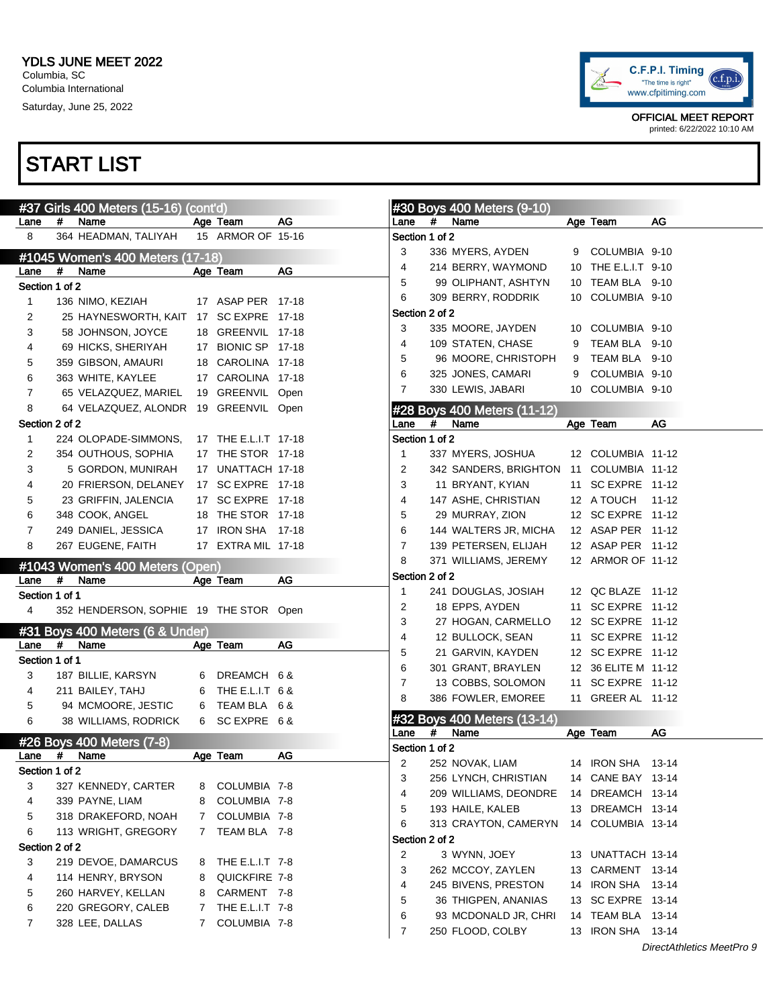

|                |      | #37 Girls 400 Meters (15-16) (cont'd)   |   |                      |    |                        |   | #30 Boys 400 Meters (9-10)              |                     |                           |
|----------------|------|-----------------------------------------|---|----------------------|----|------------------------|---|-----------------------------------------|---------------------|---------------------------|
| Lane           | #    | Name                                    |   | Age Team             | AG | Lane                   | # | Name                                    | Age Team            | AG                        |
| 8              |      | 364 HEADMAN, TALIYAH                    |   | 15 ARMOR OF 15-16    |    | Section 1 of 2         |   |                                         |                     |                           |
|                |      | #1045 Women's 400 Meters (17-18)        |   |                      |    | 3                      |   | 336 MYERS, AYDEN                        | 9 COLUMBIA 9-10     |                           |
| Lane           | #    | Name                                    |   | Age Team             | AG | 4                      |   | 214 BERRY, WAYMOND                      | 10 THE E.L.I.T 9-10 |                           |
| Section 1 of 2 |      |                                         |   |                      |    | 5                      |   | 99 OLIPHANT, ASHTYN                     | 10 TEAM BLA 9-10    |                           |
| 1              |      | 136 NIMO, KEZIAH                        |   | 17 ASAP PER 17-18    |    | 6                      |   | 309 BERRY, RODDRIK                      | 10 COLUMBIA 9-10    |                           |
| 2              |      | 25 HAYNESWORTH, KAIT 17 SC EXPRE 17-18  |   |                      |    | Section 2 of 2         |   |                                         |                     |                           |
| 3              |      | 58 JOHNSON, JOYCE                       |   | 18 GREENVIL 17-18    |    | 3                      |   | 335 MOORE, JAYDEN                       | 10 COLUMBIA 9-10    |                           |
| 4              |      | 69 HICKS, SHERIYAH                      |   | 17 BIONIC SP 17-18   |    | 4                      |   | 109 STATEN, CHASE                       | 9 TEAM BLA 9-10     |                           |
| 5              |      | 359 GIBSON, AMAURI                      |   | 18 CAROLINA 17-18    |    | 5                      |   | 96 MOORE, CHRISTOPH                     | 9 TEAM BLA 9-10     |                           |
| 6              |      | 363 WHITE, KAYLEE                       |   | 17 CAROLINA 17-18    |    | 6                      |   | 325 JONES, CAMARI                       | 9 COLUMBIA 9-10     |                           |
| 7              |      | 65 VELAZQUEZ, MARIEL                    |   | 19 GREENVIL Open     |    | $\overline{7}$         |   | 330 LEWIS, JABARI                       | 10 COLUMBIA 9-10    |                           |
| 8              |      | 64 VELAZQUEZ, ALONDR 19 GREENVIL Open   |   |                      |    |                        |   | #28 Boys 400 Meters (11-12)             |                     |                           |
| Section 2 of 2 |      |                                         |   |                      |    | Lane                   | # | Name                                    | Age Team            | AG                        |
| $\mathbf{1}$   |      | 224 OLOPADE-SIMMONS,                    |   | 17 THE E.L.I.T 17-18 |    | Section 1 of 2         |   |                                         |                     |                           |
| 2              |      | 354 OUTHOUS, SOPHIA                     |   | 17 THE STOR 17-18    |    | 1                      |   | 337 MYERS, JOSHUA                       | 12 COLUMBIA 11-12   |                           |
| 3              |      | 5 GORDON, MUNIRAH                       |   | 17 UNATTACH 17-18    |    | 2                      |   | 342 SANDERS, BRIGHTON 11 COLUMBIA 11-12 |                     |                           |
| 4              |      | 20 FRIERSON, DELANEY                    |   | 17 SC EXPRE 17-18    |    | 3                      |   | 11 BRYANT, KYIAN                        | 11 SC EXPRE 11-12   |                           |
| 5              |      | 23 GRIFFIN, JALENCIA                    |   | 17 SC EXPRE 17-18    |    | 4                      |   | 147 ASHE, CHRISTIAN                     | 12 A TOUCH 11-12    |                           |
| 6              |      | 348 COOK, ANGEL                         |   | 18 THE STOR 17-18    |    | 5                      |   | 29 MURRAY, ZION                         | 12 SC EXPRE 11-12   |                           |
| 7              |      | 249 DANIEL, JESSICA                     |   | 17 IRON SHA 17-18    |    | 6                      |   | 144 WALTERS JR, MICHA                   | 12 ASAP PER 11-12   |                           |
| 8              |      | 267 EUGENE, FAITH                       |   | 17 EXTRA MIL 17-18   |    | 7                      |   | 139 PETERSEN, ELIJAH                    | 12 ASAP PER 11-12   |                           |
|                |      |                                         |   |                      |    | 8                      |   | 371 WILLIAMS, JEREMY                    | 12 ARMOR OF 11-12   |                           |
| Lane           | #    | #1043 Women's 400 Meters (Open)<br>Name |   | Age Team             | AG | Section 2 of 2         |   |                                         |                     |                           |
| Section 1 of 1 |      |                                         |   |                      |    | 1                      |   | 241 DOUGLAS, JOSIAH                     | 12 QC BLAZE 11-12   |                           |
| 4              |      | 352 HENDERSON, SOPHIE 19 THE STOR Open  |   |                      |    | 2                      |   | 18 EPPS, AYDEN                          | 11 SC EXPRE 11-12   |                           |
|                |      |                                         |   |                      |    | 3                      |   | 27 HOGAN, CARMELLO                      | 12 SC EXPRE 11-12   |                           |
|                |      | #31 Boys 400 Meters (6 & Under)         |   |                      |    | 4                      |   | 12 BULLOCK, SEAN                        | 11 SC EXPRE 11-12   |                           |
| Lane           | $\#$ | Name                                    |   | Age Team             | AG | 5                      |   | 21 GARVIN, KAYDEN                       | 12 SC EXPRE 11-12   |                           |
| Section 1 of 1 |      |                                         |   |                      |    | 6                      |   | 301 GRANT, BRAYLEN                      | 12 36 ELITE M 11-12 |                           |
| 3              |      | 187 BILLIE, KARSYN                      |   | 6 DREAMCH 6 &        |    | 7                      |   | 13 COBBS, SOLOMON                       | 11 SC EXPRE 11-12   |                           |
| 4              |      | 211 BAILEY, TAHJ                        |   | 6 THE E.L.I.T 6 &    |    | 8                      |   | 386 FOWLER, EMOREE                      | 11 GREER AL 11-12   |                           |
| 5              |      | 94 MCMOORE, JESTIC                      |   | 6 TEAM BLA 6 &       |    |                        |   |                                         |                     |                           |
| 6              |      | 38 WILLIAMS, RODRICK                    |   | 6 SC EXPRE 6&        |    |                        |   | #32 Boys 400 Meters (13-14)             |                     |                           |
|                |      | #26 Boys 400 Meters (7-8)               |   |                      |    | Lane<br>Section 1 of 2 | # | Name                                    | Age Team            | AG                        |
| Lane           | #    | Name                                    |   | Age Team             | AG | 2                      |   | 252 NOVAK, LIAM                         | 14 IRON SHA 13-14   |                           |
| Section 1 of 2 |      |                                         |   |                      |    | 3                      |   | 256 LYNCH, CHRISTIAN                    | 14 CANE BAY 13-14   |                           |
| 3              |      | 327 KENNEDY, CARTER                     |   | 8 COLUMBIA 7-8       |    | 4                      |   | 209 WILLIAMS, DEONDRE                   | 14 DREAMCH 13-14    |                           |
| 4              |      | 339 PAYNE, LIAM                         |   | 8 COLUMBIA 7-8       |    |                        |   | 193 HAILE, KALEB                        |                     |                           |
| 5              |      | 318 DRAKEFORD, NOAH                     |   | 7 COLUMBIA 7-8       |    | 5                      |   | 313 CRAYTON, CAMERYN                    | 13 DREAMCH 13-14    |                           |
| 6              |      | 113 WRIGHT, GREGORY                     |   | 7 TEAM BLA 7-8       |    | 6                      |   |                                         | 14 COLUMBIA 13-14   |                           |
| Section 2 of 2 |      |                                         |   |                      |    | Section 2 of 2         |   | 3 WYNN, JOEY                            |                     |                           |
| 3              |      | 219 DEVOE, DAMARCUS                     |   | 8 THE E.L.I.T 7-8    |    | $\overline{2}$         |   |                                         | 13 UNATTACH 13-14   |                           |
| 4              |      | 114 HENRY, BRYSON                       | 8 | QUICKFIRE 7-8        |    | 3                      |   | 262 MCCOY, ZAYLEN                       | 13 CARMENT 13-14    |                           |
| 5              |      | 260 HARVEY, KELLAN                      | 8 | CARMENT 7-8          |    | 4                      |   | 245 BIVENS, PRESTON                     | 14 IRON SHA 13-14   |                           |
| 6              |      | 220 GREGORY, CALEB                      |   | 7 THE E.L.I.T 7-8    |    | 5                      |   | 36 THIGPEN, ANANIAS                     | 13 SC EXPRE 13-14   |                           |
| 7              |      | 328 LEE, DALLAS                         | 7 | COLUMBIA 7-8         |    | 6                      |   | 93 MCDONALD JR, CHRI                    | 14 TEAM BLA 13-14   |                           |
|                |      |                                         |   |                      |    | $\overline{7}$         |   | 250 FLOOD, COLBY                        | 13 IRON SHA  13-14  |                           |
|                |      |                                         |   |                      |    |                        |   |                                         |                     | DirectAthletics MeetPro 9 |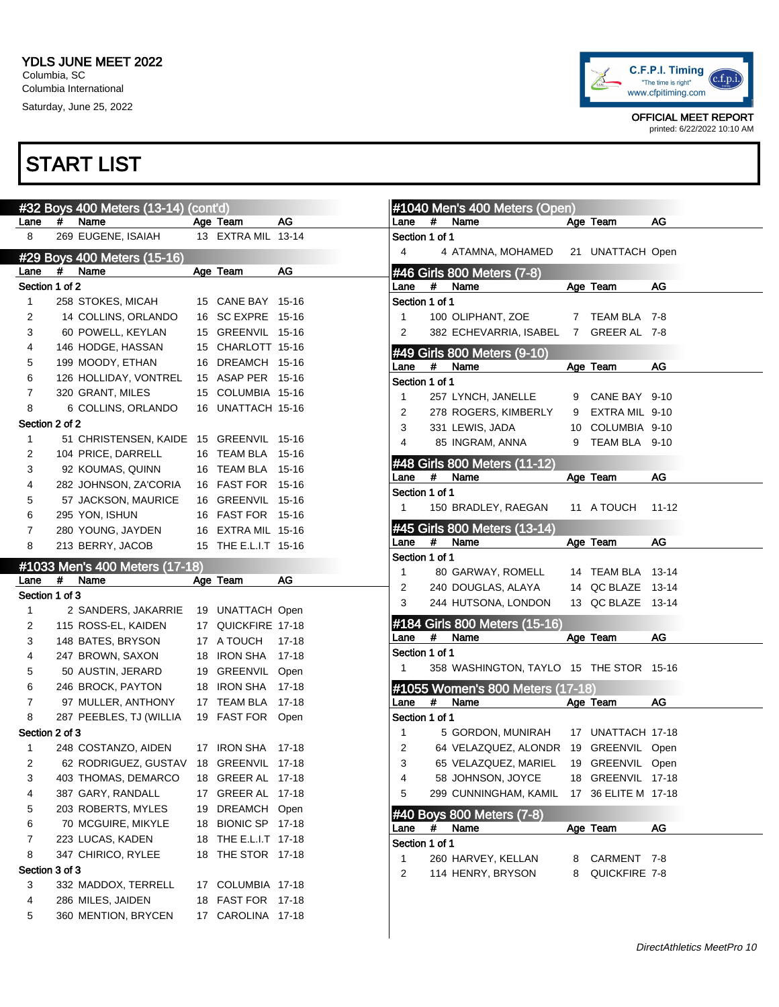

|                |                                         |                                  |                                                                                                                                                                                                                                                                                                                                                                                                                         |                                |                                     | #1040 Mei                                                                                                                                                                                                                                                                                                                                                              |                                                                                                                                                                                                                                                          |
|----------------|-----------------------------------------|----------------------------------|-------------------------------------------------------------------------------------------------------------------------------------------------------------------------------------------------------------------------------------------------------------------------------------------------------------------------------------------------------------------------------------------------------------------------|--------------------------------|-------------------------------------|------------------------------------------------------------------------------------------------------------------------------------------------------------------------------------------------------------------------------------------------------------------------------------------------------------------------------------------------------------------------|----------------------------------------------------------------------------------------------------------------------------------------------------------------------------------------------------------------------------------------------------------|
| Lane           | #                                       | Name                             |                                                                                                                                                                                                                                                                                                                                                                                                                         |                                | AG                                  | Lane                                                                                                                                                                                                                                                                                                                                                                   | #                                                                                                                                                                                                                                                        |
| 8              |                                         |                                  |                                                                                                                                                                                                                                                                                                                                                                                                                         |                                |                                     |                                                                                                                                                                                                                                                                                                                                                                        |                                                                                                                                                                                                                                                          |
|                |                                         |                                  |                                                                                                                                                                                                                                                                                                                                                                                                                         |                                |                                     | 4                                                                                                                                                                                                                                                                                                                                                                      | 4                                                                                                                                                                                                                                                        |
| Lane           | #                                       | Name                             |                                                                                                                                                                                                                                                                                                                                                                                                                         |                                | AG                                  |                                                                                                                                                                                                                                                                                                                                                                        |                                                                                                                                                                                                                                                          |
|                |                                         |                                  |                                                                                                                                                                                                                                                                                                                                                                                                                         |                                |                                     | Lane                                                                                                                                                                                                                                                                                                                                                                   | #                                                                                                                                                                                                                                                        |
| $\mathbf{1}$   |                                         |                                  |                                                                                                                                                                                                                                                                                                                                                                                                                         |                                |                                     |                                                                                                                                                                                                                                                                                                                                                                        |                                                                                                                                                                                                                                                          |
| $\overline{2}$ |                                         |                                  |                                                                                                                                                                                                                                                                                                                                                                                                                         |                                |                                     | $\mathbf{1}$                                                                                                                                                                                                                                                                                                                                                           | 100                                                                                                                                                                                                                                                      |
| 3              |                                         |                                  |                                                                                                                                                                                                                                                                                                                                                                                                                         |                                |                                     | $\overline{2}$                                                                                                                                                                                                                                                                                                                                                         | 382                                                                                                                                                                                                                                                      |
| 4              |                                         |                                  |                                                                                                                                                                                                                                                                                                                                                                                                                         |                                |                                     |                                                                                                                                                                                                                                                                                                                                                                        |                                                                                                                                                                                                                                                          |
| 5              |                                         |                                  |                                                                                                                                                                                                                                                                                                                                                                                                                         |                                |                                     |                                                                                                                                                                                                                                                                                                                                                                        | #                                                                                                                                                                                                                                                        |
| 6              |                                         |                                  |                                                                                                                                                                                                                                                                                                                                                                                                                         |                                |                                     |                                                                                                                                                                                                                                                                                                                                                                        |                                                                                                                                                                                                                                                          |
| $\overline{7}$ |                                         |                                  |                                                                                                                                                                                                                                                                                                                                                                                                                         |                                |                                     |                                                                                                                                                                                                                                                                                                                                                                        | 257                                                                                                                                                                                                                                                      |
| 8              |                                         |                                  |                                                                                                                                                                                                                                                                                                                                                                                                                         |                                |                                     |                                                                                                                                                                                                                                                                                                                                                                        | 278                                                                                                                                                                                                                                                      |
|                |                                         |                                  |                                                                                                                                                                                                                                                                                                                                                                                                                         |                                |                                     |                                                                                                                                                                                                                                                                                                                                                                        | 331                                                                                                                                                                                                                                                      |
| $\mathbf{1}$   |                                         |                                  |                                                                                                                                                                                                                                                                                                                                                                                                                         |                                |                                     |                                                                                                                                                                                                                                                                                                                                                                        | 85                                                                                                                                                                                                                                                       |
| 2              |                                         |                                  |                                                                                                                                                                                                                                                                                                                                                                                                                         |                                | $15 - 16$                           |                                                                                                                                                                                                                                                                                                                                                                        |                                                                                                                                                                                                                                                          |
|                |                                         |                                  |                                                                                                                                                                                                                                                                                                                                                                                                                         |                                |                                     |                                                                                                                                                                                                                                                                                                                                                                        |                                                                                                                                                                                                                                                          |
|                |                                         |                                  |                                                                                                                                                                                                                                                                                                                                                                                                                         |                                |                                     |                                                                                                                                                                                                                                                                                                                                                                        | #                                                                                                                                                                                                                                                        |
|                |                                         |                                  |                                                                                                                                                                                                                                                                                                                                                                                                                         |                                |                                     |                                                                                                                                                                                                                                                                                                                                                                        |                                                                                                                                                                                                                                                          |
|                |                                         |                                  |                                                                                                                                                                                                                                                                                                                                                                                                                         |                                |                                     |                                                                                                                                                                                                                                                                                                                                                                        | 150                                                                                                                                                                                                                                                      |
|                |                                         |                                  |                                                                                                                                                                                                                                                                                                                                                                                                                         |                                |                                     |                                                                                                                                                                                                                                                                                                                                                                        |                                                                                                                                                                                                                                                          |
|                |                                         |                                  |                                                                                                                                                                                                                                                                                                                                                                                                                         |                                |                                     | Lane                                                                                                                                                                                                                                                                                                                                                                   | #                                                                                                                                                                                                                                                        |
|                |                                         |                                  |                                                                                                                                                                                                                                                                                                                                                                                                                         |                                |                                     |                                                                                                                                                                                                                                                                                                                                                                        |                                                                                                                                                                                                                                                          |
|                |                                         |                                  |                                                                                                                                                                                                                                                                                                                                                                                                                         |                                |                                     | 1                                                                                                                                                                                                                                                                                                                                                                      | 80                                                                                                                                                                                                                                                       |
|                |                                         |                                  |                                                                                                                                                                                                                                                                                                                                                                                                                         |                                |                                     |                                                                                                                                                                                                                                                                                                                                                                        |                                                                                                                                                                                                                                                          |
|                |                                         |                                  |                                                                                                                                                                                                                                                                                                                                                                                                                         |                                |                                     | 2                                                                                                                                                                                                                                                                                                                                                                      | 240                                                                                                                                                                                                                                                      |
| Section 1 of 3 |                                         |                                  |                                                                                                                                                                                                                                                                                                                                                                                                                         |                                |                                     | 3                                                                                                                                                                                                                                                                                                                                                                      | 244                                                                                                                                                                                                                                                      |
| 1              |                                         | 2 SANDERS, JAKARRIE              |                                                                                                                                                                                                                                                                                                                                                                                                                         | 19 UNATTACH Open               |                                     |                                                                                                                                                                                                                                                                                                                                                                        |                                                                                                                                                                                                                                                          |
| 2              |                                         | 115 ROSS-EL, KAIDEN              |                                                                                                                                                                                                                                                                                                                                                                                                                         | 17 QUICKFIRE 17-18             |                                     | #184 Girls                                                                                                                                                                                                                                                                                                                                                             |                                                                                                                                                                                                                                                          |
| 3              |                                         | 148 BATES, BRYSON                |                                                                                                                                                                                                                                                                                                                                                                                                                         | 17 A TOUCH                     | 17-18                               | Lane                                                                                                                                                                                                                                                                                                                                                                   | #                                                                                                                                                                                                                                                        |
| 4              |                                         | 247 BROWN, SAXON                 |                                                                                                                                                                                                                                                                                                                                                                                                                         | 18 IRON SHA                    | $17 - 18$                           | Section 1 of '                                                                                                                                                                                                                                                                                                                                                         |                                                                                                                                                                                                                                                          |
| 5              |                                         | 50 AUSTIN, JERARD                |                                                                                                                                                                                                                                                                                                                                                                                                                         | 19 GREENVIL                    | Open                                | 1                                                                                                                                                                                                                                                                                                                                                                      | 358                                                                                                                                                                                                                                                      |
| 6              |                                         | 246 BROCK, PAYTON                |                                                                                                                                                                                                                                                                                                                                                                                                                         | 18 IRON SHA                    | $17 - 18$                           | #1055 Wo                                                                                                                                                                                                                                                                                                                                                               |                                                                                                                                                                                                                                                          |
| 7              |                                         | 97 MULLER, ANTHONY               |                                                                                                                                                                                                                                                                                                                                                                                                                         | 17 TEAM BLA                    | $17 - 18$                           | Lane                                                                                                                                                                                                                                                                                                                                                                   | #                                                                                                                                                                                                                                                        |
| 8              |                                         | 287 PEEBLES, TJ (WILLIA          |                                                                                                                                                                                                                                                                                                                                                                                                                         | 19 FAST FOR                    | Open                                | Section 1 of 1                                                                                                                                                                                                                                                                                                                                                         |                                                                                                                                                                                                                                                          |
| Section 2 of 3 |                                         |                                  |                                                                                                                                                                                                                                                                                                                                                                                                                         |                                |                                     | 1                                                                                                                                                                                                                                                                                                                                                                      | 5                                                                                                                                                                                                                                                        |
| 1              |                                         | 248 COSTANZO, AIDEN              |                                                                                                                                                                                                                                                                                                                                                                                                                         | 17 IRON SHA                    | 17-18                               | 2                                                                                                                                                                                                                                                                                                                                                                      | 64                                                                                                                                                                                                                                                       |
| 2              |                                         | 62 RODRIGUEZ, GUSTAV 18 GREENVIL |                                                                                                                                                                                                                                                                                                                                                                                                                         |                                | 17-18                               | 3                                                                                                                                                                                                                                                                                                                                                                      | 65                                                                                                                                                                                                                                                       |
| 3              |                                         | 403 THOMAS, DEMARCO              |                                                                                                                                                                                                                                                                                                                                                                                                                         | 18 GREER AL                    | 17-18                               | 4                                                                                                                                                                                                                                                                                                                                                                      | 58                                                                                                                                                                                                                                                       |
| 4              |                                         | 387 GARY, RANDALL                | 17                                                                                                                                                                                                                                                                                                                                                                                                                      | <b>GREER AL</b>                | 17-18                               | 5                                                                                                                                                                                                                                                                                                                                                                      | 299                                                                                                                                                                                                                                                      |
| 5              |                                         | 203 ROBERTS, MYLES               | 19                                                                                                                                                                                                                                                                                                                                                                                                                      | <b>DREAMCH</b>                 | Open                                |                                                                                                                                                                                                                                                                                                                                                                        |                                                                                                                                                                                                                                                          |
| 6              |                                         | 70 MCGUIRE, MIKYLE               | 18                                                                                                                                                                                                                                                                                                                                                                                                                      | <b>BIONIC SP</b>               | 17-18                               | #40 Boys<br>Lane                                                                                                                                                                                                                                                                                                                                                       | #                                                                                                                                                                                                                                                        |
| 7              |                                         | 223 LUCAS, KADEN                 | 18                                                                                                                                                                                                                                                                                                                                                                                                                      | THE E.L.I.T                    | 17-18                               | Section 1 of '                                                                                                                                                                                                                                                                                                                                                         |                                                                                                                                                                                                                                                          |
| 8              |                                         | 347 CHIRICO, RYLEE               | 18                                                                                                                                                                                                                                                                                                                                                                                                                      | THE STOR                       | 17-18                               | 1                                                                                                                                                                                                                                                                                                                                                                      | 260                                                                                                                                                                                                                                                      |
| Section 3 of 3 |                                         |                                  |                                                                                                                                                                                                                                                                                                                                                                                                                         |                                |                                     | 2                                                                                                                                                                                                                                                                                                                                                                      | 114                                                                                                                                                                                                                                                      |
| 3              |                                         | 332 MADDOX, TERRELL              |                                                                                                                                                                                                                                                                                                                                                                                                                         | 17 COLUMBIA 17-18              |                                     |                                                                                                                                                                                                                                                                                                                                                                        |                                                                                                                                                                                                                                                          |
| 4              |                                         | 286 MILES, JAIDEN                |                                                                                                                                                                                                                                                                                                                                                                                                                         | 18 FAST FOR                    | 17-18                               |                                                                                                                                                                                                                                                                                                                                                                        |                                                                                                                                                                                                                                                          |
| 5              |                                         | 360 MENTION, BRYCEN              | 17                                                                                                                                                                                                                                                                                                                                                                                                                      | CAROLINA                       | 17-18                               |                                                                                                                                                                                                                                                                                                                                                                        |                                                                                                                                                                                                                                                          |
|                | 3<br>4<br>5<br>6<br>$\overline{7}$<br>8 |                                  | 269 EUGENE, ISAIAH<br>#29 Boys 400 Meters (15-16)<br>Section 1 of 2<br>258 STOKES, MICAH<br>14 COLLINS, ORLANDO<br>60 POWELL, KEYLAN<br>146 HODGE, HASSAN<br>199 MOODY, ETHAN<br>126 HOLLIDAY, VONTREL<br>320 GRANT, MILES<br>6 COLLINS, ORLANDO<br>Section 2 of 2<br>104 PRICE, DARRELL<br>92 KOUMAS, QUINN<br>282 JOHNSON, ZA'CORIA<br>57 JACKSON, MAURICE<br>295 YON, ISHUN<br>280 YOUNG, JAYDEN<br>213 BERRY, JACOB | #1033 Men's 400 Meters (17-18) | Age Team<br>Age Team<br>16 TEAM BLA | 13 EXTRA MIL 13-14<br>15 CANE BAY 15-16<br>16 SC EXPRE 15-16<br>15 GREENVIL 15-16<br>15 CHARLOTT 15-16<br>16 DREAMCH 15-16<br>15 ASAP PER 15-16<br>15 COLUMBIA 15-16<br>16 UNATTACH 15-16<br>51 CHRISTENSEN, KAIDE 15 GREENVIL 15-16<br>16 TEAM BLA 15-16<br>16 FAST FOR 15-16<br>16 GREENVIL 15-16<br>16 FAST FOR 15-16<br>16 EXTRA MIL 15-16<br>15 THE E.L.I.T 15-16 | Section 1 of '<br>#46 Girls &<br>Section 1 of '<br>#49 Girls &<br>Lane<br>Section 1 of '<br>1<br>2<br>3<br>4<br>#48 Girls 8<br>Lane<br>Section 1 of '<br>$\mathbf{1}$<br><b>#45 Girls &amp;</b><br>Section 1 of '<br>Age Team<br>AG<br>Lane<br>#<br>Name |

| Lane                       |   | #1040 Men's 400 Meters (Open)         |    |                    |           |
|----------------------------|---|---------------------------------------|----|--------------------|-----------|
|                            | # | Name                                  |    | Age Team           | AG        |
| Section 1 of 1             |   |                                       |    |                    |           |
| 4                          |   | 4 ATAMNA, MOHAMED 21 UNATTACH Open    |    |                    |           |
|                            |   | #46 Girls 800 Meters (7-8)            |    |                    |           |
| Lane                       | # | Name                                  |    | Age Team           | AG        |
| Section 1 of 1             |   |                                       |    |                    |           |
| 1 $\blacksquare$           |   | 100 OLIPHANT, ZOE                     |    | 7 TEAM BLA 7-8     |           |
| $\overline{2}$             |   | 382 ECHEVARRIA, ISABEL 7 GREER AL 7-8 |    |                    |           |
|                            |   |                                       |    |                    |           |
|                            |   | #49 Girls 800 Meters (9-10)           |    |                    |           |
| Lane<br>Section 1 of 1     | # | Name                                  |    | Age Team           | AG        |
|                            |   |                                       |    |                    |           |
| 1                          |   | 257 LYNCH, JANELLE                    |    | 9 CANE BAY 9-10    |           |
| 2                          |   | 278 ROGERS, KIMBERLY                  |    | 9 EXTRA MIL 9-10   |           |
| 3                          |   | 331 LEWIS, JADA                       |    | 10 COLUMBIA 9-10   |           |
| 4                          |   | 85 INGRAM, ANNA                       | 9  | TEAM BLA 9-10      |           |
|                            |   | #48 Girls 800 Meters (11-12)          |    |                    |           |
| Lane                       | # | Name                                  |    | Age Team           | AG        |
| Section 1 of 1             |   |                                       |    |                    |           |
| 1 $\overline{\phantom{a}}$ |   | 150 BRADLEY, RAEGAN                   |    | 11 A TOUCH         | 11-12     |
|                            |   | #45 Girls 800 Meters (13-14)          |    |                    |           |
| Lane                       | # | Name                                  |    | Age Team           | AG        |
| Section 1 of 1             |   |                                       |    |                    |           |
| 1                          |   | 80 GARWAY, ROMELL                     |    | 14 TEAM BLA 13-14  |           |
| 2                          |   | 240 DOUGLAS, ALAYA                    |    | 14 QC BLAZE  13-14 |           |
| 3                          |   | 244 HUTSONA, LONDON                   |    | 13 QC BLAZE        | $13 - 14$ |
|                            |   | #184 Girls 800 Meters (15-16)         |    |                    |           |
| Lane                       | # |                                       |    |                    |           |
|                            |   | Name                                  |    |                    | AG        |
| Section 1 of 1             |   |                                       |    | Age Team           |           |
| 1.                         |   | 358 WASHINGTON, TAYLO 15 THE STOR     |    |                    | 15-16     |
|                            |   |                                       |    |                    |           |
|                            |   | #1055 Women's 800 Meters (17-18)      |    |                    |           |
| Lane                       | # | Name                                  |    | Age Team           | AG        |
| Section 1 of 1             |   |                                       |    |                    |           |
| 1                          |   | 5 GORDON, MUNIRAH 17 UNATTACH 17-18   |    |                    |           |
| 2                          |   | 64 VELAZQUEZ, ALONDR 19 GREENVIL Open |    |                    |           |
| 3                          |   | 65 VELAZQUEZ, MARIEL 19 GREENVIL Open |    |                    |           |
| 4                          |   | 58 JOHNSON, JOYCE                     |    | 18 GREENVIL        | $17 - 18$ |
| 5                          |   | 299 CUNNINGHAM, KAMIL                 | 17 | 36 ELITE M 17-18   |           |
|                            |   | #40 Boys 800 Meters (7-8)             |    |                    |           |
| Lane                       | # | Name                                  |    | Age Team           | AG        |
| Section 1 of 1             |   |                                       |    |                    |           |
| 1                          |   | 260 HARVEY, KELLAN                    | 8  | CARMENT            | 7-8       |
| 2                          |   | 114 HENRY, BRYSON                     | 8  | QUICKFIRE 7-8      |           |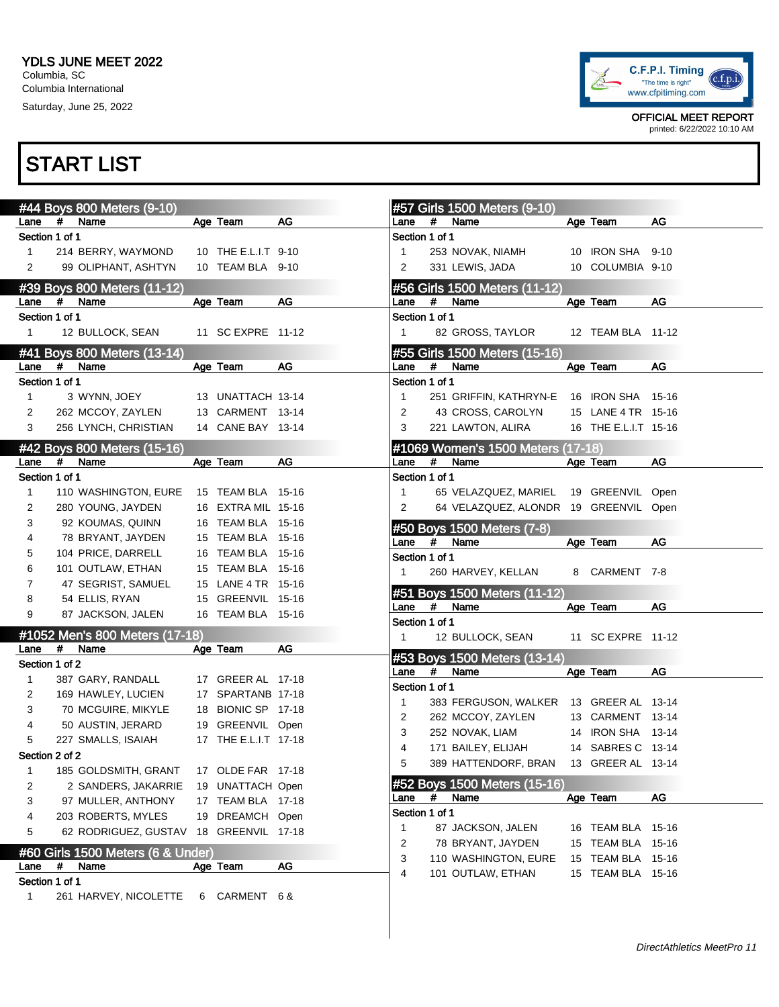

OFFICIAL MEET REPORT printed: 6/22/2022 10:10 AM

|                        |   | #44 Boys 800 Meters (9-10)        |                      |    |                        |   | #57 Girls 1500 Meters (9-10)          |                      |       |
|------------------------|---|-----------------------------------|----------------------|----|------------------------|---|---------------------------------------|----------------------|-------|
| Lane                   | # | Name                              | Age Team             | AG | Lane                   | # | Name                                  | Age Team             | AG    |
| Section 1 of 1         |   |                                   |                      |    | Section 1 of 1         |   |                                       |                      |       |
| 1                      |   | 214 BERRY, WAYMOND                | 10 THE E.L.I.T 9-10  |    |                        |   | 253 NOVAK, NIAMH                      | 10 IRON SHA 9-10     |       |
| 2                      |   | 99 OLIPHANT, ASHTYN               | 10 TEAM BLA 9-10     |    | 2                      |   | 331 LEWIS, JADA                       | 10 COLUMBIA 9-10     |       |
|                        |   | #39 Boys 800 Meters (11-12)       |                      |    |                        |   | #56 Girls 1500 Meters (11-12)         |                      |       |
| Lane                   | # | Name                              | Age Team             | AG | Lane                   | # | Name                                  | Age Team             | AG    |
| Section 1 of 1         |   |                                   |                      |    | Section 1 of 1         |   |                                       |                      |       |
| $\mathbf{1}$           |   | 12 BULLOCK, SEAN                  | 11 SC EXPRE 11-12    |    | $\mathbf{1}$           |   | 82 GROSS, TAYLOR                      | 12 TEAM BLA 11-12    |       |
|                        |   |                                   |                      |    |                        |   |                                       |                      |       |
|                        | # | #41 Boys 800 Meters (13-14)       |                      |    |                        |   | #55 Girls 1500 Meters (15-16)         |                      |       |
| Lane<br>Section 1 of 1 |   | Name                              | Age Team             | AG | Lane<br>Section 1 of 1 | # | Name                                  | Age Team             | AG    |
|                        |   |                                   |                      |    |                        |   |                                       |                      |       |
| 1                      |   | 3 WYNN, JOEY                      | 13 UNATTACH 13-14    |    | $\mathbf{1}$           |   | 251 GRIFFIN, KATHRYN-E                | 16 IRON SHA 15-16    |       |
| 2                      |   | 262 MCCOY, ZAYLEN                 | 13 CARMENT 13-14     |    | 2                      |   | 43 CROSS, CAROLYN                     | 15 LANE 4 TR 15-16   |       |
| 3                      |   | 256 LYNCH, CHRISTIAN              | 14 CANE BAY 13-14    |    | 3                      |   | 221 LAWTON, ALIRA                     | 16 THE E.L.I.T 15-16 |       |
|                        |   | #42 Boys 800 Meters (15-16)       |                      |    |                        |   | #1069 Women's 1500 Meters (17-18)     |                      |       |
| Lane                   | # | Name                              | Age Team             | AG | Lane                   | # | Name                                  | Age Team             | AG    |
| Section 1 of 1         |   |                                   |                      |    | Section 1 of 1         |   |                                       |                      |       |
| 1                      |   | 110 WASHINGTON, EURE              | 15 TEAM BLA 15-16    |    | $\mathbf{1}$           |   | 65 VELAZQUEZ, MARIEL                  | 19 GREENVIL Open     |       |
| 2                      |   | 280 YOUNG, JAYDEN                 | 16 EXTRA MIL 15-16   |    | 2                      |   | 64 VELAZQUEZ, ALONDR 19 GREENVIL Open |                      |       |
| 3                      |   | 92 KOUMAS, QUINN                  | 16 TEAM BLA 15-16    |    |                        |   | #50 Boys 1500 Meters (7-8)            |                      |       |
| 4                      |   | 78 BRYANT, JAYDEN                 | 15 TEAM BLA 15-16    |    | Lane                   | # | Name                                  | Age Team             | AG    |
| 5                      |   | 104 PRICE, DARRELL                | 16 TEAM BLA 15-16    |    | Section 1 of 1         |   |                                       |                      |       |
| 6                      |   | 101 OUTLAW, ETHAN                 | 15 TEAM BLA 15-16    |    |                        |   | 260 HARVEY, KELLAN                    | 8 CARMENT 7-8        |       |
| 7                      |   | 47 SEGRIST, SAMUEL                | 15 LANE 4 TR 15-16   |    |                        |   |                                       |                      |       |
| 8                      |   | 54 ELLIS, RYAN                    | 15 GREENVIL 15-16    |    |                        | # | #51 Boys 1500 Meters (11-12)<br>Name  |                      | AG    |
| 9                      |   | 87 JACKSON, JALEN                 | 16 TEAM BLA 15-16    |    | Lane<br>Section 1 of 1 |   |                                       | Age Team             |       |
|                        |   | #1052 Men's 800 Meters (17-18)    |                      |    | $\mathbf{1}$           |   | 12 BULLOCK, SEAN                      | 11 SC EXPRE 11-12    |       |
| Lane                   | # | Name                              | Age Team             | AG |                        |   |                                       |                      |       |
| Section 1 of 2         |   |                                   |                      |    |                        |   | #53 Boys 1500 Meters (13-14)          |                      |       |
| 1                      |   | 387 GARY, RANDALL                 | 17 GREER AL 17-18    |    | Lane                   | # | Name                                  | Age Team             | AG    |
| 2                      |   | 169 HAWLEY, LUCIEN                | 17 SPARTANB 17-18    |    | Section 1 of 1         |   |                                       |                      |       |
| 3                      |   | 70 MCGUIRE, MIKYLE                | 18 BIONIC SP 17-18   |    | 1                      |   | 383 FERGUSON, WALKER                  | 13 GREER AL 13-14    |       |
| 4                      |   | 50 AUSTIN, JERARD                 | 19 GREENVIL Open     |    | 2                      |   | 262 MCCOY, ZAYLEN                     | 13 CARMENT 13-14     |       |
| 5                      |   | 227 SMALLS, ISAIAH                | 17 THE E.L.I.T 17-18 |    | 3                      |   | 252 NOVAK, LIAM                       | 14 IRON SHA 13-14    |       |
| Section 2 of 2         |   |                                   |                      |    | 4                      |   | 171 BAILEY, ELIJAH                    | 14 SABRES C 13-14    |       |
| 1                      |   | 185 GOLDSMITH, GRANT              | 17 OLDE FAR 17-18    |    | 5                      |   | 389 HATTENDORF, BRAN                  | 13 GREER AL 13-14    |       |
| 2                      |   | 2 SANDERS, JAKARRIE               | 19 UNATTACH Open     |    |                        |   | #52 Boys 1500 Meters (15-16)          |                      |       |
| 3                      |   | 97 MULLER, ANTHONY                | 17 TEAM BLA 17-18    |    | Lane                   | # | Name                                  | Age Team             | AG    |
| 4                      |   | 203 ROBERTS, MYLES                | 19 DREAMCH Open      |    | Section 1 of 1         |   |                                       |                      |       |
| 5                      |   | 62 RODRIGUEZ, GUSTAV              | 18 GREENVIL 17-18    |    | 1                      |   | 87 JACKSON, JALEN                     | 16 TEAM BLA          | 15-16 |
|                        |   |                                   |                      |    | 2                      |   | 78 BRYANT, JAYDEN                     | 15 TEAM BLA          | 15-16 |
|                        |   | #60 Girls 1500 Meters (6 & Under) |                      |    | 3                      |   | 110 WASHINGTON, EURE                  | 15 TEAM BLA          | 15-16 |
| Lane                   | # | Name                              | Age Team             | AG | 4                      |   | 101 OUTLAW, ETHAN                     | 15 TEAM BLA 15-16    |       |
| Section 1 of 1         |   |                                   |                      |    |                        |   |                                       |                      |       |
| 1                      |   | 261 HARVEY, NICOLETTE             | 6 CARMENT 6&         |    |                        |   |                                       |                      |       |
|                        |   |                                   |                      |    |                        |   |                                       |                      |       |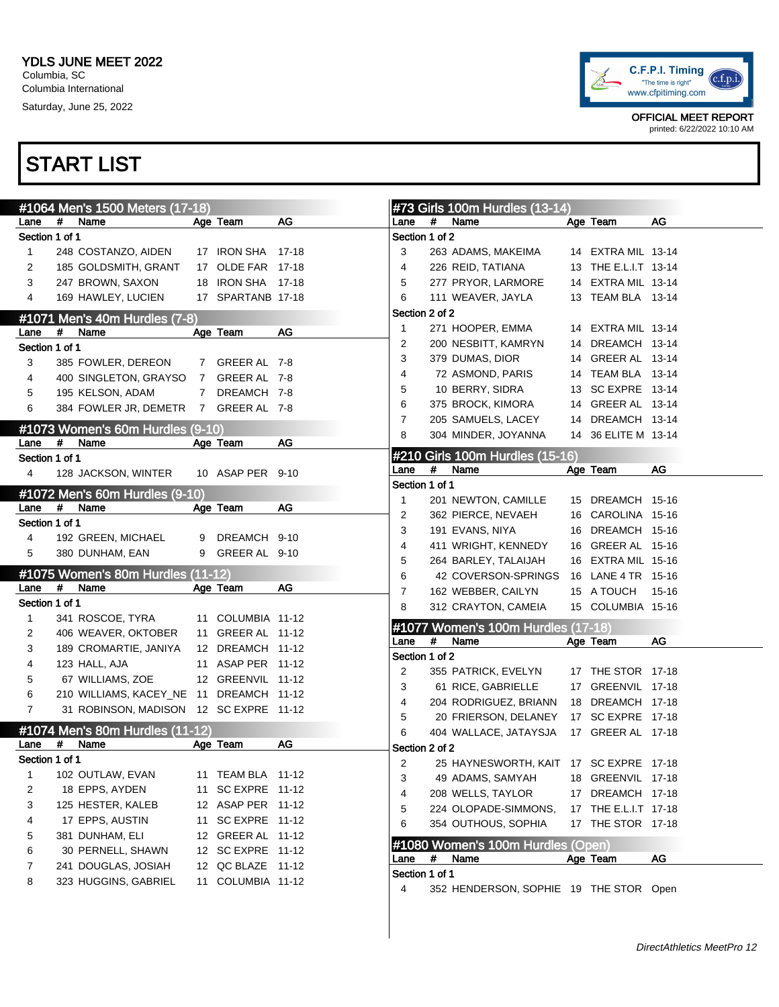

|                |                 | #1064 Men's 1500 Meters (17-18)         |                |                   |    |                        |   | #73 Girls 100m Hurdles (13-14)         |                      |       |
|----------------|-----------------|-----------------------------------------|----------------|-------------------|----|------------------------|---|----------------------------------------|----------------------|-------|
| Lane           | #<br>Name       |                                         |                | Age Team          | AG | Lane                   | # | Name                                   | Age Team             | AG    |
| Section 1 of 1 |                 |                                         |                |                   |    | Section 1 of 2         |   |                                        |                      |       |
| 1              |                 | 248 COSTANZO, AIDEN                     |                | 17 IRON SHA 17-18 |    | 3                      |   | 263 ADAMS, MAKEIMA                     | 14 EXTRA MIL 13-14   |       |
| 2              |                 | 185 GOLDSMITH, GRANT                    |                | 17 OLDE FAR 17-18 |    | 4                      |   | 226 REID, TATIANA                      | 13 THE E.L.I.T 13-14 |       |
| 3              |                 | 247 BROWN, SAXON                        |                | 18 IRON SHA 17-18 |    | 5                      |   | 277 PRYOR, LARMORE                     | 14 EXTRA MIL 13-14   |       |
| 4              |                 | 169 HAWLEY, LUCIEN                      |                | 17 SPARTANB 17-18 |    | 6                      |   | 111 WEAVER, JAYLA                      | 13 TEAM BLA 13-14    |       |
|                |                 | #1071 Men's 40m Hurdles (7-8)           |                |                   |    | Section 2 of 2         |   |                                        |                      |       |
| Lane           | #<br>Name       |                                         |                | Age Team          | AG | 1                      |   | 271 HOOPER, EMMA                       | 14 EXTRA MIL 13-14   |       |
| Section 1 of 1 |                 |                                         |                |                   |    | 2                      |   | 200 NESBITT, KAMRYN                    | 14 DREAMCH 13-14     |       |
| 3              |                 | 385 FOWLER, DEREON                      |                | 7 GREER AL 7-8    |    | 3                      |   | 379 DUMAS, DIOR                        | 14 GREER AL 13-14    |       |
| 4              |                 | 400 SINGLETON, GRAYSO                   | $\overline{7}$ | GREER AL 7-8      |    | 4                      |   | 72 ASMOND, PARIS                       | 14 TEAM BLA 13-14    |       |
| 5              |                 | 195 KELSON, ADAM                        | $7\phantom{0}$ | DREAMCH 7-8       |    | 5                      |   | 10 BERRY, SIDRA                        | 13 SC EXPRE 13-14    |       |
|                |                 |                                         |                |                   |    | 6                      |   | 375 BROCK, KIMORA                      | 14 GREER AL 13-14    |       |
| 6              |                 | 384 FOWLER JR, DEMETR 7 GREER AL 7-8    |                |                   |    | 7                      |   | 205 SAMUELS, LACEY                     | 14 DREAMCH 13-14     |       |
|                |                 | #1073 Women's 60m Hurdles (9-10)        |                |                   |    | 8                      |   | 304 MINDER, JOYANNA                    | 14 36 ELITE M 13-14  |       |
| Lane           | #<br>Name       |                                         |                | Age Team          | AG |                        |   |                                        |                      |       |
| Section 1 of 1 |                 |                                         |                |                   |    |                        |   | #210 Girls 100m Hurdles (15-16)        |                      |       |
| 4              |                 | 128 JACKSON, WINTER                     |                | 10 ASAP PER 9-10  |    | Lane                   | # | Name                                   | Age Team             | AG    |
|                |                 | #1072 Men's 60m Hurdles (9-10)          |                |                   |    | Section 1 of 1         |   |                                        |                      |       |
| Lane           | $\#$<br>Name    |                                         |                | Age Team          | AG | 1                      |   | 201 NEWTON, CAMILLE                    | 15 DREAMCH 15-16     |       |
| Section 1 of 1 |                 |                                         |                |                   |    | 2                      |   | 362 PIERCE, NEVAEH                     | 16 CAROLINA 15-16    |       |
| 4              |                 | 192 GREEN, MICHAEL                      | 9              | DREAMCH 9-10      |    | 3                      |   | 191 EVANS, NIYA                        | 16 DREAMCH 15-16     |       |
| 5              | 380 DUNHAM, EAN |                                         | 9              | GREER AL 9-10     |    | 4                      |   | 411 WRIGHT, KENNEDY                    | 16 GREER AL 15-16    |       |
|                |                 |                                         |                |                   |    | 5                      |   | 264 BARLEY, TALAIJAH                   | 16 EXTRA MIL 15-16   |       |
|                |                 | #1075 Women's 80m Hurdles (11-12)       |                |                   |    | 6                      |   | 42 COVERSON-SPRINGS                    | 16 LANE 4 TR 15-16   |       |
| Lane           | #<br>Name       |                                         |                | Age Team          | AG | 7                      |   | 162 WEBBER, CAILYN                     | 15 A TOUCH           | 15-16 |
| Section 1 of 1 |                 |                                         |                |                   |    | 8                      |   | 312 CRAYTON, CAMEIA                    | 15 COLUMBIA 15-16    |       |
| 1              |                 | 341 ROSCOE, TYRA                        |                | 11 COLUMBIA 11-12 |    | #1077                  |   | Women's 100m Hurdles (17-18)           |                      |       |
| 2              |                 | 406 WEAVER, OKTOBER                     |                | 11 GREER AL 11-12 |    | Lane                   | # | Name                                   | Age Team             | AG    |
| 3              |                 | 189 CROMARTIE, JANIYA                   |                | 12 DREAMCH 11-12  |    | Section 1 of 2         |   |                                        |                      |       |
| 4              | 123 HALL, AJA   |                                         |                | 11 ASAP PER 11-12 |    | 2                      |   | 355 PATRICK, EVELYN                    | 17 THE STOR 17-18    |       |
| 5              |                 | 67 WILLIAMS, ZOE                        |                | 12 GREENVIL 11-12 |    | 3                      |   | 61 RICE, GABRIELLE                     | 17 GREENVIL 17-18    |       |
| 6              |                 | 210 WILLIAMS, KACEY_NE 11 DREAMCH 11-12 |                |                   |    | 4                      |   | 204 RODRIGUEZ, BRIANN                  | 18 DREAMCH 17-18     |       |
| 7              |                 | 31 ROBINSON, MADISON 12 SC EXPRE 11-12  |                |                   |    | 5                      |   | 20 FRIERSON, DELANEY                   | 17 SC EXPRE 17-18    |       |
|                |                 | #1074 Men's 80m Hurdles (11-12)         |                |                   |    | 6                      |   | 404 WALLACE, JATAYSJA                  | 17 GREER AL 17-18    |       |
| Lane           | #<br>Name       |                                         |                | Age Team          | AG | Section 2 of 2         |   |                                        |                      |       |
| Section 1 of 1 |                 |                                         |                |                   |    | 2                      |   | 25 HAYNESWORTH, KAIT 17 SC EXPRE 17-18 |                      |       |
| 1              |                 | 102 OUTLAW, EVAN                        |                | 11 TEAM BLA 11-12 |    | 3                      |   | 49 ADAMS, SAMYAH                       | 18 GREENVIL 17-18    |       |
| 2              | 18 EPPS, AYDEN  |                                         | 11             | SC EXPRE 11-12    |    | 4                      |   | 208 WELLS, TAYLOR                      | 17 DREAMCH 17-18     |       |
| 3              |                 | 125 HESTER, KALEB                       |                | 12 ASAP PER 11-12 |    | 5                      |   | 224 OLOPADE-SIMMONS,                   | 17 THE E.L.I.T 17-18 |       |
|                |                 |                                         |                |                   |    |                        |   |                                        |                      |       |
| 4              |                 | 17 EPPS, AUSTIN                         | 11             | SC EXPRE 11-12    |    |                        |   |                                        |                      |       |
| 5              | 381 DUNHAM, ELI |                                         |                | 12 GREER AL 11-12 |    | 6                      |   | 354 OUTHOUS, SOPHIA                    | 17 THE STOR 17-18    |       |
| 6              |                 | 30 PERNELL, SHAWN                       |                | 12 SC EXPRE 11-12 |    |                        |   | #1080 Women's 100m Hurdles (Open)      |                      |       |
| 7              |                 | 241 DOUGLAS, JOSIAH                     |                | 12 QC BLAZE 11-12 |    | Lane<br>Section 1 of 1 | # | Name                                   | Age Team             | AG    |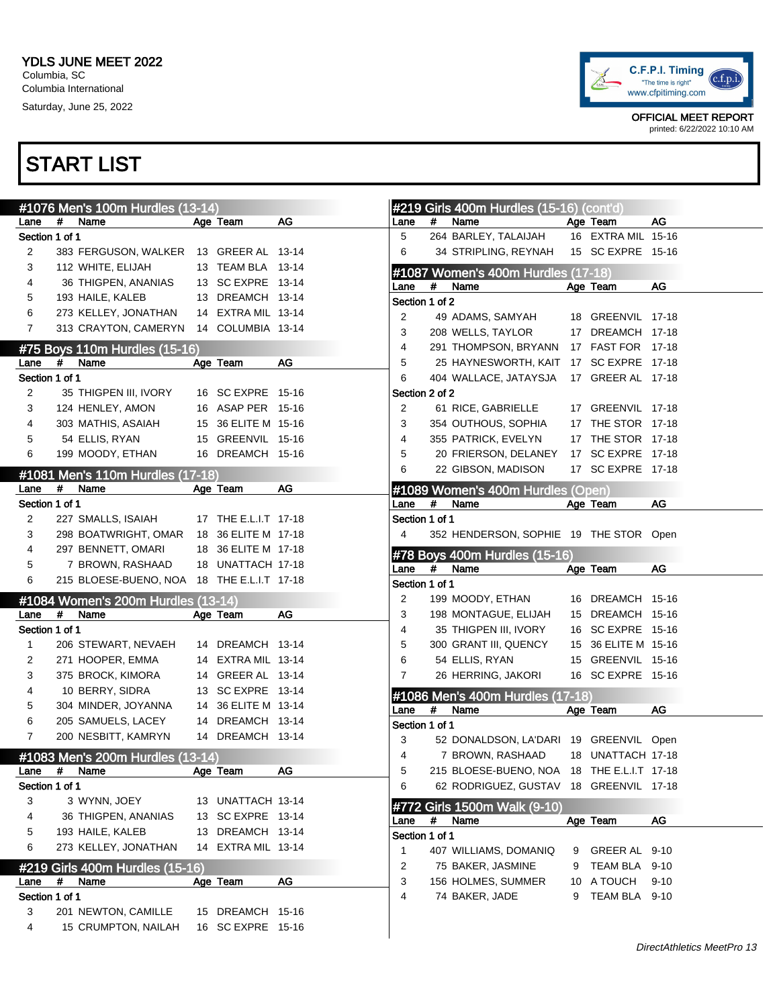

|                        |   | #1076 Men's 100m Hurdles (13-14)           |                      |    |                        |      | #219 Girls 400m Hurdles (15-16) (cont'd)   |   |                                      |          |
|------------------------|---|--------------------------------------------|----------------------|----|------------------------|------|--------------------------------------------|---|--------------------------------------|----------|
| Lane                   | # | Name                                       | Age Team             | AG | Lane                   | #    | Name                                       |   | Age Team                             | AG       |
| Section 1 of 1         |   |                                            |                      |    | 5                      |      | 264 BARLEY, TALAIJAH                       |   | 16 EXTRA MIL 15-16                   |          |
| 2                      |   | 383 FERGUSON, WALKER 13 GREER AL 13-14     |                      |    | 6                      |      | 34 STRIPLING, REYNAH                       |   | 15 SC EXPRE 15-16                    |          |
| 3                      |   | 112 WHITE, ELIJAH                          | 13 TEAM BLA 13-14    |    |                        |      | #1087 Women's 400m Hurdles (17-18)         |   |                                      |          |
| 4                      |   | 36 THIGPEN, ANANIAS                        | 13 SC EXPRE 13-14    |    | Lane                   | #    | Name                                       |   | Age Team                             | AG       |
| 5                      |   | 193 HAILE, KALEB                           | 13 DREAMCH 13-14     |    | Section 1 of 2         |      |                                            |   |                                      |          |
| 6                      |   | 273 KELLEY, JONATHAN                       | 14 EXTRA MIL 13-14   |    | 2                      |      | 49 ADAMS, SAMYAH                           |   | 18 GREENVIL 17-18                    |          |
| $\overline{7}$         |   | 313 CRAYTON, CAMERYN                       | 14 COLUMBIA 13-14    |    | 3                      |      | 208 WELLS, TAYLOR                          |   | 17 DREAMCH 17-18                     |          |
|                        |   | #75 Boys 110m Hurdles (15-16)              |                      |    | 4                      |      | 291 THOMPSON, BRYANN 17 FAST FOR 17-18     |   |                                      |          |
| Lane                   | # | Name                                       | Age Team             | AG | 5                      |      | 25 HAYNESWORTH, KAIT 17 SC EXPRE 17-18     |   |                                      |          |
| Section 1 of 1         |   |                                            |                      |    | 6                      |      | 404 WALLACE, JATAYSJA                      |   | 17 GREER AL 17-18                    |          |
| 2                      |   | 35 THIGPEN III, IVORY                      | 16 SC EXPRE 15-16    |    | Section 2 of 2         |      |                                            |   |                                      |          |
| 3                      |   | 124 HENLEY, AMON                           | 16 ASAP PER 15-16    |    | 2                      |      | 61 RICE, GABRIELLE                         |   | 17 GREENVIL 17-18                    |          |
| 4                      |   | 303 MATHIS, ASAIAH                         | 15 36 ELITE M 15-16  |    | 3                      |      | 354 OUTHOUS, SOPHIA                        |   | 17 THE STOR 17-18                    |          |
| 5                      |   | 54 ELLIS, RYAN                             | 15 GREENVIL 15-16    |    | 4                      |      | 355 PATRICK, EVELYN                        |   | 17 THE STOR 17-18                    |          |
| 6                      |   | 199 MOODY, ETHAN                           | 16 DREAMCH 15-16     |    | 5                      |      | 20 FRIERSON, DELANEY                       |   | 17 SC EXPRE 17-18                    |          |
|                        |   | #1081 Men's 110m Hurdles (17-18)           |                      |    | 6                      |      | 22 GIBSON, MADISON                         |   | 17 SC EXPRE 17-18                    |          |
| Lane                   | # | Name                                       | Age Team             | AG |                        |      | #1089 Women's 400m Hurdles (Open)          |   |                                      |          |
| Section 1 of 1         |   |                                            |                      |    | Lane                   | #    | Name                                       |   | Age Team                             | AG       |
| 2                      |   | 227 SMALLS, ISAIAH                         | 17 THE E.L.I.T 17-18 |    | Section 1 of 1         |      |                                            |   |                                      |          |
| 3                      |   | 298 BOATWRIGHT, OMAR 18 36 ELITE M 17-18   |                      |    | 4                      |      | 352 HENDERSON, SOPHIE 19 THE STOR Open     |   |                                      |          |
| 4                      |   | 297 BENNETT, OMARI                         | 18 36 ELITE M 17-18  |    |                        |      |                                            |   |                                      |          |
| 5                      |   | 7 BROWN, RASHAAD                           | 18 UNATTACH 17-18    |    |                        |      | #78 Boys 400m Hurdles (15-16)              |   |                                      |          |
| 6                      |   | 215 BLOESE-BUENO, NOA 18 THE E.L.I.T 17-18 |                      |    | Lane<br>Section 1 of 1 | $\#$ | Name                                       |   | Age Team                             | AG       |
|                        |   |                                            |                      |    |                        |      |                                            |   |                                      |          |
|                        | # | #1084 Women's 200m Hurdles (13-14)         |                      | AG | 2<br>3                 |      | 199 MOODY, ETHAN<br>198 MONTAGUE, ELIJAH   |   | 16 DREAMCH 15-16<br>15 DREAMCH 15-16 |          |
| Lane<br>Section 1 of 1 |   | Name                                       | Age Team             |    | 4                      |      | 35 THIGPEN III, IVORY                      |   | 16 SC EXPRE 15-16                    |          |
|                        |   |                                            | 14 DREAMCH 13-14     |    | 5                      |      | 300 GRANT III, QUENCY                      |   | 15 36 ELITE M 15-16                  |          |
| 1                      |   | 206 STEWART, NEVAEH                        | 14 EXTRA MIL 13-14   |    | 6                      |      | 54 ELLIS, RYAN                             |   | 15 GREENVIL 15-16                    |          |
| 2<br>3                 |   | 271 HOOPER, EMMA<br>375 BROCK, KIMORA      | 14 GREER AL 13-14    |    | 7                      |      |                                            |   | 16 SC EXPRE 15-16                    |          |
|                        |   | 10 BERRY, SIDRA                            | 13 SC EXPRE 13-14    |    |                        |      | 26 HERRING, JAKORI                         |   |                                      |          |
| 4                      |   |                                            | 14 36 ELITE M 13-14  |    |                        |      | #1086 Men's 400m Hurdles (17-18)           |   |                                      |          |
| 5                      |   | 304 MINDER, JOYANNA<br>205 SAMUELS, LACEY  | 14 DREAMCH 13-14     |    | Lane                   | #    | Name                                       |   | Age Team                             | AG       |
| 6<br>7                 |   | 200 NESBITT, KAMRYN                        | 14 DREAMCH 13-14     |    | Section 1 of 1         |      |                                            |   |                                      |          |
|                        |   |                                            |                      |    | 3                      |      | 52 DONALDSON, LA'DARI 19 GREENVIL Open     |   |                                      |          |
|                        |   | #1083 Men's 200m Hurdles (13-14)           |                      |    | 4                      |      | 7 BROWN, RASHAAD                           |   | 18 UNATTACH 17-18                    |          |
| Lane                   | # | Name                                       | Age leam             | AG | 5                      |      | 215 BLOESE-BUENO, NOA 18 THE E.L.I.T 17-18 |   |                                      |          |
| Section 1 of 1         |   |                                            |                      |    | 6                      |      | 62 RODRIGUEZ, GUSTAV 18 GREENVIL 17-18     |   |                                      |          |
| 3                      |   | 3 WYNN, JOEY                               | 13 UNATTACH 13-14    |    |                        |      | #772 Girls 1500m Walk (9-10)               |   |                                      |          |
| 4                      |   | 36 THIGPEN, ANANIAS                        | 13 SC EXPRE 13-14    |    | Lane                   | #    | Name                                       |   | Age Team                             | AG       |
| 5                      |   | 193 HAILE, KALEB                           | 13 DREAMCH 13-14     |    | Section 1 of 1         |      |                                            |   |                                      |          |
| 6                      |   | 273 KELLEY, JONATHAN                       | 14 EXTRA MIL 13-14   |    | 1                      |      | 407 WILLIAMS, DOMANIQ                      | 9 | GREER AL 9-10                        |          |
|                        |   | #219 Girls 400m Hurdles (15-16)            |                      |    | 2                      |      | 75 BAKER, JASMINE                          | 9 | TEAM BLA 9-10                        |          |
| Lane                   | # | Name                                       | Age Team             | AG | 3                      |      | 156 HOLMES, SUMMER                         |   | 10 A TOUCH                           | $9 - 10$ |
| Section 1 of 1         |   |                                            |                      |    | 4                      |      | 74 BAKER, JADE                             | 9 | TEAM BLA 9-10                        |          |
| 3                      |   | 201 NEWTON, CAMILLE                        | 15 DREAMCH 15-16     |    |                        |      |                                            |   |                                      |          |
| 4                      |   | 15 CRUMPTON, NAILAH                        | 16 SC EXPRE 15-16    |    |                        |      |                                            |   |                                      |          |
|                        |   |                                            |                      |    |                        |      |                                            |   |                                      |          |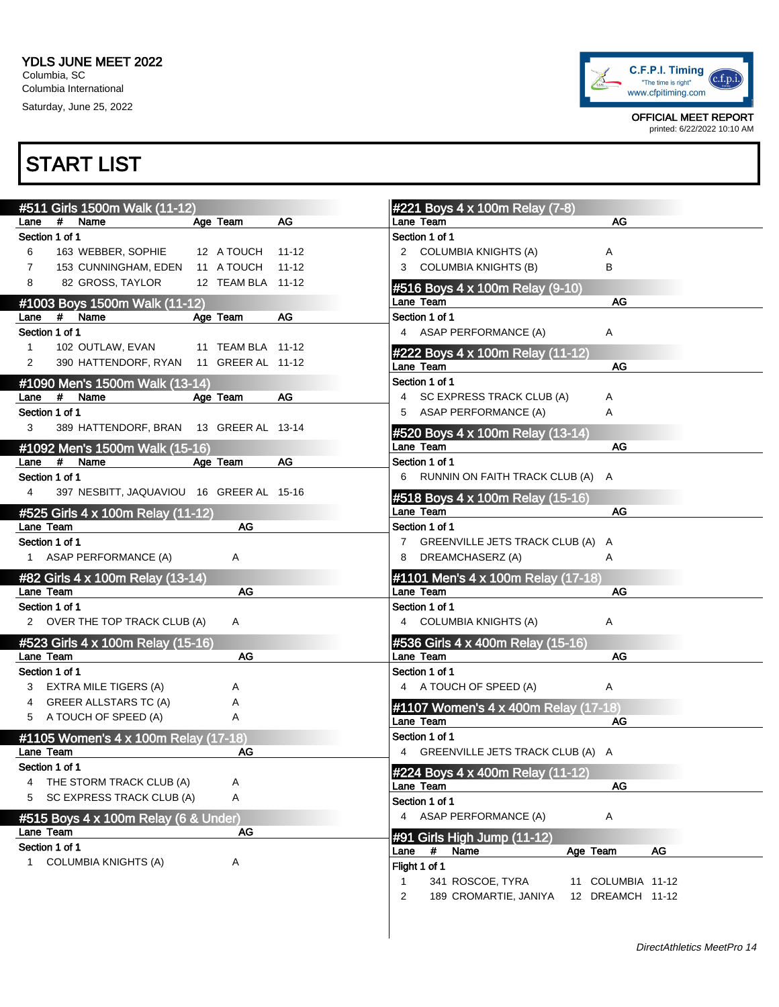

OFFICIAL MEET REPORT printed: 6/22/2022 10:10 AM

| #511 Girls 1500m Walk (11-12)                              | #221 Boys 4 x 100m Relay (7-8)                              |
|------------------------------------------------------------|-------------------------------------------------------------|
| #<br>Age Team<br><b>AG</b><br>Name<br>Lane                 | <b>AG</b><br>Lane Team                                      |
| Section 1 of 1                                             | Section 1 of 1                                              |
| 6<br>163 WEBBER, SOPHIE<br>12 A TOUCH<br>11-12             | 2 COLUMBIA KNIGHTS (A)<br>Α                                 |
| 153 CUNNINGHAM, EDEN 11 A TOUCH<br>$\overline{7}$<br>11-12 | <b>COLUMBIA KNIGHTS (B)</b><br>B<br>3                       |
| 82 GROSS, TAYLOR<br>12 TEAM BLA 11-12<br>8                 | #516 Boys 4 x 100m Relay (9-10)                             |
| #1003 Boys 1500m Walk (11-12)                              | <b>AG</b><br>Lane Team                                      |
| Age Team<br>AG<br>#<br>Name<br>Lane                        | Section 1 of 1                                              |
| Section 1 of 1                                             | 4 ASAP PERFORMANCE (A)<br>Α                                 |
| $\mathbf{1}$<br>102 OUTLAW, EVAN<br>11 TEAM BLA 11-12      |                                                             |
| 390 HATTENDORF, RYAN<br>11 GREER AL 11-12<br>2             | #222 Boys 4 x 100m Relay (11-12)<br><b>AG</b><br>Lane Team  |
|                                                            | Section 1 of 1                                              |
| #1090 Men's 1500m Walk (13-14)<br>AG                       |                                                             |
| #<br>Name<br>Age Team<br>Lane                              | 4 SC EXPRESS TRACK CLUB (A)<br>Α                            |
| Section 1 of 1                                             | 5 ASAP PERFORMANCE (A)<br>Α                                 |
| 3<br>389 HATTENDORF, BRAN<br>13 GREER AL 13-14             | #520 Boys 4 x 100m Relay (13-14)                            |
| #1092 Men's 1500m Walk (15-16)                             | Lane Team<br>AG                                             |
| #<br>Age Team<br>AG<br>Name<br>Lane                        | Section 1 of 1                                              |
| Section 1 of 1                                             | 6 RUNNIN ON FAITH TRACK CLUB (A) A                          |
| 397 NESBITT, JAQUAVIOU 16 GREER AL 15-16<br>4              | #518 Boys 4 x 100m Relay (15-16)                            |
| #525 Girls 4 x 100m Relay (11-12)                          | AG<br>Lane Team                                             |
| <b>AG</b><br>Lane Team                                     | Section 1 of 1                                              |
| Section 1 of 1                                             | 7 GREENVILLE JETS TRACK CLUB (A)<br>A                       |
| 1 ASAP PERFORMANCE (A)<br>A                                | DREAMCHASERZ (A)<br>Α<br>8                                  |
|                                                            |                                                             |
| #82 Girls 4 x 100m Relay (13-14)                           | #1101 Men's 4 x 100m Relay (17-18)                          |
| AG<br>Lane Team                                            | Lane Team<br><b>AG</b>                                      |
| Section 1 of 1                                             | Section 1 of 1                                              |
| 2 OVER THE TOP TRACK CLUB (A)<br>Α                         | 4 COLUMBIA KNIGHTS (A)<br>Α                                 |
| #523 Girls 4 x 100m Relay (15-16)                          | #536 Girls 4 x 400m Relay (15-16)                           |
| Lane Team<br><b>AG</b>                                     | Lane Team<br><b>AG</b>                                      |
| Section 1 of 1                                             | Section 1 of 1                                              |
| 3 EXTRA MILE TIGERS (A)<br>Α                               | 4 A TOUCH OF SPEED (A)<br>Α                                 |
| <b>GREER ALLSTARS TC (A)</b><br>Α<br>4                     | #1107 Women's 4 x 400m Relay (17-18)                        |
| 5 A TOUCH OF SPEED (A)<br>Α                                | Lane Team<br>AG                                             |
| #1105 Women's 4 x 100m Relay (17-18)                       | Section 1 of 1                                              |
| Lane Team<br>AG                                            | 4 GREENVILLE JETS TRACK CLUB (A) A                          |
| Section 1 of 1                                             |                                                             |
| THE STORM TRACK CLUB (A)<br>Α<br>4                         | #224 Boys 4 x 400m Relay (11-12)<br>AG<br>Lane Team         |
| SC EXPRESS TRACK CLUB (A)<br>Α<br>5                        | Section 1 of 1                                              |
|                                                            | 4 ASAP PERFORMANCE (A)                                      |
| #515 Boys 4 x 100m Relay (6 & Under)                       | Α                                                           |
| Lane Team<br>AG                                            | #91 Girls High Jump (11-12)                                 |
| Section 1 of 1                                             | Age Team<br>AG<br>#<br>Name<br>Lane                         |
| 1 COLUMBIA KNIGHTS (A)<br>Α                                | Flight 1 of 1                                               |
|                                                            | 341 ROSCOE, TYRA<br>11 COLUMBIA 11-12<br>1                  |
|                                                            | 189 CROMARTIE, JANIYA<br>12 DREAMCH 11-12<br>$\overline{2}$ |
|                                                            |                                                             |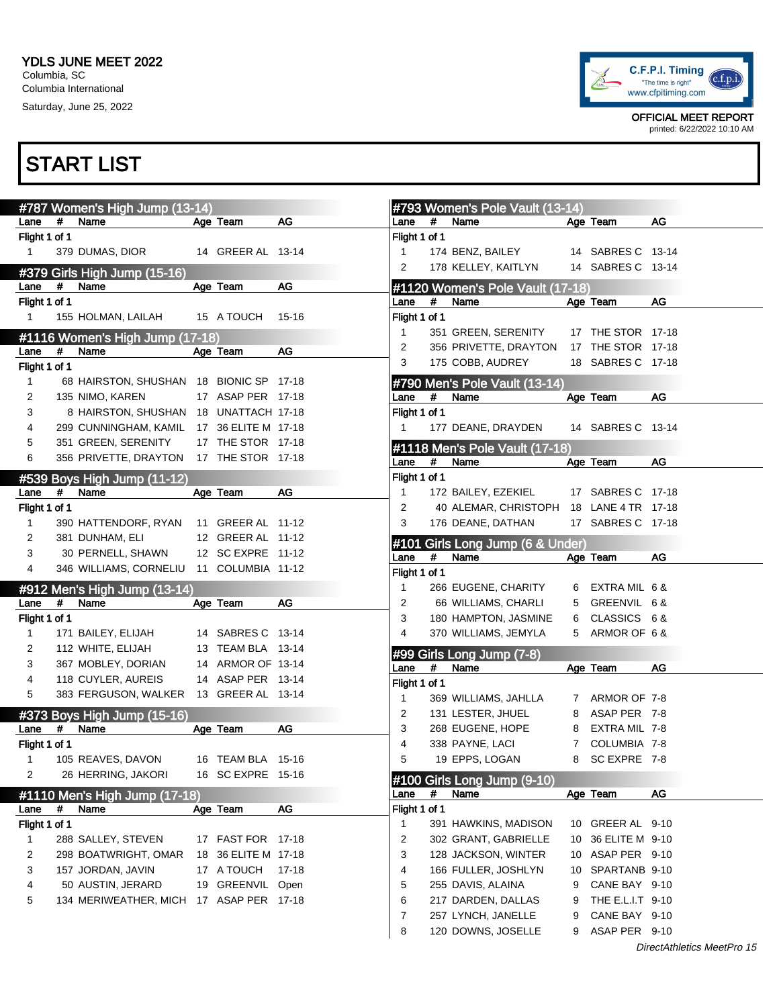

OFFICIAL MEET REPORT printed: 6/22/2022 10:10 AM

|                              |      | #787 Women's High Jump (13-14)            |                     |           |                |      | #793 Women's Pole Vault (13-14)       |             |                                 |                            |
|------------------------------|------|-------------------------------------------|---------------------|-----------|----------------|------|---------------------------------------|-------------|---------------------------------|----------------------------|
| Lane                         | #    | Name                                      | Age Team            | AG        | Lane           | #    | Name                                  |             | Age Team                        | AG                         |
| Flight 1 of 1                |      |                                           |                     |           | Flight 1 of 1  |      |                                       |             |                                 |                            |
| $\mathbf{1}$                 |      | 379 DUMAS, DIOR                           | 14 GREER AL 13-14   |           | $\mathbf{1}$   |      | 174 BENZ, BAILEY                      |             | 14 SABRES C 13-14               |                            |
|                              |      | #379 Girls High Jump (15-16)              |                     |           | 2              |      | 178 KELLEY, KAITLYN                   |             | 14 SABRES C 13-14               |                            |
| Lane                         | #    | Name                                      | Age Team            | AG        |                |      | #1120 Women's Pole Vault (17-18)      |             |                                 |                            |
| Flight 1 of 1                |      |                                           |                     |           | Lane           | #    | Name                                  |             | Age Team                        | AG                         |
| $\mathbf{1}$                 |      | 155 HOLMAN, LAILAH                        | 15 A TOUCH          | $15 - 16$ | Flight 1 of 1  |      |                                       |             |                                 |                            |
|                              |      |                                           |                     |           | $\mathbf{1}$   |      | 351 GREEN, SERENITY                   |             | 17 THE STOR 17-18               |                            |
|                              |      | #1116 Women's High Jump (17-18)           |                     |           | 2              |      | 356 PRIVETTE, DRAYTON                 |             | 17 THE STOR 17-18               |                            |
| Lane                         | #    | Name                                      | Age Team            | AG        | 3              |      | 175 COBB, AUDREY                      |             | 18 SABRES C 17-18               |                            |
| Flight 1 of 1<br>$\mathbf 1$ |      | 68 HAIRSTON, SHUSHAN 18 BIONIC SP 17-18   |                     |           |                |      |                                       |             |                                 |                            |
|                              |      |                                           |                     |           |                |      | #790 Men's Pole Vault (13-14)         |             |                                 |                            |
| $\overline{2}$               |      | 135 NIMO, KAREN                           | 17 ASAP PER 17-18   |           | Lane           | #    | Name                                  |             | Age Team                        | AG                         |
| 3                            |      | 8 HAIRSTON, SHUSHAN 18 UNATTACH 17-18     |                     |           | Flight 1 of 1  |      |                                       |             |                                 |                            |
| 4                            |      | 299 CUNNINGHAM, KAMIL 17 36 ELITE M 17-18 |                     |           | 1              |      | 177 DEANE, DRAYDEN                    |             | 14 SABRES C 13-14               |                            |
| 5                            |      | 351 GREEN, SERENITY                       | 17 THE STOR 17-18   |           |                |      | #1118 Men's Pole Vault (17-18)        |             |                                 |                            |
| 6                            |      | 356 PRIVETTE, DRAYTON 17 THE STOR 17-18   |                     |           | Lane           | $\#$ | Name                                  |             | Age Team                        | AG                         |
|                              |      | #539 Boys High Jump (11-12)               |                     |           | Flight 1 of 1  |      |                                       |             |                                 |                            |
| Lane                         | $\#$ | Name                                      | Age Team            | AG        | $\mathbf{1}$   |      | 172 BAILEY, EZEKIEL                   |             | 17 SABRES C 17-18               |                            |
| Flight 1 of 1                |      |                                           |                     |           | 2              |      | 40 ALEMAR, CHRISTOPH                  |             | 18 LANE 4 TR 17-18              |                            |
| $\mathbf{1}$                 |      | 390 HATTENDORF, RYAN                      | 11 GREER AL 11-12   |           | 3              |      | 176 DEANE, DATHAN                     |             | 17 SABRES C 17-18               |                            |
| 2                            |      | 381 DUNHAM, ELI                           | 12 GREER AL 11-12   |           |                |      | #101 Girls Long Jump (6 & Under)      |             |                                 |                            |
| 3                            |      | 30 PERNELL, SHAWN                         | 12 SC EXPRE 11-12   |           | Lane           | #    | Name                                  |             | Age Team                        | AG                         |
| 4                            |      | 346 WILLIAMS, CORNELIU 11 COLUMBIA 11-12  |                     |           | Flight 1 of 1  |      |                                       |             |                                 |                            |
|                              |      | #912 Men's High Jump (13-14)              |                     |           | $\mathbf{1}$   |      | 266 EUGENE, CHARITY                   | 6           | EXTRA MIL 6 &                   |                            |
| Lane                         | #    | Name                                      | Age Team            | AG        | $\overline{2}$ |      | 66 WILLIAMS, CHARLI                   | 5           | GREENVIL 6 &                    |                            |
| Flight 1 of 1                |      |                                           |                     |           | 3              |      | 180 HAMPTON, JASMINE                  | 6           | CLASSICS 6 &                    |                            |
| 1                            |      | 171 BAILEY, ELIJAH                        | 14 SABRES C 13-14   |           | 4              |      | 370 WILLIAMS, JEMYLA                  |             | 5 ARMOR OF 6&                   |                            |
| 2                            |      | 112 WHITE, ELIJAH                         | 13 TEAM BLA 13-14   |           |                |      |                                       |             |                                 |                            |
| 3                            |      | 367 MOBLEY, DORIAN                        | 14 ARMOR OF 13-14   |           |                | $\#$ | #99 Girls Long Jump (7-8)             |             |                                 | AG                         |
| 4                            |      | 118 CUYLER, AUREIS                        | 14 ASAP PER 13-14   |           | Lane           |      | Name                                  |             | Age Team                        |                            |
| 5                            |      | 383 FERGUSON, WALKER 13 GREER AL 13-14    |                     |           | Flight 1 of 1  |      |                                       |             |                                 |                            |
|                              |      |                                           |                     |           | $\mathbf{1}$   |      | 369 WILLIAMS, JAHLLA                  |             | 7 ARMOR OF 7-8                  |                            |
|                              | #    | #373 Boys High Jump (15-16)<br>Name       |                     | AG        | 2<br>3         |      | 131 LESTER, JHUEL<br>268 EUGENE, HOPE |             | 8 ASAP PER 7-8<br>EXTRA MIL 7-8 |                            |
| Lane                         |      |                                           | Age Team            |           |                |      |                                       | 8           |                                 |                            |
| Flight 1 of 1                |      |                                           |                     |           | 4              |      | 338 PAYNE, LACI                       | $7^{\circ}$ | COLUMBIA 7-8                    |                            |
| $\mathbf{1}$                 |      | 105 REAVES, DAVON                         | 16 TEAM BLA 15-16   |           | 5              |      | 19 EPPS, LOGAN                        | 8           | SC EXPRE 7-8                    |                            |
| $\overline{2}$               |      | 26 HERRING, JAKORI                        | 16 SC EXPRE 15-16   |           |                |      | #100 Girls Long Jump (9-10)           |             |                                 |                            |
|                              |      | #1110 Men's High Jump (17-18)             |                     |           | Lane           | #    | Name                                  |             | Age Team                        | AG                         |
| Lane                         | #    | Name                                      | Age Team            | $AG$      | Flight 1 of 1  |      |                                       |             |                                 |                            |
| Flight 1 of 1                |      |                                           |                     |           | 1              |      | 391 HAWKINS, MADISON                  |             | 10 GREER AL 9-10                |                            |
| 1                            |      | 288 SALLEY, STEVEN                        | 17 FAST FOR 17-18   |           | 2              |      | 302 GRANT, GABRIELLE                  |             | 10 36 ELITE M 9-10              |                            |
| 2                            |      | 298 BOATWRIGHT, OMAR                      | 18 36 ELITE M 17-18 |           | 3              |      | 128 JACKSON, WINTER                   |             | 10 ASAP PER 9-10                |                            |
| 3                            |      | 157 JORDAN, JAVIN                         | 17 A TOUCH          | $17 - 18$ | 4              |      | 166 FULLER, JOSHLYN                   |             | 10 SPARTANB 9-10                |                            |
| 4                            |      | 50 AUSTIN, JERARD                         | 19 GREENVIL Open    |           | 5              |      | 255 DAVIS, ALAINA                     | 9           | CANE BAY 9-10                   |                            |
| 5                            |      | 134 MERIWEATHER, MICH 17 ASAP PER 17-18   |                     |           | 6              |      | 217 DARDEN, DALLAS                    | 9           | THE E.L.I.T 9-10                |                            |
|                              |      |                                           |                     |           | 7              |      | 257 LYNCH, JANELLE                    | 9           | CANE BAY 9-10                   |                            |
|                              |      |                                           |                     |           | 8              |      | 120 DOWNS, JOSELLE                    | 9           | ASAP PER 9-10                   |                            |
|                              |      |                                           |                     |           |                |      |                                       |             |                                 | DirectAthletics MeetPro 15 |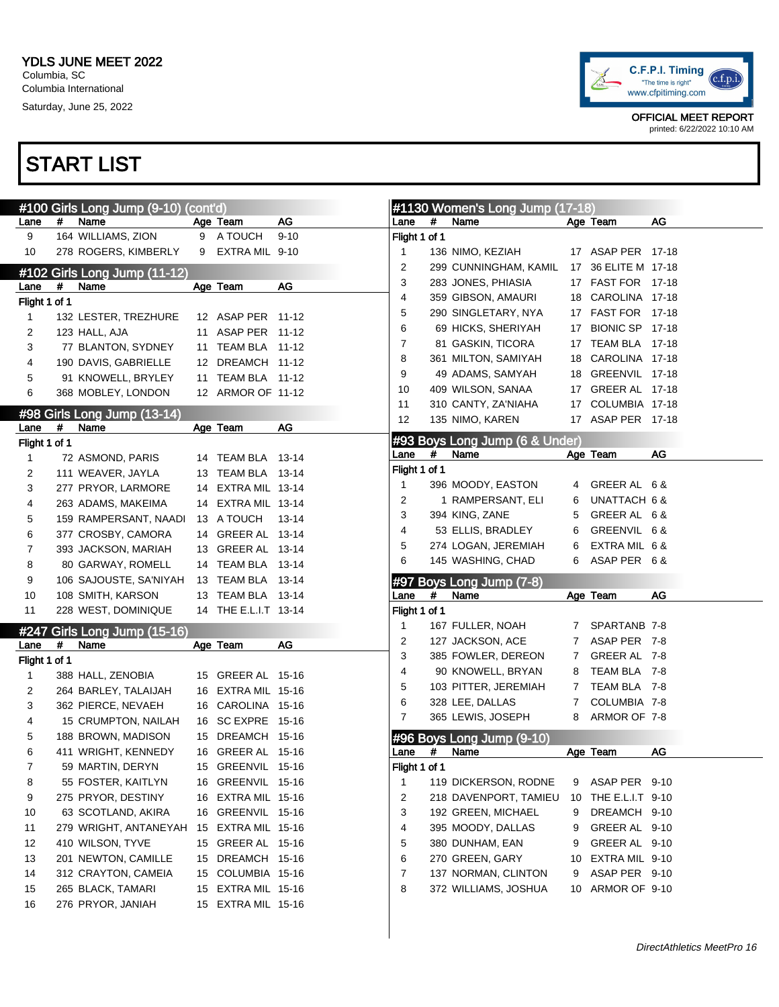

|                |      | #100 Girls Long Jump (9-10) (cont'd)     |                      |          |               |      | #1130 Women's Long Jump (17-18)        |             |                     |    |
|----------------|------|------------------------------------------|----------------------|----------|---------------|------|----------------------------------------|-------------|---------------------|----|
| Lane           | #    | Name                                     | Age Team             | AG       | Lane          | #    | Name                                   |             | Age Team            | AG |
| 9              |      | 164 WILLIAMS, ZION                       | 9 A TOUCH            | $9 - 10$ | Flight 1 of 1 |      |                                        |             |                     |    |
| 10             |      | 278 ROGERS, KIMBERLY                     | 9 EXTRA MIL 9-10     |          | 1             |      | 136 NIMO, KEZIAH                       |             | 17 ASAP PER 17-18   |    |
|                |      | #102 Girls Long Jump (11-12)             |                      |          | 2             |      | 299 CUNNINGHAM, KAMIL                  |             | 17 36 ELITE M 17-18 |    |
| Lane           | #    | Name                                     | Age Team             | AG       | 3             |      | 283 JONES, PHIASIA                     |             | 17 FAST FOR 17-18   |    |
| Flight 1 of 1  |      |                                          |                      |          | 4             |      | 359 GIBSON, AMAURI                     |             | 18 CAROLINA 17-18   |    |
| $\mathbf{1}$   |      | 132 LESTER, TREZHURE                     | 12 ASAP PER 11-12    |          | 5             |      | 290 SINGLETARY, NYA                    |             | 17 FAST FOR 17-18   |    |
| 2              |      | 123 HALL, AJA                            | 11 ASAP PER 11-12    |          | 6             |      | 69 HICKS, SHERIYAH                     |             | 17 BIONIC SP 17-18  |    |
| 3              |      | 77 BLANTON, SYDNEY                       | 11 TEAM BLA 11-12    |          | 7             |      | 81 GASKIN, TICORA                      |             | 17 TEAM BLA 17-18   |    |
| 4              |      | 190 DAVIS, GABRIELLE                     | 12 DREAMCH 11-12     |          | 8             |      | 361 MILTON, SAMIYAH                    |             | 18 CAROLINA 17-18   |    |
| 5              |      | 91 KNOWELL, BRYLEY                       | 11 TEAM BLA 11-12    |          | 9             |      | 49 ADAMS, SAMYAH                       |             | 18 GREENVIL 17-18   |    |
| 6              |      | 368 MOBLEY, LONDON                       | 12 ARMOR OF 11-12    |          | 10            |      | 409 WILSON, SANAA                      |             | 17 GREER AL 17-18   |    |
|                |      |                                          |                      |          | 11            |      | 310 CANTY, ZA'NIAHA                    |             | 17 COLUMBIA 17-18   |    |
|                |      | #98 Girls Long Jump (13-14)              |                      |          | 12            |      | 135 NIMO, KAREN                        |             | 17 ASAP PER 17-18   |    |
| Lane           | #    | Name                                     | Age Team             | AG       |               |      |                                        |             |                     |    |
| Flight 1 of 1  |      |                                          |                      |          | Lane          | #    | #93 Boys Long Jump (6 & Under)<br>Name |             | Age Team            | AG |
| 1              |      | 72 ASMOND, PARIS                         | 14 TEAM BLA 13-14    |          | Flight 1 of 1 |      |                                        |             |                     |    |
| $\overline{c}$ |      | 111 WEAVER, JAYLA                        | 13 TEAM BLA 13-14    |          | 1             |      | 396 MOODY, EASTON                      | 4           | GREER AL 6&         |    |
| 3              |      | 277 PRYOR, LARMORE                       | 14 EXTRA MIL 13-14   |          | 2             |      | 1 RAMPERSANT, ELI                      | 6           | UNATTACH 6 &        |    |
| 4              |      | 263 ADAMS, MAKEIMA                       | 14 EXTRA MIL 13-14   |          | 3             |      | 394 KING, ZANE                         | 5           | GREER AL 6 &        |    |
| 5              |      | 159 RAMPERSANT, NAADI                    | 13 A TOUCH           | 13-14    | 4             |      | 53 ELLIS, BRADLEY                      | 6           | GREENVIL 6 &        |    |
| 6              |      | 377 CROSBY, CAMORA                       | 14 GREER AL 13-14    |          | 5             |      |                                        |             | EXTRA MIL 6 &       |    |
| 7              |      | 393 JACKSON, MARIAH                      | 13 GREER AL 13-14    |          |               |      | 274 LOGAN, JEREMIAH                    | 6           |                     |    |
| 8              |      | 80 GARWAY, ROMELL                        | 14 TEAM BLA 13-14    |          | 6             |      | 145 WASHING, CHAD                      | 6           | ASAP PER 6&         |    |
| 9              |      | 106 SAJOUSTE, SA'NIYAH                   | 13 TEAM BLA 13-14    |          |               |      | #97 Boys Long Jump (7-8)               |             |                     |    |
| 10             |      | 108 SMITH, KARSON                        | 13 TEAM BLA 13-14    |          | Lane          | #    | Name                                   |             | Age Team            | AG |
| 11             |      | 228 WEST, DOMINIQUE                      | 14 THE E.L.I.T 13-14 |          | Flight 1 of 1 |      |                                        |             |                     |    |
|                |      | #247 Girls Long Jump (15-16)             |                      |          | 1             |      | 167 FULLER, NOAH                       |             | 7 SPARTANB 7-8      |    |
| Lane           | $\#$ | Name                                     | Age Team             | AG       | 2             |      | 127 JACKSON, ACE                       |             | 7 ASAP PER 7-8      |    |
| Flight 1 of 1  |      |                                          |                      |          | 3             |      | 385 FOWLER, DEREON                     | 7           | GREER AL 7-8        |    |
| $\mathbf{1}$   |      | 388 HALL, ZENOBIA                        | 15 GREER AL 15-16    |          | 4             |      | 90 KNOWELL, BRYAN                      | 8           | TEAM BLA 7-8        |    |
| $\overline{c}$ |      | 264 BARLEY, TALAIJAH                     | 16 EXTRA MIL 15-16   |          | 5             |      | 103 PITTER, JEREMIAH                   |             | 7 TEAM BLA 7-8      |    |
| 3              |      | 362 PIERCE, NEVAEH                       | 16 CAROLINA 15-16    |          | 6             |      | 328 LEE, DALLAS                        | $7^{\circ}$ | COLUMBIA 7-8        |    |
| 4              |      | 15 CRUMPTON, NAILAH                      | 16 SC EXPRE 15-16    |          | 7             |      | 365 LEWIS, JOSEPH                      | 8           | ARMOR OF 7-8        |    |
| 5              |      | 188 BROWN, MADISON                       | 15 DREAMCH 15-16     |          |               |      | #96 Boys Long Jump (9-10)              |             |                     |    |
| 6              |      | 411 WRIGHT, KENNEDY                      | 16 GREER AL 15-16    |          | Lane          | $\#$ | Name                                   |             | Age Team            | AG |
| 7              |      | 59 MARTIN, DERYN                         | 15 GREENVIL 15-16    |          | Flight 1 of 1 |      |                                        |             |                     |    |
| 8              |      | 55 FOSTER, KAITLYN                       | 16 GREENVIL 15-16    |          | 1             |      | 119 DICKERSON, RODNE                   |             | 9 ASAP PER 9-10     |    |
| 9              |      | 275 PRYOR, DESTINY                       | 16 EXTRA MIL 15-16   |          | 2             |      | 218 DAVENPORT, TAMIEU                  | 10          | THE E.L.I.T 9-10    |    |
| 10             |      | 63 SCOTLAND, AKIRA                       | 16 GREENVIL 15-16    |          | 3             |      | 192 GREEN, MICHAEL                     | 9           | DREAMCH 9-10        |    |
| 11             |      | 279 WRIGHT, ANTANEYAH 15 EXTRA MIL 15-16 |                      |          | 4             |      | 395 MOODY, DALLAS                      | 9           | GREER AL 9-10       |    |
| 12             |      | 410 WILSON, TYVE                         | 15 GREER AL 15-16    |          | 5             |      | 380 DUNHAM, EAN                        | 9           | GREER AL 9-10       |    |
| 13             |      | 201 NEWTON, CAMILLE                      | 15 DREAMCH 15-16     |          | 6             |      | 270 GREEN, GARY                        | 10          | EXTRA MIL 9-10      |    |
| 14             |      | 312 CRAYTON, CAMEIA                      | 15 COLUMBIA 15-16    |          | 7             |      | 137 NORMAN, CLINTON                    | 9           | ASAP PER 9-10       |    |
| 15             |      | 265 BLACK, TAMARI                        | 15 EXTRA MIL 15-16   |          | 8             |      | 372 WILLIAMS, JOSHUA                   |             | 10 ARMOR OF 9-10    |    |
| 16             |      | 276 PRYOR, JANIAH                        | 15 EXTRA MIL 15-16   |          |               |      |                                        |             |                     |    |
|                |      |                                          |                      |          |               |      |                                        |             |                     |    |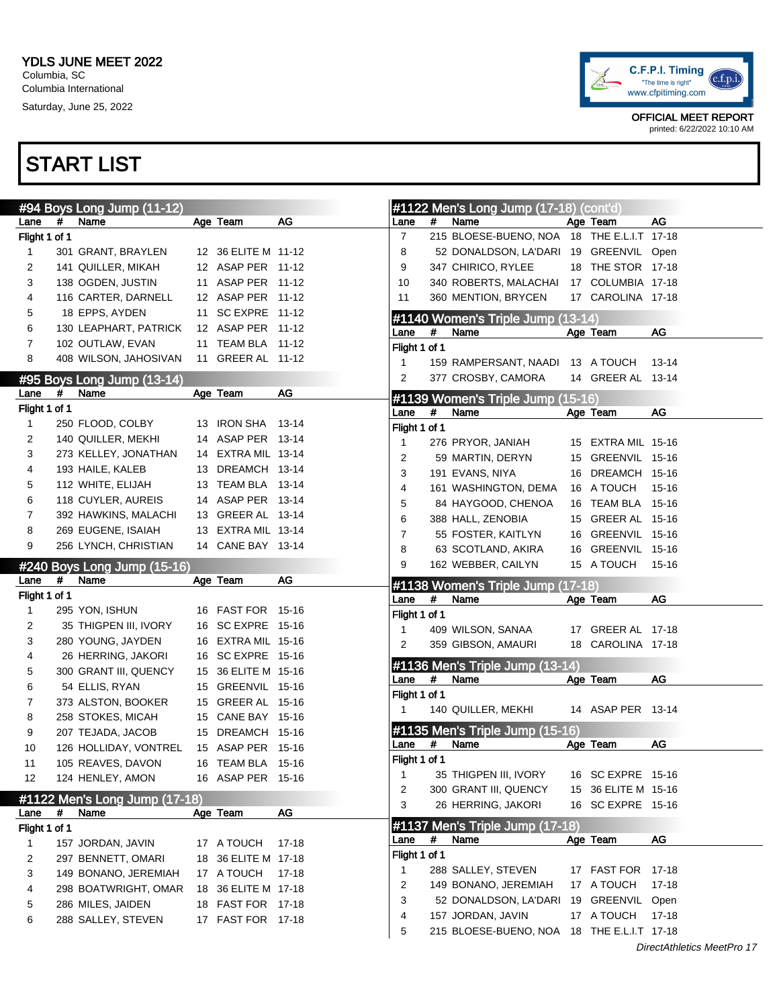

| Lane           | # | #94 Boys Long Jump (11-12)<br>Name    | Age Team                          | AG    | Lane               | # | #1122 Men's Long Jump (17-18) (cont'd)<br>Name | Age Team             | AG    |
|----------------|---|---------------------------------------|-----------------------------------|-------|--------------------|---|------------------------------------------------|----------------------|-------|
| Flight 1 of 1  |   |                                       |                                   |       | 7                  |   | 215 BLOESE-BUENO, NOA 18 THE E.L.I.T 17-18     |                      |       |
| 1              |   | 301 GRANT, BRAYLEN                    | 12 36 ELITE M 11-12               |       | 8                  |   | 52 DONALDSON, LA'DARI 19 GREENVIL Open         |                      |       |
| $\overline{c}$ |   | 141 QUILLER, MIKAH                    | 12 ASAP PER 11-12                 |       | 9                  |   | 347 CHIRICO, RYLEE                             | 18 THE STOR 17-18    |       |
|                |   |                                       |                                   |       |                    |   |                                                |                      |       |
| 3              |   | 138 OGDEN, JUSTIN                     | 11 ASAP PER 11-12                 |       | 10                 |   | 340 ROBERTS, MALACHAI 17 COLUMBIA 17-18        |                      |       |
| 4              |   | 116 CARTER, DARNELL                   | 12 ASAP PER 11-12                 |       | 11                 |   | 360 MENTION, BRYCEN                            | 17 CAROLINA 17-18    |       |
| 5              |   | 18 EPPS, AYDEN                        | 11 SC EXPRE 11-12                 |       |                    |   | #1140 Women's Triple Jump (13-14)              |                      |       |
| 6              |   | 130 LEAPHART, PATRICK                 | 12 ASAP PER 11-12                 |       | Lane               | # | Name                                           | Age Team             | AG    |
| $\overline{7}$ |   | 102 OUTLAW, EVAN                      | 11 TEAM BLA 11-12                 |       | Flight 1 of 1      |   |                                                |                      |       |
| 8              |   | 408 WILSON, JAHOSIVAN                 | 11 GREER AL 11-12                 |       | 1                  |   | 159 RAMPERSANT, NAADI 13 A TOUCH               |                      | 13-14 |
|                |   | #95 Boys Long Jump (13-14)            |                                   |       | 2                  |   | 377 CROSBY, CAMORA                             | 14 GREER AL 13-14    |       |
| Lane           | # | Name                                  | Age Team                          | AG    |                    |   | #1139 Women's Triple Jump (15-16)              |                      |       |
| Flight 1 of 1  |   |                                       |                                   |       | Lane               | # | Name                                           | Age Team             | AG    |
| 1              |   | 250 FLOOD, COLBY                      | 13 IRON SHA 13-14                 |       | Flight 1 of 1      |   |                                                |                      |       |
| 2              |   | 140 QUILLER, MEKHI                    | 14 ASAP PER 13-14                 |       | 1                  |   | 276 PRYOR, JANIAH                              | 15 EXTRA MIL 15-16   |       |
| 3              |   | 273 KELLEY, JONATHAN                  | 14 EXTRA MIL 13-14                |       | 2                  |   | 59 MARTIN, DERYN                               | 15 GREENVIL 15-16    |       |
| 4              |   | 193 HAILE, KALEB                      | 13 DREAMCH 13-14                  |       | 3                  |   | 191 EVANS, NIYA                                | 16 DREAMCH 15-16     |       |
| 5              |   | 112 WHITE, ELIJAH                     | 13 TEAM BLA 13-14                 |       | 4                  |   |                                                | 16 A TOUCH           |       |
| 6              |   | 118 CUYLER, AUREIS                    | 14 ASAP PER 13-14                 |       |                    |   | 161 WASHINGTON, DEMA                           |                      | 15-16 |
| 7              |   | 392 HAWKINS, MALACHI                  | 13 GREER AL 13-14                 |       | 5                  |   | 84 HAYGOOD, CHENOA                             | 16 TEAM BLA 15-16    |       |
| 8              |   | 269 EUGENE, ISAIAH                    | 13 EXTRA MIL 13-14                |       | 6                  |   | 388 HALL, ZENOBIA                              | 15 GREER AL 15-16    |       |
| 9              |   | 256 LYNCH, CHRISTIAN                  | 14 CANE BAY 13-14                 |       | 7                  |   | 55 FOSTER, KAITLYN                             | 16 GREENVIL 15-16    |       |
|                |   |                                       |                                   |       | 8                  |   | 63 SCOTLAND, AKIRA                             | 16 GREENVIL 15-16    |       |
|                |   | #240 Boys Long Jump (15-16)           |                                   |       | 9                  |   | 162 WEBBER, CAILYN                             | 15 A TOUCH           | 15-16 |
|                |   |                                       |                                   |       |                    |   |                                                |                      |       |
| Lane           | # | Name                                  | Age Team                          | AG    |                    |   | #1138 Women's Triple Jump (17-18)              |                      |       |
| Flight 1 of 1  |   |                                       |                                   |       | Lane               | # | Name                                           | Age Team             | AG    |
| 1              |   | 295 YON, ISHUN                        | 16 FAST FOR 15-16                 |       | Flight 1 of 1      |   |                                                |                      |       |
| 2              |   | 35 THIGPEN III, IVORY                 | 16 SC EXPRE 15-16                 |       | 1                  |   | 409 WILSON, SANAA                              | 17 GREER AL 17-18    |       |
| 3              |   | 280 YOUNG, JAYDEN                     | 16 EXTRA MIL 15-16                |       | 2                  |   | 359 GIBSON, AMAURI                             | 18 CAROLINA 17-18    |       |
| 4              |   | 26 HERRING, JAKORI                    | 16 SC EXPRE 15-16                 |       |                    |   |                                                |                      |       |
| 5              |   | 300 GRANT III, QUENCY                 | 15 36 ELITE M 15-16               |       | Lane               | # | #1136 Men's Triple Jump (13-14)<br>Name        |                      | AG    |
| 6              |   | 54 ELLIS, RYAN                        | 15 GREENVIL 15-16                 |       |                    |   |                                                | Age Team             |       |
| 7              |   | 373 ALSTON, BOOKER                    | 15 GREER AL 15-16                 |       | Flight 1 of 1<br>1 |   |                                                | 14 ASAP PER 13-14    |       |
| 8              |   | 258 STOKES, MICAH                     | 15 CANE BAY 15-16                 |       |                    |   | 140 QUILLER, MEKHI                             |                      |       |
| 9              |   | 207 TEJADA, JACOB                     | 15 DREAMCH 15-16                  |       |                    |   | #1135 Men's Triple Jump (15-16)                |                      |       |
| 10             |   | 126 HOLLIDAY, VONTREL                 | 15 ASAP PER 15-16                 |       | Lane               | # | Name                                           | Age Team             | AG    |
| 11             |   | 105 REAVES, DAVON                     | 16 TEAM BLA 15-16                 |       | Flight 1 of 1      |   |                                                |                      |       |
| 12             |   | 124 HENLEY, AMON                      | 16 ASAP PER 15-16                 |       | 1                  |   | 35 THIGPEN III, IVORY                          | 16 SC EXPRE 15-16    |       |
|                |   |                                       |                                   |       | 2                  |   | 300 GRANT III, QUENCY                          | 15 36 ELITE M 15-16  |       |
| Lane           | # | #1122 Men's Long Jump (17-18)<br>Name | Age Team                          | AG    | 3                  |   | 26 HERRING, JAKORI                             | 16 SC EXPRE 15-16    |       |
| Flight 1 of 1  |   |                                       |                                   |       |                    |   | #1137 Men's Triple Jump (17-18)                |                      |       |
| 1              |   | 157 JORDAN, JAVIN                     | 17 A TOUCH                        | 17-18 | Lane               | # | Name                                           | Age Team             | AG    |
| 2              |   | 297 BENNETT, OMARI                    | 18 36 ELITE M 17-18               |       | Flight 1 of 1      |   |                                                |                      |       |
| 3              |   | 149 BONANO, JEREMIAH                  |                                   | 17-18 | -1                 |   | 288 SALLEY, STEVEN                             | 17 FAST FOR 17-18    |       |
| 4              |   |                                       | 17 A TOUCH<br>18 36 ELITE M 17-18 |       | 2                  |   | 149 BONANO, JEREMIAH                           | 17 A TOUCH           | 17-18 |
|                |   | 298 BOATWRIGHT, OMAR                  |                                   |       | 3                  |   | 52 DONALDSON, LA'DARI 19 GREENVIL Open         |                      |       |
| 5              |   | 286 MILES, JAIDEN                     | 18 FAST FOR 17-18                 |       | 4                  |   | 157 JORDAN, JAVIN                              | 17 A TOUCH           | 17-18 |
| 6              |   | 288 SALLEY, STEVEN                    | 17 FAST FOR 17-18                 |       | 5                  |   | 215 BLOESE-BUENO, NOA                          | 18 THE E.L.I.T 17-18 |       |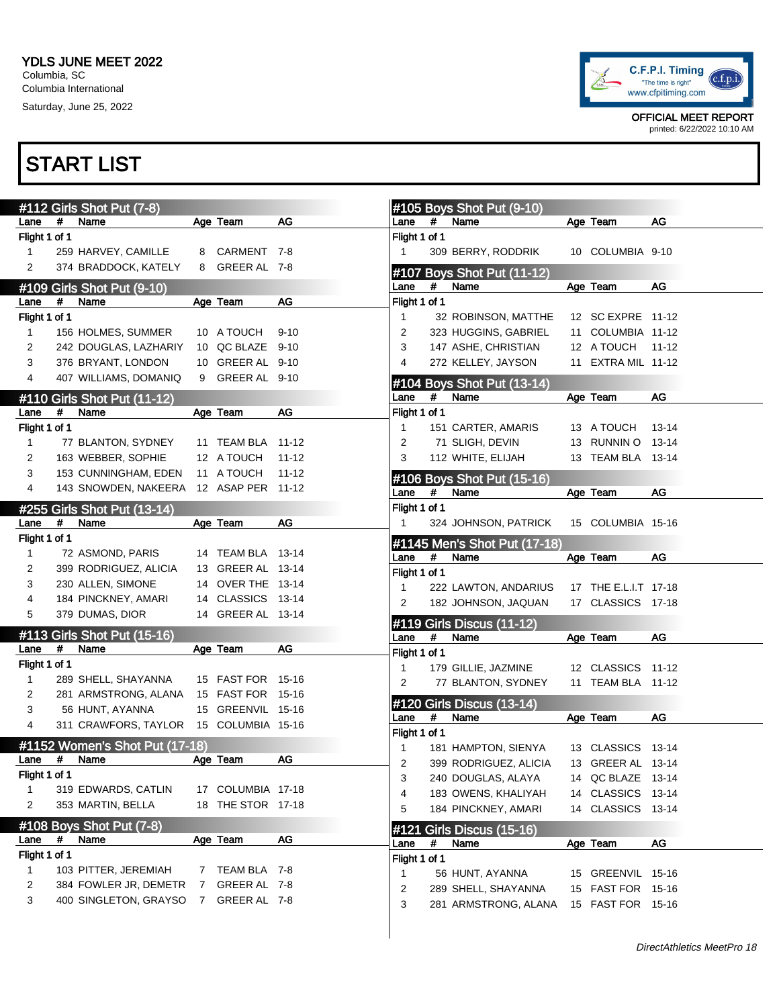

OFFICIAL MEET REPORT printed: 6/22/2022 10:10 AM

|                |      | #112 Girls Shot Put (7-8)              |                |                   |           |               |      | #105 Boys Shot Put (9-10)          |                      |       |
|----------------|------|----------------------------------------|----------------|-------------------|-----------|---------------|------|------------------------------------|----------------------|-------|
| Lane           | $\#$ | Name                                   |                | Age Team          | AG        | Lane          | #    | Name                               | Age Team             | AG    |
| Flight 1 of 1  |      |                                        |                |                   |           | Flight 1 of 1 |      |                                    |                      |       |
| $\mathbf{1}$   |      | 259 HARVEY, CAMILLE                    |                | 8 CARMENT 7-8     |           | $\mathbf{1}$  |      | 309 BERRY, RODDRIK                 | 10 COLUMBIA 9-10     |       |
| $\overline{c}$ |      | 374 BRADDOCK, KATELY                   |                | 8 GREER AL 7-8    |           |               |      | #107 Boys Shot Put (11-12)         |                      |       |
|                |      | #109 Girls Shot Put (9-10)             |                |                   |           | Lane          | #    | Name                               | Age Team             | AG    |
| Lane           | #    | Name                                   |                | Age Team          | AG        | Flight 1 of 1 |      |                                    |                      |       |
| Flight 1 of 1  |      |                                        |                |                   |           | 1             |      | 32 ROBINSON, MATTHE                | 12 SC EXPRE 11-12    |       |
| $\mathbf{1}$   |      | 156 HOLMES, SUMMER                     |                | 10 A TOUCH        | $9 - 10$  | 2             |      | 323 HUGGINS, GABRIEL               | 11 COLUMBIA 11-12    |       |
| $\overline{c}$ |      | 242 DOUGLAS, LAZHARIY                  |                | 10 QC BLAZE 9-10  |           | 3             |      | 147 ASHE, CHRISTIAN                | 12 A TOUCH           | 11-12 |
| 3              |      | 376 BRYANT, LONDON                     |                | 10 GREER AL 9-10  |           | 4             |      | 272 KELLEY, JAYSON                 | 11 EXTRA MIL 11-12   |       |
| 4              |      | 407 WILLIAMS, DOMANIQ                  |                | 9 GREER AL 9-10   |           |               |      |                                    |                      |       |
|                |      |                                        |                |                   |           | Lane          | #    | #104 Boys Shot Put (13-14)<br>Name | Age Team             | AG    |
| Lane           | #    | #110 Girls Shot Put (11-12)<br>Name    |                | Age Team          | AG        | Flight 1 of 1 |      |                                    |                      |       |
| Flight 1 of 1  |      |                                        |                |                   |           | $\mathbf{1}$  |      | 151 CARTER, AMARIS                 | 13 A TOUCH           | 13-14 |
| $\mathbf{1}$   |      | 77 BLANTON, SYDNEY                     |                | 11 TEAM BLA 11-12 |           | 2             |      | 71 SLIGH, DEVIN                    | 13 RUNNIN O 13-14    |       |
| $\overline{c}$ |      | 163 WEBBER, SOPHIE                     |                | 12 A TOUCH        | $11 - 12$ | 3             |      | 112 WHITE, ELIJAH                  | 13 TEAM BLA 13-14    |       |
|                |      | 153 CUNNINGHAM, EDEN                   |                | 11 A TOUCH        |           |               |      |                                    |                      |       |
| 3              |      |                                        |                |                   | $11 - 12$ |               |      | #106 Boys Shot Put (15-16)         |                      |       |
| 4              |      | 143 SNOWDEN, NAKEERA 12 ASAP PER 11-12 |                |                   |           | Lane          | #    | Name                               | Age Team             | AG    |
|                |      | #255 Girls Shot Put (13-14)            |                |                   |           | Flight 1 of 1 |      |                                    |                      |       |
| Lane           | #    | Name                                   |                | Age Team          | AG        | 1             |      | 324 JOHNSON, PATRICK               | 15 COLUMBIA 15-16    |       |
| Flight 1 of 1  |      |                                        |                |                   |           |               |      | #1145 Men's Shot Put (17-18)       |                      |       |
| $\mathbf{1}$   |      | 72 ASMOND, PARIS                       |                | 14 TEAM BLA 13-14 |           | Lane          | $\#$ | Name                               | Age Team             | AG    |
| $\overline{c}$ |      | 399 RODRIGUEZ, ALICIA                  |                | 13 GREER AL 13-14 |           | Flight 1 of 1 |      |                                    |                      |       |
| 3              |      | 230 ALLEN, SIMONE                      |                | 14 OVER THE 13-14 |           | $\mathbf{1}$  |      | 222 LAWTON, ANDARIUS               | 17 THE E.L.I.T 17-18 |       |
| 4              |      | 184 PINCKNEY, AMARI                    |                | 14 CLASSICS 13-14 |           | 2             |      | 182 JOHNSON, JAQUAN                | 17 CLASSICS 17-18    |       |
| 5              |      | 379 DUMAS, DIOR                        |                | 14 GREER AL 13-14 |           |               |      |                                    |                      |       |
|                |      | #113 Girls Shot Put (15-16)            |                |                   |           | Lane          | #    | #119 Girls Discus (11-12)<br>Name  | Age Team             | AG    |
| Lane           | #    | Name                                   |                | Age Team          | AG        | Flight 1 of 1 |      |                                    |                      |       |
| Flight 1 of 1  |      |                                        |                |                   |           | 1             |      | 179 GILLIE, JAZMINE                | 12 CLASSICS 11-12    |       |
| $\mathbf{1}$   |      | 289 SHELL, SHAYANNA                    |                | 15 FAST FOR 15-16 |           | 2             |      | 77 BLANTON, SYDNEY                 | 11 TEAM BLA 11-12    |       |
| $\overline{c}$ |      | 281 ARMSTRONG, ALANA                   |                | 15 FAST FOR 15-16 |           |               |      |                                    |                      |       |
| 3              |      | 56 HUNT, AYANNA                        |                | 15 GREENVIL 15-16 |           |               |      | #120 Girls Discus (13-14)          |                      |       |
| 4              |      | 311 CRAWFORS, TAYLOR 15 COLUMBIA 15-16 |                |                   |           | Lane          | #    | Name                               | Age Team             | AG    |
|                |      |                                        |                |                   |           | Flight 1 of 1 |      |                                    |                      |       |
|                |      | #1152 Women's Shot Put (17-18)         |                |                   |           | $\mathbf{1}$  |      | 181 HAMPTON, SIENYA                | 13 CLASSICS 13-14    |       |
| Lane           | #    | Name                                   |                | Age Team          | AG        | 2             |      | 399 RODRIGUEZ, ALICIA              | 13 GREER AL 13-14    |       |
| Flight 1 of 1  |      |                                        |                |                   |           | 3             |      | 240 DOUGLAS, ALAYA                 | 14 QC BLAZE 13-14    |       |
| 1              |      | 319 EDWARDS, CATLIN                    |                | 17 COLUMBIA 17-18 |           | 4             |      | 183 OWENS, KHALIYAH                | 14 CLASSICS 13-14    |       |
| 2              |      | 353 MARTIN, BELLA                      |                | 18 THE STOR 17-18 |           | 5             |      | 184 PINCKNEY, AMARI                | 14 CLASSICS 13-14    |       |
|                |      | #108 Boys Shot Put (7-8)               |                |                   |           |               |      | #121 Girls Discus (15-16)          |                      |       |
| Lane           | $\#$ | Name                                   |                | Age Team          | AG        | Lane          | #    | Name                               | Age Team             | AG    |
| Flight 1 of 1  |      |                                        |                |                   |           | Flight 1 of 1 |      |                                    |                      |       |
| $\mathbf{1}$   |      | 103 PITTER, JEREMIAH                   |                | 7 TEAM BLA 7-8    |           | 1             |      | 56 HUNT, AYANNA                    | 15 GREENVIL 15-16    |       |
| $\overline{c}$ |      | 384 FOWLER JR, DEMETR                  | $7\phantom{.}$ | GREER AL 7-8      |           | 2             |      | 289 SHELL, SHAYANNA                | 15 FAST FOR 15-16    |       |
| 3              |      | 400 SINGLETON, GRAYSO                  | $7^{\circ}$    | GREER AL 7-8      |           | 3             |      | 281 ARMSTRONG, ALANA               | 15 FAST FOR 15-16    |       |
|                |      |                                        |                |                   |           |               |      |                                    |                      |       |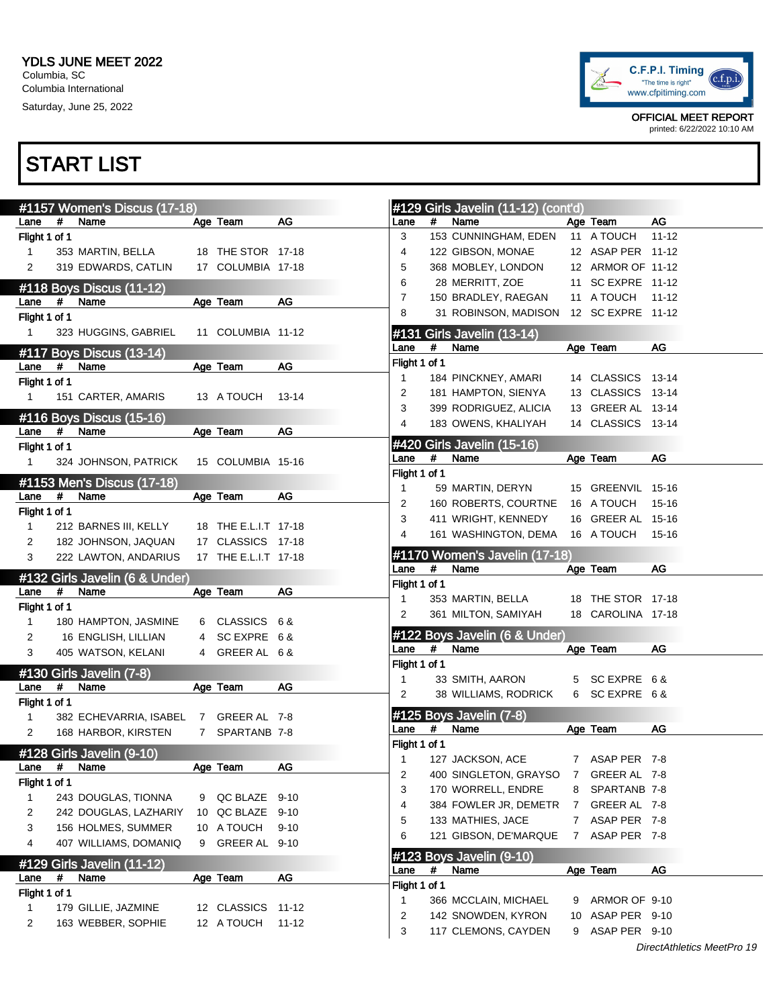

OFFICIAL MEET REPORT printed: 6/22/2022 10:10 AM

|               | #1157 Women's Discus (17-18)          |   |                      |           |                |      | #129 Girls Javelin (11-12) (cont'd)       |   |                                     |           |
|---------------|---------------------------------------|---|----------------------|-----------|----------------|------|-------------------------------------------|---|-------------------------------------|-----------|
| Lane          | $\pmb{\#}$<br>Name                    |   | Age Team             | AG        | Lane           | #    | Name                                      |   | Age Team                            | AG        |
| Flight 1 of 1 |                                       |   |                      |           | 3              |      | 153 CUNNINGHAM, EDEN                      |   | 11 A TOUCH                          | $11 - 12$ |
| $\mathbf{1}$  | 353 MARTIN, BELLA                     |   | 18 THE STOR 17-18    |           | 4              |      | 122 GIBSON, MONAE                         |   | 12 ASAP PER 11-12                   |           |
| 2             | 319 EDWARDS, CATLIN                   |   | 17 COLUMBIA 17-18    |           | 5              |      | 368 MOBLEY, LONDON                        |   | 12 ARMOR OF 11-12                   |           |
|               | #118 Boys Discus (11-12)              |   |                      |           | 6              |      | 28 MERRITT, ZOE                           |   | 11 SC EXPRE 11-12                   |           |
| Lane          | #<br>Name                             |   | Age Team             | AG        | $\overline{7}$ |      | 150 BRADLEY, RAEGAN                       |   | 11 A TOUCH                          | $11 - 12$ |
| Flight 1 of 1 |                                       |   |                      |           | 8              |      | 31 ROBINSON, MADISON 12 SC EXPRE 11-12    |   |                                     |           |
| $\mathbf{1}$  | 323 HUGGINS, GABRIEL                  |   | 11 COLUMBIA 11-12    |           |                |      | #131 Girls Javelin (13-14)                |   |                                     |           |
|               |                                       |   |                      |           | Lane           | #    | Name                                      |   | Age Team                            | AG        |
| Lane          | #117 Boys Discus (13-14)<br>#<br>Name |   | Age Team             | AG        | Flight 1 of 1  |      |                                           |   |                                     |           |
| Flight 1 of 1 |                                       |   |                      |           | 1              |      | 184 PINCKNEY, AMARI                       |   | 14 CLASSICS 13-14                   |           |
|               |                                       |   |                      |           | 2              |      | 181 HAMPTON, SIENYA                       |   | 13 CLASSICS 13-14                   |           |
| $\mathbf{1}$  | 151 CARTER, AMARIS                    |   | 13 A TOUCH           | $13 - 14$ | 3              |      | 399 RODRIGUEZ, ALICIA                     |   | 13 GREER AL 13-14                   |           |
|               | #116 Boys Discus (15-16)              |   |                      |           | 4              |      | 183 OWENS, KHALIYAH                       |   | 14 CLASSICS 13-14                   |           |
| Lane          | #<br>Name                             |   | Age Team             | AG        |                |      |                                           |   |                                     |           |
| Flight 1 of 1 |                                       |   |                      |           |                |      | #420 Girls Javelin (15-16)                |   |                                     |           |
| 1             | 324 JOHNSON, PATRICK                  |   | 15 COLUMBIA 15-16    |           | Lane           | #    | Name                                      |   | Age Team                            | AG        |
|               | #1153 Men's Discus (17-18)            |   |                      |           | Flight 1 of 1  |      |                                           |   |                                     |           |
| Lane          | #<br>Name                             |   | Age Team             | AG        | $\mathbf{1}$   |      | 59 MARTIN, DERYN                          |   | 15 GREENVIL 15-16                   |           |
| Flight 1 of 1 |                                       |   |                      |           | 2              |      | 160 ROBERTS, COURTNE                      |   | 16 A TOUCH                          | 15-16     |
| $\mathbf{1}$  | 212 BARNES III, KELLY                 |   | 18 THE E.L.I.T 17-18 |           | 3              |      | 411 WRIGHT, KENNEDY                       |   | 16 GREER AL 15-16                   |           |
| 2             | 182 JOHNSON, JAQUAN                   |   | 17 CLASSICS 17-18    |           | 4              |      | 161 WASHINGTON, DEMA 16 A TOUCH           |   |                                     | 15-16     |
| 3             | 222 LAWTON, ANDARIUS                  |   | 17 THE E.L.I.T 17-18 |           |                |      | #1170 Women's Javelin (17-18)             |   |                                     |           |
|               |                                       |   |                      |           | Lane           | #    | Name                                      |   | Age Team                            | AG        |
|               | #132 Girls Javelin (6 & Under)        |   |                      |           | Flight 1 of 1  |      |                                           |   |                                     |           |
|               |                                       |   |                      |           |                |      |                                           |   |                                     |           |
| Lane          | #<br>Name                             |   | Age Team             | AG        | 1              |      | 353 MARTIN, BELLA                         |   | 18 THE STOR 17-18                   |           |
| Flight 1 of 1 |                                       |   |                      |           | 2              |      | 361 MILTON, SAMIYAH                       |   | 18 CAROLINA 17-18                   |           |
| $\mathbf{1}$  | 180 HAMPTON, JASMINE                  |   | 6 CLASSICS 6 &       |           |                |      |                                           |   |                                     |           |
| 2             | 16 ENGLISH, LILLIAN                   | 4 | SC EXPRE 6 &         |           |                |      | #122 Boys Javelin (6 & Under)             |   |                                     |           |
| 3             | 405 WATSON, KELANI                    |   | 4 GREER AL 6 &       |           | Lane           | #    | Name                                      |   | Age Team                            | AG        |
|               |                                       |   |                      |           | Flight 1 of 1  |      |                                           |   |                                     |           |
| Lane          | #130 Girls Javelin (7-8)<br>#<br>Name |   | Age Team             | AG        | $\mathbf{1}$   |      | 33 SMITH, AARON                           |   | 5 SC EXPRE 6&                       |           |
| Flight 1 of 1 |                                       |   |                      |           | 2              |      | 38 WILLIAMS, RODRICK                      |   | 6 SC EXPRE 6&                       |           |
| $\mathbf{1}$  | 382 ECHEVARRIA, ISABEL 7 GREER AL 7-8 |   |                      |           |                |      | #125 Boys Javelin (7-8)                   |   |                                     |           |
| 2             | 168 HARBOR, KIRSTEN                   |   | 7 SPARTANB 7-8       |           | Lane           | #    | Name                                      |   | Age Team                            | AG        |
|               |                                       |   |                      |           | Flight 1 of 1  |      |                                           |   |                                     |           |
|               | #128 Girls Javelin (9-10)             |   |                      |           | 1              |      | 127 JACKSON, ACE                          |   | 7 ASAP PER 7-8                      |           |
|               | Lane # Name                           |   | Age Team             | AG        | 2              |      | 400 SINGLETON, GRAYSO                     | 7 | GREER AL 7-8                        |           |
| Flight 1 of 1 |                                       |   |                      |           | 3              |      | 170 WORRELL, ENDRE                        | 8 | SPARTANB 7-8                        |           |
| 1             | 243 DOUGLAS, TIONNA                   |   | 9 QC BLAZE 9-10      |           | 4              |      | 384 FOWLER JR, DEMETR                     | 7 | GREER AL 7-8                        |           |
| 2             | 242 DOUGLAS, LAZHARIY                 |   | 10 QC BLAZE 9-10     |           | 5              |      | 133 MATHIES, JACE                         |   | 7 ASAP PER 7-8                      |           |
| 3             | 156 HOLMES, SUMMER                    |   | 10 A TOUCH           | $9 - 10$  | 6              |      | 121 GIBSON, DE'MARQUE                     |   | 7 ASAP PER 7-8                      |           |
| 4             | 407 WILLIAMS, DOMANIQ                 | 9 | GREER AL 9-10        |           |                |      |                                           |   |                                     |           |
|               | #129 Girls Javelin (11-12)            |   |                      |           |                |      | #123 Boys Javelin (9-10)                  |   |                                     |           |
| Lane          | $\#$<br>Name                          |   | Age Team             | AG        | Lane           | $\#$ | Name                                      |   | Age Team                            | AG        |
| Flight 1 of 1 |                                       |   |                      |           | Flight 1 of 1  |      |                                           |   |                                     |           |
| $\mathbf{1}$  | 179 GILLIE, JAZMINE                   |   | 12 CLASSICS 11-12    |           | $\mathbf{1}$   |      | 366 MCCLAIN, MICHAEL                      | 9 | ARMOR OF 9-10                       |           |
| 2             | 163 WEBBER, SOPHIE                    |   | 12 A TOUCH           | $11 - 12$ | 2<br>3         |      | 142 SNOWDEN, KYRON<br>117 CLEMONS, CAYDEN |   | 10 ASAP PER 9-10<br>9 ASAP PER 9-10 |           |